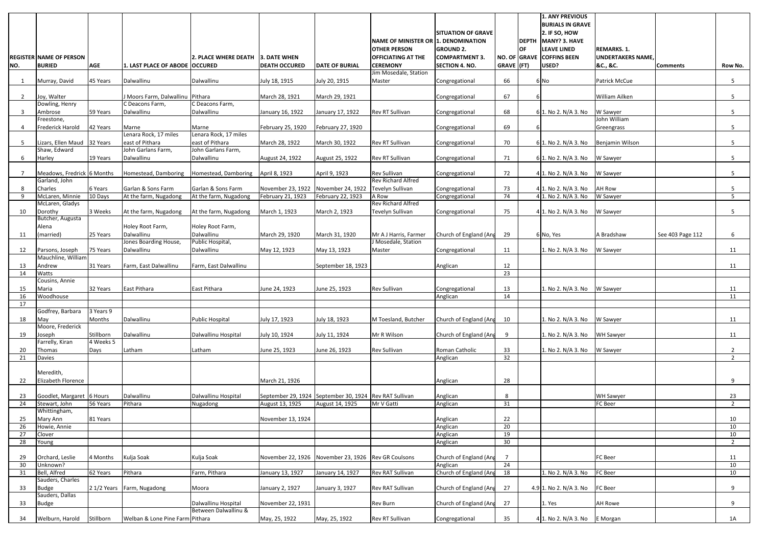|                         | <b>REGISTER NAME OF PERSON</b>        |            |                                          | 2. PLACE WHERE DEATH                        | 3. DATE WHEN                                        |                                                        | <b>NAME OF MINISTER OR 1. DENOMINATION</b><br><b>OTHER PERSON</b><br><b>OFFICIATING AT THE</b> | <b>SITUATION OF GRAVE</b><br><b>GROUND 2.</b><br><b>COMPARTMENT 3.</b> |                      | OF<br>NO. OF GRAVE | <b>1. ANY PREVIOUS</b><br><b>BURIALS IN GRAVE</b><br>2. IF SO, HOW<br>DEPTH MANY? 3. HAVE<br>LEAVE LINED<br><b>COFFINS BEEN</b> | <b>REMARKS. 1.</b><br><b>UNDERTAKERS NAME.</b> |                  |                      |
|-------------------------|---------------------------------------|------------|------------------------------------------|---------------------------------------------|-----------------------------------------------------|--------------------------------------------------------|------------------------------------------------------------------------------------------------|------------------------------------------------------------------------|----------------------|--------------------|---------------------------------------------------------------------------------------------------------------------------------|------------------------------------------------|------------------|----------------------|
| NO.                     | <b>BURIED</b>                         | <b>AGE</b> | 1. LAST PLACE OF ABODE   OCCURED         |                                             | <b>DEATH OCCURED</b>                                | <b>DATE OF BURIAL</b>                                  | <b>CEREMONY</b>                                                                                | <b>SECTION 4. NO.</b>                                                  | GRAVE (FT)           |                    | USED?                                                                                                                           | &C., &C.                                       | <b>Comments</b>  | Row No.              |
| 1                       | Murray, David                         | 45 Years   | Dalwallinu                               | Dalwallinu                                  | July 18, 1915                                       | July 20, 1915                                          | Jim Mosedale, Station<br>Master                                                                | Congregational                                                         | 66                   |                    | 6 No                                                                                                                            | Patrick McCue                                  |                  | 5                    |
| $\overline{2}$          | Joy, Walter                           |            | J Moors Farm, Dalwallinu Pithara         |                                             | March 28, 1921                                      | March 29, 1921                                         |                                                                                                | Congregational                                                         | 67                   |                    |                                                                                                                                 | William Ailken                                 |                  | 5                    |
|                         | Dowling, Henry                        |            | C Deacons Farm,                          | C Deacons Farm,                             |                                                     |                                                        |                                                                                                |                                                                        |                      |                    |                                                                                                                                 |                                                |                  |                      |
| $\overline{\mathbf{3}}$ | Ambrose<br>Freestone,                 | 59 Years   | Dalwallinu                               | Dalwallinu                                  | January 16, 1922                                    | January 17, 1922                                       | Rev RT Sullivan                                                                                | Congregational                                                         | 68                   |                    | 6 1. No 2. N/A 3. No                                                                                                            | W Sawyer<br>John William                       |                  | 5                    |
| -4                      | <b>Frederick Harold</b>               | 42 Years   | Marne                                    | Marne                                       | February 25, 1920                                   | February 27, 1920                                      |                                                                                                | Congregational                                                         | 69                   |                    |                                                                                                                                 | Greengrass                                     |                  | 5                    |
| -5                      | Lizars, Ellen Maud 32 Years           |            | Lenara Rock, 17 miles<br>east of Pithara | Lenara Rock, 17 miles<br>east of Pithara    | March 28, 1922                                      | March 30, 1922                                         | Rev RT Sullivan                                                                                | Congregational                                                         | 70                   |                    | 6 1. No 2. N/A 3. No                                                                                                            | Benjamin Wilson                                |                  | 5                    |
|                         | Shaw, Edward                          |            | John Garlans Farm,                       | John Garlans Farm,                          |                                                     |                                                        |                                                                                                |                                                                        |                      |                    |                                                                                                                                 |                                                |                  |                      |
| 6                       | Harley                                | 19 Years   | Dalwallinu                               | Dalwallinu                                  | August 24, 1922                                     | August 25, 1922                                        | Rev RT Sullivan                                                                                | Congregational                                                         | 71                   |                    | 6 1. No 2. N/A 3. No                                                                                                            | W Sawyer                                       |                  | 5                    |
| - 7                     | Meadows, Fredrick 6 Months            |            | Homestead, Damboring                     | Homestead, Damboring                        | April 8, 1923                                       | April 9, 1923                                          | <b>Rev Sullivan</b>                                                                            | Congregational                                                         | 72                   |                    | 4 1. No 2. N/A 3. No                                                                                                            | W Sawyer                                       |                  | 5                    |
| 8                       | Garland, John<br>Charles              | 6 Years    | Garlan & Sons Farm                       | Garlan & Sons Farm                          | November 23, 1922                                   | November 24, 1922                                      | <b>Rev Richard Alfred</b><br>Tevelyn Sullivan                                                  | Congregational                                                         | 73                   |                    | 4 1. No 2. N/A 3. No                                                                                                            | AH Row                                         |                  | 5                    |
| -9                      | McLaren, Minnie                       | 10 Days    | At the farm, Nugadong                    | At the farm, Nugadong                       | February 21, 1923                                   | February 22, 1923                                      | A Row                                                                                          | Congregational                                                         | 74                   |                    | 4 1. No 2. N/A 3. No                                                                                                            | W Sawyer                                       |                  | 5 <sup>5</sup>       |
| 10                      | McLaren, Gladys<br>Dorothy            | 3 Weeks    | At the farm, Nugadong                    | At the farm, Nugadong                       | March 1, 1923                                       | March 2, 1923                                          | <b>Rev Richard Alfred</b><br>Tevelyn Sullivan                                                  | Congregational                                                         | 75                   |                    | 4 1. No 2. N/A 3. No                                                                                                            | W Sawyer                                       |                  | 5 <sub>1</sub>       |
|                         | Butcher, Augusta                      |            |                                          |                                             |                                                     |                                                        |                                                                                                |                                                                        |                      |                    |                                                                                                                                 |                                                |                  |                      |
| 11                      | Alena<br>(married)                    | 25 Years   | Holey Root Farm,<br>Dalwallinu           | Holey Root Farm,<br>Dalwallinu              | March 29, 1920                                      | March 31, 1920                                         | Mr A J Harris, Farmer                                                                          | Church of England (Ang                                                 | 29                   |                    | 6 No, Yes                                                                                                                       | A Bradshaw                                     | See 403 Page 112 | 6                    |
|                         |                                       |            | Jones Boarding House,                    | Public Hospital,                            |                                                     |                                                        | J Mosedale, Station                                                                            |                                                                        |                      |                    |                                                                                                                                 |                                                |                  |                      |
| 12                      | Parsons, Joseph<br>Mauchline, William | 75 Years   | Dalwallinu                               | Dalwallinu                                  | May 12, 1923                                        | May 13, 1923                                           | Master                                                                                         | Congregational                                                         | 11                   |                    | 1. No 2. N/A 3. No                                                                                                              | W Sawyer                                       |                  | 11                   |
| 13                      | Andrew                                | 31 Years   | Farm, East Dalwallinu                    | Farm, East Dalwallinu                       |                                                     | September 18, 1923                                     |                                                                                                | Anglican                                                               | 12                   |                    |                                                                                                                                 |                                                |                  | 11                   |
| 14                      | Watts                                 |            |                                          |                                             |                                                     |                                                        |                                                                                                |                                                                        | 23                   |                    |                                                                                                                                 |                                                |                  |                      |
| 15                      | Cousins, Annie<br>Maria               | 32 Years   | East Pithara                             | East Pithara                                | June 24, 1923                                       | June 25, 1923                                          | <b>Rev Sullivan</b>                                                                            | Congregational                                                         | 13                   |                    | 1. No 2. N/A 3. No                                                                                                              | W Sawyer                                       |                  | 11                   |
| 16                      | Woodhouse                             |            |                                          |                                             |                                                     |                                                        |                                                                                                | Anglican                                                               | 14                   |                    |                                                                                                                                 |                                                |                  | 11                   |
| 17                      | Godfrey, Barbara                      | 3 Years 9  |                                          |                                             |                                                     |                                                        |                                                                                                |                                                                        |                      |                    |                                                                                                                                 |                                                |                  |                      |
| 18                      | May                                   | Months     | Dalwallinu                               | <b>Public Hospital</b>                      | July 17, 1923                                       | July 18, 1923                                          | M Toesland, Butcher                                                                            | Church of England (Ang                                                 | 10                   |                    | 1. No 2. N/A 3. No                                                                                                              | W Sawyer                                       |                  | 11                   |
| 19                      | Moore, Frederick                      | Stillborn  | Dalwallinu                               | Dalwallinu Hospital                         | July 10, 1924                                       | July 11, 1924                                          | Mr R Wilson                                                                                    | Church of England (Ang                                                 | 9                    |                    | 1. No 2. N/A 3. No                                                                                                              | <b>WH Sawyer</b>                               |                  | 11                   |
|                         | Joseph<br>Farrelly, Kiran             | 4 Weeks 5  |                                          |                                             |                                                     |                                                        |                                                                                                |                                                                        |                      |                    |                                                                                                                                 |                                                |                  |                      |
| 20                      | Thomas                                | Days       | Latham                                   | Latham                                      | June 25, 1923                                       | June 26, 1923                                          | <b>Rev Sullivan</b>                                                                            | Roman Catholic                                                         | 33                   |                    | 1. No 2. N/A 3. No                                                                                                              | W Sawyer                                       |                  | $\mathbf{2}$         |
| 21                      | <b>Davies</b>                         |            |                                          |                                             |                                                     |                                                        |                                                                                                | Anglican                                                               | 32                   |                    |                                                                                                                                 |                                                |                  | $\overline{2}$       |
|                         | Meredith,                             |            |                                          |                                             |                                                     |                                                        |                                                                                                |                                                                        |                      |                    |                                                                                                                                 |                                                |                  |                      |
| 22                      | Elizabeth Florence                    |            |                                          |                                             | March 21, 1926                                      |                                                        |                                                                                                | Anglican                                                               | 28                   |                    |                                                                                                                                 |                                                |                  | 9                    |
| 23                      | Goodlet, Margaret 6 Hours             |            | Dalwallinu                               | Dalwallinu Hospital                         |                                                     | September 29, 1924 September 30, 1924 Rev RAT Sullivan |                                                                                                | Anglican                                                               | 8                    |                    |                                                                                                                                 | <b>WH Sawyer</b>                               |                  | 23                   |
| 24                      | Stewart, John<br>Whittingham,         | 56 Years   | Pithara                                  | Nugadong                                    | August 13, 1925                                     | August 14, 1925                                        | Mr V Gatti                                                                                     | Anglican                                                               | 31                   |                    |                                                                                                                                 | FC Beer                                        |                  | $\overline{2}$       |
| 25                      | Mary Ann                              | 81 Years   |                                          |                                             | November 13, 1924                                   |                                                        |                                                                                                | Anglican                                                               | 22                   |                    |                                                                                                                                 |                                                |                  | 10                   |
| 26                      | Howie, Annie<br>Clover                |            |                                          |                                             |                                                     |                                                        |                                                                                                | Anglican<br>Anglican                                                   | 20<br>19             |                    |                                                                                                                                 |                                                |                  | 10                   |
| 27<br>28                | Young                                 |            |                                          |                                             |                                                     |                                                        |                                                                                                | Anglican                                                               | 30                   |                    |                                                                                                                                 |                                                |                  | 10<br>$\overline{2}$ |
|                         |                                       |            |                                          |                                             |                                                     |                                                        |                                                                                                |                                                                        |                      |                    |                                                                                                                                 |                                                |                  |                      |
| 29<br>30                | Orchard, Leslie<br>Unknown?           | 4 Months   | Kulja Soak                               | Kulja Soak                                  | November 22, 1926 November 23, 1926 Rev GR Coulsons |                                                        |                                                                                                | Church of England (Ang<br>Anglican                                     | $\overline{7}$<br>24 |                    |                                                                                                                                 | FC Beer                                        |                  | 11<br>10             |
| 31                      | Bell, Alfred                          | 62 Years   | Pithara                                  | Farm, Pithara                               | January 13, 1927                                    | January 14, 1927                                       | Rev RAT Sullivan                                                                               | Church of England (Ang                                                 | 18                   |                    | 1. No 2. N/A 3. No                                                                                                              | FC Beer                                        |                  | 10                   |
| 33                      | Sauders, Charles<br><b>Budge</b>      |            | 2 1/2 Years Farm, Nugadong               | Moora                                       | January 2, 1927                                     | January 3, 1927                                        | Rev RAT Sullivan                                                                               | Church of England (Ang                                                 | 27                   |                    | 4.9 1. No 2. N/A 3. No                                                                                                          | FC Beer                                        |                  | 9                    |
|                         | Sauders, Dallas                       |            |                                          |                                             |                                                     |                                                        |                                                                                                |                                                                        |                      |                    |                                                                                                                                 |                                                |                  |                      |
| 33                      | <b>Budge</b>                          |            |                                          | Dalwallinu Hospital<br>Between Dalwallinu & | November 22, 1931                                   |                                                        | <b>Rev Burn</b>                                                                                | Church of England (Ang                                                 | 27                   |                    | 1. Yes                                                                                                                          | AH Rowe                                        |                  | 9                    |
| 34                      | Welburn, Harold                       | Stillborn  | Welban & Lone Pine Farm Pithara          |                                             | May, 25, 1922                                       | May, 25, 1922                                          | Rev RT Sullivan                                                                                | Congregational                                                         | 35                   |                    | $4$ 1. No 2. N/A 3. No                                                                                                          | E Morgan                                       |                  | 1A                   |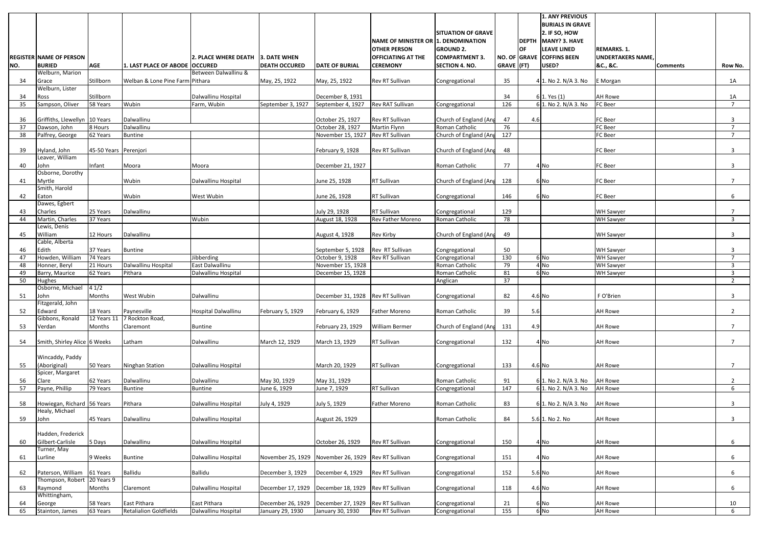|          |                                                  |                         |                                 |                                   |                      |                                   | NAME OF MINISTER OR 1. DENOMINATION | <b>SITUATION OF GRAVE</b>  |            |           | <b>1. ANY PREVIOUS</b><br><b>BURIALS IN GRAVE</b><br>2. IF SO, HOW<br><b>DEPTH MANY? 3. HAVE</b> |                          |                 |                      |
|----------|--------------------------------------------------|-------------------------|---------------------------------|-----------------------------------|----------------------|-----------------------------------|-------------------------------------|----------------------------|------------|-----------|--------------------------------------------------------------------------------------------------|--------------------------|-----------------|----------------------|
|          |                                                  |                         |                                 |                                   |                      |                                   | <b>OTHER PERSON</b>                 | <b>GROUND 2.</b>           |            | <b>OF</b> | <b>LEAVE LINED</b>                                                                               | <b>REMARKS. 1.</b>       |                 |                      |
|          | <b>REGISTER NAME OF PERSON</b><br><b>BURIED</b>  | <b>AGE</b>              |                                 | 2. PLACE WHERE DEATH 3. DATE WHEN |                      |                                   | <b>OFFICIATING AT THE</b>           | <b>COMPARTMENT 3.</b>      |            |           | NO. OF GRAVE COFFINS BEEN                                                                        | <b>UNDERTAKERS NAME,</b> |                 |                      |
| NO.      | Welburn, Marion                                  |                         | 1. LAST PLACE OF ABODE OCCURED  | Between Dalwallinu &              | <b>DEATH OCCURED</b> | <b>DATE OF BURIAL</b>             | <b>CEREMONY</b>                     | <b>SECTION 4. NO.</b>      | GRAVE (FT) |           | USED?                                                                                            | &C., &C.                 | <b>Comments</b> | Row No.              |
| 34       | Grace                                            | Stillborn               | Welban & Lone Pine Farm Pithara |                                   | May, 25, 1922        | May, 25, 1922                     | Rev RT Sullivan                     | Congregational             | 35         |           | 4 1. No 2. N/A 3. No                                                                             | E Morgan                 |                 | 1A                   |
|          | Welburn, Lister                                  |                         |                                 |                                   |                      |                                   |                                     |                            |            |           |                                                                                                  |                          |                 |                      |
| 34       | Ross                                             | Stillborn               | Wubin                           | Dalwallinu Hospital               |                      | December 8, 1931                  |                                     |                            | 34         |           | 6 1. Yes (1)                                                                                     | <b>AH Rowe</b>           |                 | 1A<br>$\overline{7}$ |
| 35       | Sampson, Oliver                                  | 58 Years                |                                 | Farm, Wubin                       | September 3, 1927    | September 4, 1927                 | <b>Rev RAT Sullivan</b>             | Congregational             | 126        |           | 6 1. No 2. N/A 3. No                                                                             | FC Beer                  |                 |                      |
| 36       | Griffiths, Llewellyn 10 Years                    |                         | Dalwallinu                      |                                   |                      | October 25, 1927                  | Rev RT Sullivan                     | Church of England (Ang     | 47         | 4.6       |                                                                                                  | <b>FC</b> Beer           |                 | 3                    |
| 37       | Dawson, John                                     | 8 Hours                 | Dalwallinu                      |                                   |                      | October 28, 1927                  | Martin Flynn                        | Roman Catholic             | 76         |           |                                                                                                  | FC Beer                  |                 | $\overline{7}$       |
| 38       | Palfrey, George                                  | 62 Years                | <b>Buntine</b>                  |                                   |                      | November 15, 1927                 | Rev RT Sullivan                     | Church of England (Ang     | 127        |           |                                                                                                  | FC Beer                  |                 |                      |
| 39       | Hyland, John                                     | 45-50 Years Perenjori   |                                 |                                   |                      | February 9, 1928                  | <b>Rev RT Sullivan</b>              | Church of England (Ang     | 48         |           |                                                                                                  | FC Beer                  |                 | 3                    |
|          | Leaver, William                                  |                         |                                 |                                   |                      |                                   |                                     |                            |            |           |                                                                                                  |                          |                 |                      |
| 40       | John<br>Osborne, Dorothy                         | Infant                  | Moora                           | Moora                             |                      | December 21, 1927                 |                                     | Roman Catholic             | 77         |           | 4 No                                                                                             | FC Beer                  |                 | 3                    |
| 41       | Myrtle                                           |                         | Wubin                           | Dalwallinu Hospital               |                      | June 25, 1928                     | RT Sullivan                         | Church of England (Ang     | 128        |           | 6 No                                                                                             | <b>FC</b> Beer           |                 | $\overline{7}$       |
|          | Smith, Harold                                    |                         |                                 |                                   |                      |                                   |                                     |                            |            |           |                                                                                                  |                          |                 |                      |
| 42       | Eaton<br>Dawes, Egbert                           |                         | Wubin                           | West Wubin                        |                      | June 26, 1928                     | RT Sullivan                         | Congregational             | 146        |           | 6 No                                                                                             | FC Beer                  |                 | 6                    |
| 43       | Charles                                          | 25 Years                | Dalwallinu                      |                                   |                      | July 29, 1928                     | <b>RT Sullivan</b>                  | Congregational             | 129        |           |                                                                                                  | <b>WH Sawyer</b>         |                 |                      |
| 44       | Martin, Charles                                  | 37 Years                |                                 | Wubin                             |                      | August 18, 1928                   | Rev Father Moreno                   | Roman Catholic             | 78         |           |                                                                                                  | <b>WH Sawyer</b>         |                 | 3                    |
| 45       | Lewis, Denis<br>William                          | 12 Hours                | Dalwallinu                      |                                   |                      | August 4, 1928                    | Rev Kirby                           | Church of England (Ang     | 49         |           |                                                                                                  | <b>WH Sawyer</b>         |                 | 3                    |
|          | Cable, Alberta                                   |                         |                                 |                                   |                      |                                   |                                     |                            |            |           |                                                                                                  |                          |                 |                      |
| 46       | Edith                                            | 37 Years                | <b>Buntine</b>                  |                                   |                      | September 5, 1928                 | Rev RT Sullivan                     | Congregational             | 50         |           |                                                                                                  | <b>WH Sawyer</b>         |                 | 3                    |
| 47       | Howden, William                                  | 74 Years                |                                 | Jibberding                        |                      | October 9, 1928                   | Rev RT Sullivan                     | Congregational             | 130        |           | 6 No                                                                                             | <b>WH Sawyer</b>         |                 | $\overline{7}$       |
| 48       | Honner, Beryl                                    | 21 Hours                | Dalwallinu Hospital             | East Dalwallinu                   |                      | November 15, 1928                 |                                     | Roman Catholic             | 79         |           | 4 No                                                                                             | <b>WH Sawyer</b>         |                 | 3                    |
| 49<br>50 | Barry, Maurice<br><b>Hughes</b>                  | 62 Years                | Pithara                         | Dalwallinu Hospital               |                      | December 15, 1928                 |                                     | Roman Catholic<br>Anglican | 81<br>37   |           | 6 No                                                                                             | <b>WH Sawyer</b>         |                 | 3<br>$\overline{2}$  |
|          | Osborne, Michael 4 1/2                           |                         |                                 |                                   |                      |                                   |                                     |                            |            |           |                                                                                                  |                          |                 |                      |
| 51       | John                                             | Months                  | West Wubin                      | Dalwallinu                        |                      | December 31, 1928 Rev RT Sullivan |                                     | Congregational             | 82         |           | 4.6 No                                                                                           | F O'Brien                |                 | 3                    |
|          | Fitzgerald, John                                 |                         |                                 |                                   |                      |                                   |                                     |                            |            |           |                                                                                                  |                          |                 |                      |
| 52       | Edward<br>Gibbons, Ronald                        | 18 Years<br>12 Years 11 | Paynesville<br>7 Rockton Road,  | <b>Hospital Dalwallinu</b>        | February 5, 1929     | February 6, 1929                  | <b>Father Moreno</b>                | Roman Catholic             | 39         | 5.6       |                                                                                                  | <b>AH Rowe</b>           |                 | $2^{\circ}$          |
| 53       | Verdan                                           | Months                  | Claremont                       | <b>Buntine</b>                    |                      | February 23, 1929                 | <b>William Bermer</b>               | Church of England (Ang     | 131        | 4.9       |                                                                                                  | <b>AH Rowe</b>           |                 | $\overline{ }$       |
|          |                                                  |                         |                                 |                                   |                      |                                   |                                     |                            |            |           |                                                                                                  |                          |                 |                      |
| 54       | Smith, Shirley Alice 6 Weeks                     |                         | Latham                          | Dalwallinu                        | March 12, 1929       | March 13, 1929                    | RT Sullivan                         | Congregational             | 132        |           | 4 No                                                                                             | <b>AH Rowe</b>           |                 | $\overline{7}$       |
|          |                                                  |                         |                                 |                                   |                      |                                   |                                     |                            |            |           |                                                                                                  |                          |                 |                      |
| 55       | Wincaddy, Paddy<br>(Aboriginal)                  | 50 Years                | Ninghan Station                 | Dalwallinu Hospital               |                      | March 20, 1929                    | RT Sullivan                         | Congregational             | 133        |           | 4.6 No                                                                                           | <b>AH Rowe</b>           |                 | $\overline{7}$       |
|          | Spicer, Margaret                                 |                         |                                 |                                   |                      |                                   |                                     |                            |            |           |                                                                                                  |                          |                 |                      |
| 56       | Clare                                            | 62 Years                | Dalwallinu                      | Dalwallinu                        | May 30, 1929         | May 31, 1929                      |                                     | Roman Catholic             | 91         |           | 6 1. No 2. N/A 3. No                                                                             | <b>AH Rowe</b>           |                 | $\mathbf{2}$         |
| 57       | Payne, Phillip                                   | 79 Years                | <b>Buntine</b>                  | <b>Buntine</b>                    | June 6, 1929         | June 7, 1929                      | <b>RT Sullivan</b>                  | Congregational             | 147        |           | 6 1. No 2. N/A 3. No                                                                             | <b>AH Rowe</b>           |                 | 6                    |
| 58       | Howiegan, Richard 56 Years                       |                         | Pithara                         | Dalwallinu Hospital               | July 4, 1929         | July 5, 1929                      | <b>Father Moreno</b>                | Roman Catholic             | 83         |           | 6 1. No 2. N/A 3. No                                                                             | AH Rowe                  |                 | 3                    |
| 59       | Healy, Michael<br>John                           | 45 Years                | Dalwallinu                      | Dalwallinu Hospital               |                      | August 26, 1929                   |                                     | Roman Catholic             | 84         |           | 5.6 1. No 2. No                                                                                  | <b>AH Rowe</b>           |                 | 3                    |
|          | Hadden, Frederick                                |                         |                                 |                                   |                      |                                   |                                     |                            |            |           |                                                                                                  |                          |                 |                      |
| 60       | Gilbert-Carlisle                                 | 5 Days                  | Dalwallinu                      | Dalwallinu Hospital               |                      | October 26, 1929                  | <b>Rev RT Sullivan</b>              | Congregational             | 150        |           | 4 No                                                                                             | <b>AH Rowe</b>           |                 | 6                    |
|          | Turner, May<br>Lurline                           | 9 Weeks                 | <b>Buntine</b>                  | Dalwallinu Hospital               | November 25, 1929    | November 26, 1929 Rev RT Sullivan |                                     |                            | 151        |           | 4 No                                                                                             | <b>AH Rowe</b>           |                 | 6                    |
| 61       |                                                  |                         |                                 |                                   |                      |                                   |                                     | Congregational             |            |           |                                                                                                  |                          |                 |                      |
| 62       | Paterson, William<br>Thompson, Robert 20 Years 9 | 61 Years                | <b>Ballidu</b>                  | Ballidu                           | December 3, 1929     | December 4, 1929                  | <b>Rev RT Sullivan</b>              | Congregational             | 152        |           | $5.6$ No                                                                                         | <b>AH Rowe</b>           |                 | 6                    |
| 63       | Raymond<br>Whittingham,                          | Months                  | Claremont                       | Dalwallinu Hospital               | December 17, 1929    | December 18, 1929                 | <b>Rev RT Sullivan</b>              | Congregational             | 118        |           | 4.6 No                                                                                           | <b>AH Rowe</b>           |                 | 6                    |
| 64       | George                                           | 58 Years                | East Pithara                    | East Pithara                      | December 26, 1929    | December 27, 1929                 | <b>Rev RT Sullivan</b>              | Congregational             | 21         |           | 6 No                                                                                             | <b>AH Rowe</b>           |                 | 10                   |
| 65       | Stainton, James                                  | 63 Years                | <b>Retalialion Goldfields</b>   | Dalwallinu Hospital               | January 29, 1930     | January 30, 1930                  | Rev RT Sullivan                     | Congregational             | 155        |           | 6 No                                                                                             | <b>AH Rowe</b>           |                 | 6                    |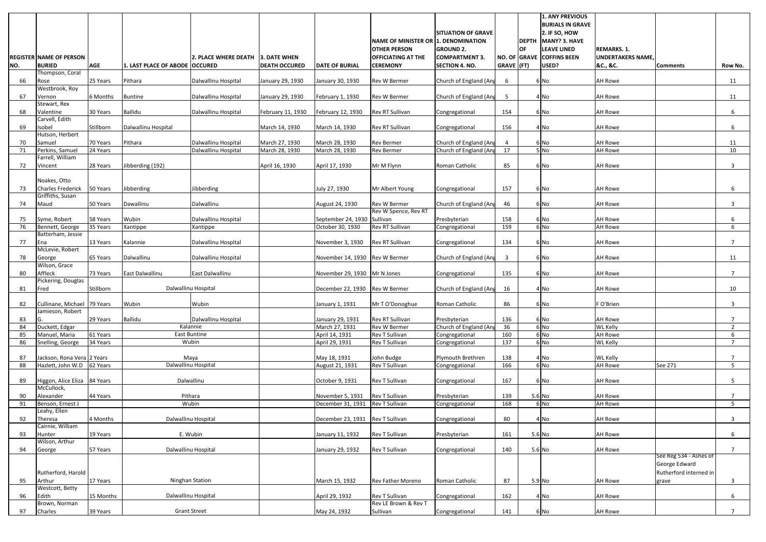|          |                                                          |            |                                |                                 |                                      |                                    |                                              |                                                |                |              | <b>1. ANY PREVIOUS</b><br><b>BURIALS IN GRAVE</b> |                                   |                                         |                                  |
|----------|----------------------------------------------------------|------------|--------------------------------|---------------------------------|--------------------------------------|------------------------------------|----------------------------------------------|------------------------------------------------|----------------|--------------|---------------------------------------------------|-----------------------------------|-----------------------------------------|----------------------------------|
|          |                                                          |            |                                |                                 |                                      |                                    | NAME OF MINISTER OR 1. DENOMINATION          | <b>SITUATION OF GRAVE</b>                      |                | <b>DEPTH</b> | 2. IF SO, HOW<br>MANY? 3. HAVE                    |                                   |                                         |                                  |
|          |                                                          |            |                                |                                 |                                      |                                    | <b>OTHER PERSON</b>                          | <b>GROUND 2.</b>                               |                | <b>OF</b>    | <b>LEAVE LINED</b>                                | <b>REMARKS. 1.</b>                |                                         |                                  |
| NO.      | <b>REGISTER NAME OF PERSON</b><br><b>BURIED</b>          | <b>AGE</b> | 1. LAST PLACE OF ABODE OCCURED | <b>2. PLACE WHERE DEATH</b>     | 3. DATE WHEN<br><b>DEATH OCCURED</b> | <b>DATE OF BURIAL</b>              | <b>OFFICIATING AT THE</b><br><b>CEREMONY</b> | <b>COMPARTMENT 3.</b><br><b>SECTION 4. NO.</b> | GRAVE (FT)     |              | NO. OF GRAVE COFFINS BEEN<br>USED?                | <b>UNDERTAKERS NAME</b>           | <b>Comments</b>                         |                                  |
|          | Thompson, Coral                                          |            |                                |                                 |                                      |                                    |                                              |                                                |                |              |                                                   | &C., &C.                          |                                         | Row No.                          |
| 66       | Rose                                                     | 25 Years   | Pithara                        | Dalwallinu Hospital             | January 29, 1930                     | January 30, 1930                   | Rev W Bermer                                 | Church of England (Ang                         | 6              |              | 6 No                                              | <b>AH Rowe</b>                    |                                         | 11                               |
| 67       | Westbrook, Roy<br>Vernon                                 | 6 Months   | <b>Buntine</b>                 | Dalwallinu Hospital             | January 29, 1930                     | February 1, 1930                   | Rev W Bermer                                 | Church of England (Ang                         | 5              |              | 4 No                                              | <b>AH Rowe</b>                    |                                         | 11                               |
| 68       | Stewart, Rex<br>Valentine                                | 30 Years   | <b>Ballidu</b>                 | Dalwallinu Hospital             | February 11, 1930                    | February 12, 1930                  | Rev RT Sullivan                              | Congregational                                 | 154            |              | 6 No                                              | <b>AH Rowe</b>                    |                                         | 6                                |
| 69       | Carvell, Edith<br>Isobel                                 | Stillborn  | Dalwallinu Hospital            |                                 | March 14, 1930                       | March 14, 1930                     | Rev RT Sullivan                              | Congregational                                 | 156            |              | 4 No                                              | <b>AH Rowe</b>                    |                                         | 6                                |
|          | Hutson, Herbert                                          |            |                                |                                 |                                      |                                    |                                              |                                                |                |              |                                                   |                                   |                                         |                                  |
| 70       | Samuel                                                   | 70 Years   | Pithara                        | Dalwallinu Hospital             | March 27, 1930                       | March 28, 1930                     | <b>Rev Bermer</b>                            | Church of England (Ang                         | $\overline{4}$ |              | 6 No                                              | <b>AH Rowe</b>                    |                                         | 11                               |
| 71       | Perkins, Samuel<br>Farrell, William                      | 24 Years   |                                | Dalwallinu Hospital             | March 28, 1930                       | March 28, 1930                     | <b>Rev Bermer</b>                            | Church of England (Ang                         | 17             |              | 5N <sub>0</sub>                                   | <b>AH Rowe</b>                    |                                         | 10                               |
| 72       | Vincent                                                  | 28 Years   | Jibberding (192)               |                                 | April 16, 1930                       | April 17, 1930                     | Mr M Flynn                                   | Roman Catholic                                 | 85             |              | 6 No                                              | <b>AH Rowe</b>                    |                                         | 3                                |
|          | Noakes, Otto                                             |            |                                |                                 |                                      |                                    |                                              |                                                |                |              |                                                   |                                   |                                         |                                  |
| 73       | <b>Charles Frederick</b><br>Griffiths, Susan             | 50 Years   | Jibberding                     | libberding                      |                                      | July 27, 1930                      | Mr Albert Young                              | Congregational                                 | 157            |              | 6 No                                              | <b>AH Rowe</b>                    |                                         | 6                                |
| 74       | Maud                                                     | 50 Years   | Dawallinu                      | Dalwallinu                      |                                      | August 24, 1930                    | <b>Rev W Bermer</b>                          | Church of England (Ang                         | 46             |              | 6 No                                              | <b>AH Rowe</b>                    |                                         | 3                                |
|          |                                                          |            |                                |                                 |                                      |                                    | Rev W Spence, Rev RT                         |                                                |                |              |                                                   |                                   |                                         |                                  |
| 75       | Syme, Robert                                             | 58 Years   | Wubin                          | Dalwallinu Hospital             |                                      | September 24, 1930                 | Sullivan                                     | Presbyterian                                   | 158            |              | 6 No                                              | <b>AH Rowe</b>                    |                                         | 6                                |
| 76       | Bennett, George<br>Batterham, Jessie                     | 35 Years   | Xantippe                       | Xantippe                        |                                      | October 30, 1930                   | Rev RT Sullivan                              | Congregational                                 | 159            |              | 6 No                                              | <b>AH Rowe</b>                    |                                         | 6                                |
| 77       | Ena<br>McLevie, Robert                                   | 13 Years   | Kalannie                       | Dalwallinu Hospital             |                                      | November 3, 1930                   | Rev RT Sullivan                              | Congregational                                 | 134            |              | 6 No                                              | <b>AH Rowe</b>                    |                                         | $\overline{7}$                   |
| 78       | George                                                   | 65 Years   | Dalwallinu                     | Dalwallinu Hospital             |                                      | November 14, 1930                  | Rev W Bermer                                 | Church of England (Ang                         | $\overline{3}$ |              | 6 No                                              | <b>AH Rowe</b>                    |                                         | 11                               |
| 80       | Wilson, Grace<br>Affleck                                 | 73 Years   | East Dalwallinu                | East Dalwallinu                 |                                      | November 29, 1930                  | Mr N Jones                                   | Congregational                                 | 135            |              | 6 No                                              | <b>AH Rowe</b>                    |                                         | 7                                |
| 81       | Pickering, Douglas<br>Fred                               | Stillborn  |                                | Dalwallinu Hospital             |                                      | December 22, 1930                  | Rev W Bermer                                 | Church of England (Ang                         | 16             |              | 4 No                                              | <b>AH Rowe</b>                    |                                         | 10                               |
| 82       | Cullinane, Michael 79 Years                              |            | Wubin                          | Wubin                           |                                      | January 1, 1931                    | Mr T O'Donoghue                              | Roman Catholic                                 | 86             |              | 6 No                                              | F O'Brien                         |                                         | $\mathbf{3}$                     |
|          | Jamieson, Robert                                         |            |                                |                                 |                                      |                                    |                                              |                                                |                |              |                                                   |                                   |                                         |                                  |
| 83<br>84 | IG.<br>Duckett, Edgar                                    | 29 Years   | <b>Ballidu</b>                 | Dalwallinu Hospital<br>Kalannie |                                      | January 29, 1931<br>March 27, 1931 | Rev RT Sullivan<br>Rev W Bermer              | Presbyterian<br>Church of England (Ang         | 136<br>36      |              | 6 No<br>6 No                                      | <b>AH Rowe</b><br><b>WL Kelly</b> |                                         | $\overline{7}$<br>$\overline{2}$ |
| 85       | Manuel, Maria                                            | 61 Years   |                                | East Buntine                    |                                      | April 14, 1931                     | <b>Rev T Sullivan</b>                        | Congregational                                 | 160            |              | 6 <sub>No</sub>                                   | <b>AH Rowe</b>                    |                                         | 6                                |
| 86       | Snelling, George                                         | 34 Years   |                                | Wubin                           |                                      | April 29, 1931                     | Rev T Sullivan                               | Congregational                                 | 137            |              | 6 <sub>No</sub>                                   | <b>WL Kelly</b>                   |                                         | $\overline{7}$                   |
|          |                                                          |            |                                | Maya                            |                                      |                                    |                                              | Plymouth Brethren                              | 138            |              |                                                   | <b>WL Kelly</b>                   |                                         | $\overline{7}$                   |
| 87<br>88 | Jackson, Rona Vera 2 Years<br>Hazlett, John W.D 62 Years |            |                                | Dalwallinu Hospital             |                                      | May 18, 1931<br>August 21, 1931    | John Budge<br>Rev T Sullivan                 | Congregational                                 | 166            |              | 4 No<br>6 <sub>No</sub>                           | <b>AH Rowe</b>                    | See 271                                 | 5 <sup>1</sup>                   |
|          |                                                          |            |                                |                                 |                                      |                                    |                                              |                                                |                |              |                                                   |                                   |                                         |                                  |
| 89       | Higgon, Alice Eliza 84 Years<br>McCullock,               |            |                                | Dalwallinu                      |                                      | October 9, 1931                    | Rev T Sullivan                               | Congregational                                 | 167            |              | 6 No                                              | <b>AH Rowe</b>                    |                                         | 5                                |
| 90       | Alexander                                                | 44 Years   |                                | Pithara                         |                                      | November 5, 1931                   | Rev T Sullivan                               | Presbyterian                                   | 139            |              | 5.6 No                                            | <b>AH Rowe</b>                    |                                         | $\overline{7}$                   |
| 91       | Benson, Ernest J<br>Leahy, Ellen                         |            |                                | Wubin                           |                                      | December 31, 1931                  | Rev T Sullivan                               | Congregational                                 | 168            |              | 6 No                                              | <b>AH Rowe</b>                    |                                         | 5 <sup>1</sup>                   |
| 92       | Theresa                                                  | 4 Months   |                                | Dalwallinu Hospital             |                                      | December 23, 1931                  | <b>Rev T Sullivan</b>                        | Congregational                                 | 80             |              | $4$ No                                            | <b>AH Rowe</b>                    |                                         | 3                                |
| 93       | Cairnie, William<br>Hunter                               | 19 Years   |                                | E. Wubin                        |                                      | January 11, 1932                   | Rev T Sullivan                               | Presbyterian                                   | 161            |              | 5.6 No                                            | <b>AH Rowe</b>                    |                                         | 6                                |
| 94       | Wilson, Arthur<br>George                                 | 57 Years   |                                | Dalwallinu Hospital             |                                      | January 29, 1932                   | Rev T Sullivan                               | Congregational                                 | 140            |              | 5.6 No                                            | <b>AH Rowe</b>                    |                                         | $7^{\circ}$                      |
|          |                                                          |            |                                |                                 |                                      |                                    |                                              |                                                |                |              |                                                   |                                   | See Reg 534 - Ashes of<br>George Edward |                                  |
|          | Rutherford, Harold                                       |            |                                |                                 |                                      |                                    |                                              |                                                |                |              |                                                   |                                   | Rutherford interned in                  |                                  |
| 95       | Arthur                                                   | 17 Years   |                                | Ninghan Station                 |                                      | March 15, 1932                     | Rev Father Moreno                            | Roman Catholic                                 | 87             |              | 5.9 No                                            | <b>AH Rowe</b>                    | grave                                   | $\overline{\mathbf{3}}$          |
| 96       | Westcott, Betty<br>Edith                                 | 15 Months  |                                | Dalwallinu Hospital             |                                      | April 29, 1932                     | Rev T Sullivan                               | Congregational                                 | 162            |              | 4 No                                              | <b>AH Rowe</b>                    |                                         | 6                                |
|          | Brown, Norman                                            |            |                                |                                 |                                      |                                    | Rev LE Brown & Rev T                         |                                                |                |              |                                                   |                                   |                                         |                                  |
| 97       | Charles                                                  | 39 Years   |                                | <b>Grant Street</b>             |                                      | May 24, 1932                       | Sullivan                                     | Congregational                                 | 141            |              | 6 No                                              | <b>AH Rowe</b>                    |                                         | $7^{\circ}$                      |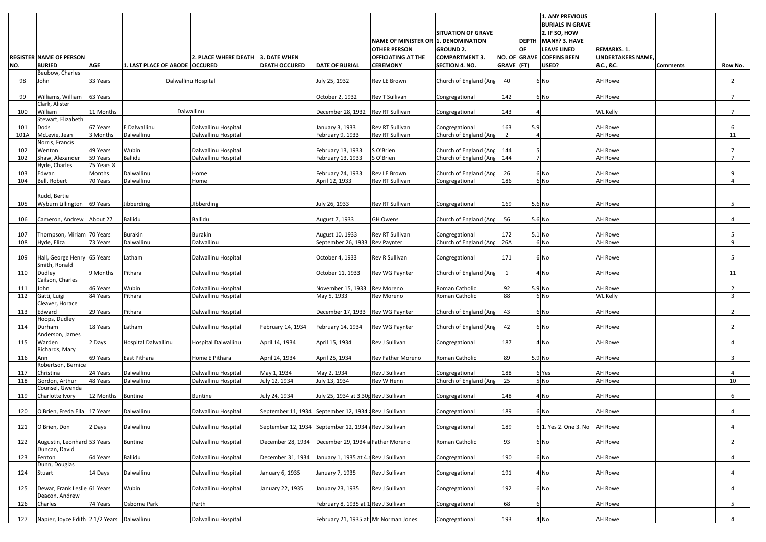|            | <b>REGISTER NAME OF PERSON</b>                 |                    |                                | <b>2. PLACE WHERE DEATH</b> | 3. DATE WHEN                                          |                                        | NAME OF MINISTER OR 1. DENOMINATION<br><b>OTHER PERSON</b><br><b>OFFICIATING AT THE</b> | <b>SITUATION OF GRAVE</b><br><b>GROUND 2.</b><br><b>COMPARTMENT 3.</b> |                | OF  | <b>1. ANY PREVIOUS</b><br><b>BURIALS IN GRAVE</b><br>2. IF SO, HOW<br>DEPTH MANY? 3. HAVE<br><b>LEAVE LINED</b><br>NO. OF GRAVE COFFINS BEEN | <b>REMARKS. 1.</b><br><b>UNDERTAKERS NAME,</b> |                 |                |
|------------|------------------------------------------------|--------------------|--------------------------------|-----------------------------|-------------------------------------------------------|----------------------------------------|-----------------------------------------------------------------------------------------|------------------------------------------------------------------------|----------------|-----|----------------------------------------------------------------------------------------------------------------------------------------------|------------------------------------------------|-----------------|----------------|
| NO.        | <b>BURIED</b>                                  | <b>AGE</b>         | 1. LAST PLACE OF ABODE OCCURED |                             | <b>DEATH OCCURED</b>                                  | <b>DATE OF BURIAL</b>                  | <b>CEREMONY</b>                                                                         | <b>SECTION 4. NO.</b>                                                  | GRAVE (FT)     |     | USED?                                                                                                                                        | &C., &C.                                       | <b>Comments</b> | Row No.        |
| 98         | Beubow, Charles<br>John                        | 33 Years           |                                | Dalwallinu Hospital         |                                                       | July 25, 1932                          | Rev LE Brown                                                                            | Church of England (Ang                                                 | 40             |     | 6 No                                                                                                                                         | <b>AH Rowe</b>                                 |                 | $\overline{2}$ |
|            |                                                |                    |                                |                             |                                                       |                                        |                                                                                         |                                                                        |                |     |                                                                                                                                              |                                                |                 |                |
| 99         | Williams, William<br>Clark, Alister            | 63 Years           |                                |                             |                                                       | October 2, 1932                        | Rev T Sullivan                                                                          | Congregational                                                         | 142            |     | 6 No                                                                                                                                         | <b>AH Rowe</b>                                 |                 | $\overline{7}$ |
| 100        | William                                        | 11 Months          |                                | Dalwallinu                  |                                                       | December 28, 1932                      | Rev RT Sullivan                                                                         | Congregational                                                         | 143            |     |                                                                                                                                              | <b>WL Kelly</b>                                |                 | $\overline{7}$ |
| 101        | Stewart, Elizabeth<br>Dods                     | 67 Years           | E Dalwallinu                   | Dalwallinu Hospital         |                                                       | January 3, 1933                        | Rev RT Sullivan                                                                         | Congregational                                                         | 163            | 5.9 |                                                                                                                                              | <b>AH Rowe</b>                                 |                 | 6              |
| 101A       | McLevie, Jean                                  | 3 Months           | Dalwallinu                     | Dalwallinu Hospital         |                                                       | February 9, 1933                       | Rev RT Sullivan                                                                         | Church of England (Ang                                                 | $\overline{2}$ |     |                                                                                                                                              | AH Rowe                                        |                 | 11             |
|            | Norris, Francis                                | 49 Years           | Wubin                          | Dalwallinu Hospital         |                                                       |                                        |                                                                                         |                                                                        | 144            |     |                                                                                                                                              | <b>AH Rowe</b>                                 |                 | $\overline{7}$ |
| 102<br>102 | Wenton<br>Shaw, Alexander                      | 59 Years           | Ballidu                        | Dalwallinu Hospital         |                                                       | February 13, 1933<br>February 13, 1933 | S O'Brien<br>S O'Brien                                                                  | Church of England (Ang<br>Church of England (Ang                       | 144            |     |                                                                                                                                              | <b>AH Rowe</b>                                 |                 | $\overline{7}$ |
|            | Hyde, Charles                                  | 75 Years 8         |                                |                             |                                                       |                                        |                                                                                         |                                                                        |                |     |                                                                                                                                              |                                                |                 |                |
| 103<br>104 | Edwan<br>Bell, Robert                          | Months<br>70 Years | Dalwallinu<br>Dalwallinu       | Home<br>Home                |                                                       | February 24, 1933<br>April 12, 1933    | Rev LE Brown<br>Rev RT Sullivan                                                         | Church of England (Ang<br>Congregational                               | 26<br>186      |     | 6 No<br>6 No                                                                                                                                 | <b>AH Rowe</b><br><b>AH Rowe</b>               |                 | 9<br>4         |
|            |                                                |                    |                                |                             |                                                       |                                        |                                                                                         |                                                                        |                |     |                                                                                                                                              |                                                |                 |                |
|            | Rudd, Bertie                                   |                    |                                |                             |                                                       |                                        |                                                                                         |                                                                        |                |     |                                                                                                                                              |                                                |                 |                |
| 105        | Wyburn Lillington 69 Years                     |                    | Jibberding                     | <b>Ibberding</b>            |                                                       | July 26, 1933                          | Rev RT Sullivan                                                                         | Congregational                                                         | 169            |     | 5.6 No                                                                                                                                       | <b>AH Rowe</b>                                 |                 | 5              |
| 106        | Cameron, Andrew About 27                       |                    | <b>Ballidu</b>                 | <b>Ballidu</b>              |                                                       | August 7, 1933                         | <b>GH Owens</b>                                                                         | Church of England (Ang                                                 | 56             |     | 5.6 No                                                                                                                                       | <b>AH Rowe</b>                                 |                 | 4              |
| 107        | Thompson, Miriam 70 Years                      |                    | <b>Burakin</b>                 | <b>Burakin</b>              |                                                       | August 10, 1933                        | Rev RT Sullivan                                                                         | Congregational                                                         | 172            |     | $5.1$ No                                                                                                                                     | <b>AH Rowe</b>                                 |                 | 5              |
| 108        | Hyde, Eliza                                    | 73 Years           | Dalwallinu                     | Dalwallinu                  |                                                       | September 26, 1933                     | <b>Rev Paynter</b>                                                                      | Church of England (Ang                                                 | 26A            |     | 6 No                                                                                                                                         | <b>AH Rowe</b>                                 |                 | 9              |
|            |                                                |                    |                                |                             |                                                       |                                        |                                                                                         |                                                                        |                |     |                                                                                                                                              |                                                |                 |                |
| 109        | Hall, George Henry 65 Years<br>Smith, Ronald   |                    | Latham                         | Dalwallinu Hospital         |                                                       | October 4, 1933                        | Rev R Sullivan                                                                          | Congregational                                                         | 171            |     | 6 No                                                                                                                                         | <b>AH Rowe</b>                                 |                 | 5              |
| 110        | <b>Dudley</b>                                  | 9 Months           | Pithara                        | Dalwallinu Hospital         |                                                       | October 11, 1933                       | Rev WG Paynter                                                                          | Church of England (Ang                                                 |                |     | 4 No                                                                                                                                         | <b>AH Rowe</b>                                 |                 | 11             |
| 111        | Cailson, Charles<br>John                       | 46 Years           | Wubin                          | Dalwallinu Hospital         |                                                       | November 15, 1933                      | Rev Moreno                                                                              | Roman Catholic                                                         | 92             |     | 5.9 No                                                                                                                                       | <b>AH Rowe</b>                                 |                 |                |
| 112        | Gatti, Luigi                                   | 84 Years           | Pithara                        | Dalwallinu Hospital         |                                                       | May 5, 1933                            | Rev Moreno                                                                              | Roman Catholic                                                         | 88             |     | 6 No                                                                                                                                         | <b>WL Kelly</b>                                |                 | 3              |
|            | Cleaver, Horace                                | 29 Years           | Pithara                        |                             |                                                       |                                        |                                                                                         |                                                                        |                |     |                                                                                                                                              | <b>AH Rowe</b>                                 |                 |                |
| 113        | Edward<br>Hoops, Dudley                        |                    |                                | Dalwallinu Hospital         |                                                       | December 17, 1933                      | Rev WG Paynter                                                                          | Church of England (Ang                                                 | 43             |     | 6 No                                                                                                                                         |                                                |                 | $\overline{2}$ |
| 114        | Durham                                         | 18 Years           | Latham                         | Dalwallinu Hospital         | February 14, 1934                                     | February 14, 1934                      | Rev WG Paynter                                                                          | Church of England (Ang                                                 | 42             |     | 6 No                                                                                                                                         | <b>AH Rowe</b>                                 |                 | $\overline{2}$ |
| 115        | Anderson, James<br>Warden                      | 2 Days             | <b>Hospital Dalwallinu</b>     | <b>Hospital Dalwallinu</b>  | April 14, 1934                                        | April 15, 1934                         | Rev J Sullivan                                                                          | Congregational                                                         | 187            |     | 4 No                                                                                                                                         | <b>AH Rowe</b>                                 |                 | 4              |
|            | Richards, Mary                                 |                    |                                |                             |                                                       |                                        |                                                                                         |                                                                        |                |     |                                                                                                                                              |                                                |                 |                |
| 116        | Ann<br>Robertson, Bernice                      | 69 Years           | East Pithara                   | Home E Pithara              | April 24, 1934                                        | April 25, 1934                         | Rev Father Moreno                                                                       | Roman Catholic                                                         | 89             |     | $5.9$ No                                                                                                                                     | <b>AH Rowe</b>                                 |                 | 3              |
| 117        | Christina                                      | 24 Years           | Dalwallinu                     | Dalwallinu Hospital         | May 1, 1934                                           | May 2, 1934                            | Rev J Sullivan                                                                          | Congregational                                                         | 188            |     | 6 Yes                                                                                                                                        | <b>AH Rowe</b>                                 |                 | 4              |
| 118        | Gordon, Arthur                                 | 48 Years           | Dalwallinu                     | Dalwallinu Hospital         | July 12, 1934                                         | July 13, 1934                          | Rev W Henn                                                                              | Church of England (Ang                                                 | 25             |     | $5$ No                                                                                                                                       | <b>AH Rowe</b>                                 |                 | 10             |
| 119        | Counsel, Gwenda<br>Charlotte Ivory             | 12 Months Buntine  |                                | <b>Buntine</b>              | July 24, 1934                                         | July 25, 1934 at 3.30p Rev J Sullivan  |                                                                                         | Congregational                                                         | 148            |     | 4 No                                                                                                                                         | <b>AH Rowe</b>                                 |                 | 6              |
|            |                                                |                    |                                |                             |                                                       |                                        |                                                                                         |                                                                        |                |     |                                                                                                                                              |                                                |                 |                |
| 120        | O'Brien, Freda Ella 17 Years                   |                    | Dalwallinu                     | Dalwallinu Hospital         | September 11, 1934 September 12, 1934 Rev J Sullivan  |                                        |                                                                                         | Congregational                                                         | 189            |     | 6 No                                                                                                                                         | <b>AH Rowe</b>                                 |                 | 4              |
| 121        | O'Brien, Don                                   | 2 Days             | Dalwallinu                     | Dalwallinu Hospital         | September 12, 1934 September 12, 1934 aRev J Sullivan |                                        |                                                                                         | Congregational                                                         | 189            |     | 6 1. Yes 2. One 3. No                                                                                                                        | <b>AH Rowe</b>                                 |                 | 4              |
|            |                                                |                    |                                |                             |                                                       |                                        |                                                                                         |                                                                        | 93             |     |                                                                                                                                              | <b>AH Rowe</b>                                 |                 |                |
| 122        | Augustin, Leonhard 53 Years<br>Duncan, David   |                    | <b>Buntine</b>                 | Dalwallinu Hospital         | December 28, 1934                                     | December 29, 1934 a Father Moreno      |                                                                                         | Roman Catholic                                                         |                |     | 6 No                                                                                                                                         |                                                |                 | $\overline{2}$ |
| 123        | Fenton                                         | 64 Years           | Ballidu                        | Dalwallinu Hospital         | December 31, 1934                                     | January 1, 1935 at 4.4 Rev J Sullivan  |                                                                                         | Congregational                                                         | 190            |     | 6 No                                                                                                                                         | <b>AH Rowe</b>                                 |                 | 4              |
| 124        | Dunn, Douglas<br><b>Stuart</b>                 | 14 Days            | Dalwallinu                     | Dalwallinu Hospital         | January 6, 1935                                       | January 7, 1935                        | Rev J Sullivan                                                                          | Congregational                                                         | 191            |     | 4 No                                                                                                                                         | <b>AH Rowe</b>                                 |                 | 4              |
|            |                                                |                    |                                |                             |                                                       |                                        |                                                                                         |                                                                        |                |     |                                                                                                                                              |                                                |                 |                |
| 125        | Dewar, Frank Leslie 61 Years<br>Deacon, Andrew |                    | Wubin                          | Dalwallinu Hospital         | January 22, 1935                                      | January 23, 1935                       | Rev J Sullivan                                                                          | Congregational                                                         | 192            |     | 6 No                                                                                                                                         | <b>AH Rowe</b>                                 |                 |                |
| 126        | Charles                                        | 74 Years           | Osborne Park                   | Perth                       |                                                       | February 8, 1935 at 1 Rev J Sullivan   |                                                                                         | Congregational                                                         | 68             |     |                                                                                                                                              | <b>AH Rowe</b>                                 |                 | 5              |
|            |                                                |                    |                                |                             |                                                       |                                        |                                                                                         |                                                                        |                |     |                                                                                                                                              |                                                |                 |                |
| 127        | Napier, Joyce Edith 2 1/2 Years Dalwallinu     |                    |                                | Dalwallinu Hospital         |                                                       | February 21, 1935 at Mr Norman Jones   |                                                                                         | Congregational                                                         | 193            |     | 4 No                                                                                                                                         | <b>AH Rowe</b>                                 |                 | 4              |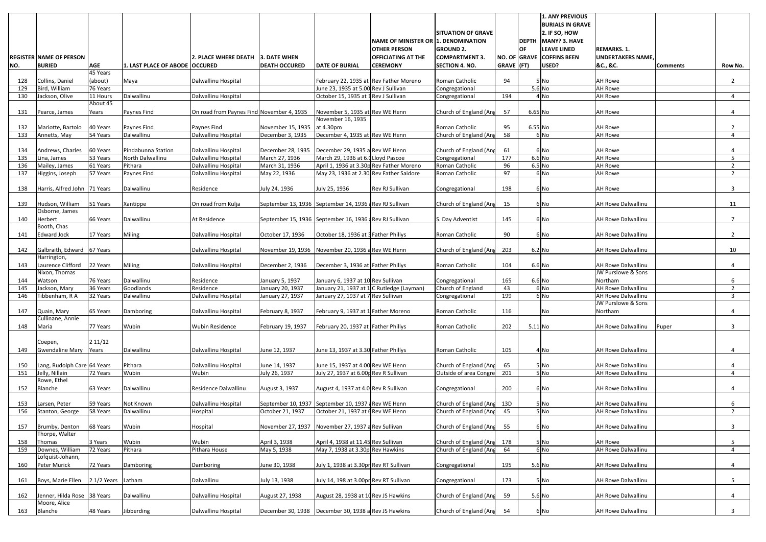|            |                                             |                      |                                        |                                            |                                                                        |                                                                         |                                                            |                                                  |                  |           | <b>1. ANY PREVIOUS</b><br><b>BURIALS IN GRAVE</b> |                                                 |                 |                     |
|------------|---------------------------------------------|----------------------|----------------------------------------|--------------------------------------------|------------------------------------------------------------------------|-------------------------------------------------------------------------|------------------------------------------------------------|--------------------------------------------------|------------------|-----------|---------------------------------------------------|-------------------------------------------------|-----------------|---------------------|
|            |                                             |                      |                                        |                                            |                                                                        |                                                                         |                                                            | <b>SITUATION OF GRAVE</b>                        |                  |           | 2. IF SO, HOW<br>DEPTH MANY? 3. HAVE              |                                                 |                 |                     |
|            |                                             |                      |                                        |                                            |                                                                        |                                                                         | NAME OF MINISTER OR 1. DENOMINATION<br><b>OTHER PERSON</b> | <b>GROUND 2.</b>                                 |                  | <b>OF</b> | <b>LEAVE LINED</b>                                | <b>REMARKS. 1.</b>                              |                 |                     |
|            | <b>REGISTER NAME OF PERSON</b>              |                      |                                        | l2. PLACE WHERE DEATH                      | 3. DATE WHEN                                                           |                                                                         | <b>OFFICIATING AT THE</b>                                  | <b>COMPARTMENT 3.</b>                            |                  |           | NO. OF GRAVE COFFINS BEEN                         | <b>UNDERTAKERS NAME</b>                         |                 |                     |
| NO.        | <b>BURIED</b>                               | <b>AGE</b>           | 1. LAST PLACE OF ABODE   OCCURED       |                                            | <b>DEATH OCCURED</b>                                                   | <b>DATE OF BURIAL</b>                                                   | <b>CEREMONY</b>                                            | <b>SECTION 4. NO.</b>                            | $GRAVE$ (FT)     |           | USED?                                             | &C., &C.                                        | <b>Comments</b> | Row No.             |
| 128        | Collins, Daniel                             | 45 Years<br>(about)  | Maya                                   | Dalwallinu Hospital                        |                                                                        | February 22, 1935 at Rev Father Moreno                                  |                                                            | Roman Catholic                                   | 94               |           | 5 No                                              | <b>AH Rowe</b>                                  |                 | $2^{\circ}$         |
| 129        | Bird, William                               | 76 Years             |                                        |                                            |                                                                        | June 23, 1935 at 5.00 Rev J Sullivan                                    |                                                            | Congregational                                   |                  |           | 5.6 No                                            | <b>AH Rowe</b>                                  |                 |                     |
| 130        | Jackson, Olive                              | 11 Hours             | Dalwallinu                             | Dalwallinu Hospital                        |                                                                        | October 15, 1935 at 1 Rev J Sullivan                                    |                                                            | Congregational                                   | 194              |           | 4 No                                              | <b>AH Rowe</b>                                  |                 | 4                   |
| 131        | Pearce, James                               | About 45<br>Years    | Paynes Find                            | On road from Paynes Find November 4, 1935  |                                                                        | November 5, 1935 at Rev WE Henn                                         |                                                            | Church of England (Ang                           | 57               | 6.65 No   |                                                   | <b>AH Rowe</b>                                  |                 | 4                   |
| 132        | Mariotte, Bartolo                           | 40 Years             | Paynes Find                            | Paynes Find                                | November 15, 1935                                                      | November 16, 1935<br>at 4.30pm                                          |                                                            | Roman Catholic                                   | 95               | 6.55 No   |                                                   | <b>AH Rowe</b>                                  |                 | 2                   |
| 133        | Annetts, May                                | 54 Years             | Dalwallinu                             | Dalwallinu Hospital                        | December 3, 1935                                                       | December 4, 1935 at Rev WE Henn                                         |                                                            | Church of England (Ang                           | 58               |           | 6 No                                              | <b>AH Rowe</b>                                  |                 | 4                   |
|            |                                             |                      |                                        |                                            |                                                                        |                                                                         |                                                            |                                                  |                  |           |                                                   |                                                 |                 |                     |
| 134<br>135 | Andrews, Charles<br>Lina, James             | 60 Years<br>53 Years | Pindabunna Station<br>North Dalwallinu | Dalwallinu Hospital<br>Dalwallinu Hospital | December 28, 1935<br>March 27, 1936                                    | December 29, 1935 a Rev WE Henn<br>March 29, 1936 at 6.0 Lloyd Pascoe   |                                                            | Church of England (Ang<br>Congregational         | 61<br>177        |           | 6 No<br>$6.6$ No                                  | <b>AH Rowe</b><br><b>AH Rowe</b>                |                 | 4<br>5              |
| 136        | Mailey, James                               | 61 Years             | Pithara                                | Dalwallinu Hospital                        | March 31, 1936                                                         | April 1, 1936 at 3.30p Rev Father Moreno                                |                                                            | Roman Catholic                                   | 96               |           | $6.5$ No                                          | <b>AH Rowe</b>                                  |                 | 2                   |
| 137        | Higgins, Joseph                             | 57 Years             | Paynes Find                            | Dalwallinu Hospital                        | May 22, 1936                                                           | May 23, 1936 at 2.30 Rev Father Saidore                                 |                                                            | Roman Catholic                                   | 97               |           | 6 No                                              | <b>AH Rowe</b>                                  |                 | $\overline{2}$      |
|            |                                             |                      |                                        |                                            |                                                                        |                                                                         |                                                            |                                                  |                  |           |                                                   |                                                 |                 |                     |
| 138        | Harris, Alfred John 71 Years                |                      | Dalwallinu                             | Residence                                  | July 24, 1936                                                          | July 25, 1936                                                           | Rev RJ Sullivan                                            | Congregational                                   | 198              |           | 6 No                                              | <b>AH Rowe</b>                                  |                 | 3                   |
| 139        | Hudson, William                             | 51 Years             | Xantippe                               | On road from Kulja                         | September 13, 1936 September 14, 1936 Rev RJ Sullivan                  |                                                                         |                                                            | Church of England (Ang                           | 15               |           | 6 No                                              | <b>AH Rowe Dalwallinu</b>                       |                 | 11                  |
|            | Osborne, James                              |                      |                                        |                                            |                                                                        |                                                                         |                                                            |                                                  |                  |           |                                                   |                                                 |                 |                     |
| 140        | Herbert<br>Booth, Chas                      | 66 Years             | Dalwallinu                             | At Residence                               | September 15, 1936 September 16, 1936 aRev RJ Sullivan                 |                                                                         |                                                            | S. Day Adventist                                 | 145              |           | 6 No                                              | <b>AH Rowe Dalwallinu</b>                       |                 | $\overline{7}$      |
| 141        | <b>Edward Jock</b>                          | 17 Years             | Miling                                 | Dalwallinu Hospital                        | October 17, 1936                                                       | October 18, 1936 at 3 Father Phillys                                    |                                                            | Roman Catholic                                   | 90               |           | 6 No                                              | <b>AH Rowe Dalwallinu</b>                       |                 | $2^{\circ}$         |
| 142        | Galbraith, Edward 67 Years                  |                      |                                        | Dalwallinu Hospital                        | November 19, 1936 November 20, 1936 a Rev WE Henn                      |                                                                         |                                                            | Church of England (Ang                           | 203              |           | 6.2 No                                            | <b>AH Rowe Dalwallinu</b>                       |                 | 10                  |
|            | Harrington,                                 |                      |                                        |                                            |                                                                        |                                                                         |                                                            |                                                  |                  |           |                                                   |                                                 |                 |                     |
| 143        | Laurence Clifford<br>Nixon, Thomas          | 22 Years             | Miling                                 | Dalwallinu Hospital                        | December 2, 1936                                                       | December 3, 1936 at Father Phillys                                      |                                                            | Roman Catholic                                   | 104              |           | 6.6 No                                            | AH Rowe Dalwallinu<br>JW Purslowe & Sons        |                 | 4                   |
| 144        | Watson                                      | 76 Years             | Dalwallinu                             | Residence                                  | January 5, 1937                                                        | January 6, 1937 at 10 Rev Sullivan                                      |                                                            | Congregational                                   | 165              |           | $6.6$ No                                          | Northam                                         |                 | 6                   |
| 145        | Jackson, Mary                               | 36 Years             | Goodlands                              | Residence                                  | January 20, 1937                                                       | January 21, 1937 at 1 C Rutledge (Layman)                               |                                                            | Church of England                                | 43               |           | 6 No                                              | AH Rowe Dalwallinu                              |                 | $\overline{2}$      |
| 146        | Tibbenham, RA                               | 32 Years             | Dalwallinu                             | Dalwallinu Hospital                        | January 27, 1937                                                       | January 27, 1937 at 7 Rev Sullivan                                      |                                                            | Congregational                                   | 199              |           | 6 <sub>No</sub>                                   | <b>AH Rowe Dalwallinu</b>                       |                 | 3                   |
| 147        | Quain, Mary                                 | 65 Years             | Damboring                              | Dalwallinu Hospital                        | February 8, 1937                                                       | February 9, 1937 at 1 Father Moreno                                     |                                                            | Roman Catholic                                   | 116              |           | No                                                | JW Purslowe & Sons<br>Northam                   |                 | 4                   |
|            | Cullinane, Annie                            |                      |                                        |                                            |                                                                        |                                                                         |                                                            |                                                  |                  |           |                                                   |                                                 |                 |                     |
| 148        | Maria                                       | 77 Years             | Wubin                                  | <b>Wubin Residence</b>                     | February 19, 1937                                                      | February 20, 1937 at Father Phillys                                     |                                                            | Roman Catholic                                   | 202              | $5.11$ No |                                                   | <b>AH Rowe Dalwallinu</b>                       | Puper           | 3                   |
|            |                                             | 211/12               |                                        |                                            |                                                                        |                                                                         |                                                            |                                                  |                  |           |                                                   |                                                 |                 |                     |
| 149        | Coepen,<br>Gwendaline Mary Years            |                      | Dalwallinu                             | Dalwallinu Hospital                        | June 12, 1937                                                          | June 13, 1937 at 3.30 Father Phillys                                    |                                                            | Roman Catholic                                   | 105              |           | 4 No                                              | <b>AH Rowe Dalwallinu</b>                       |                 | 4                   |
|            |                                             |                      |                                        |                                            |                                                                        |                                                                         |                                                            |                                                  |                  |           |                                                   |                                                 |                 |                     |
| 150        | Lang, Rudolph Care 64 Years                 |                      | Pithara                                | Dalwallinu Hospital                        | June 14, 1937                                                          | June 15, 1937 at 4.00 Rev WE Henn                                       |                                                            | Church of England (Ang                           | 65               |           | 5 No                                              | AH Rowe Dalwallinu                              |                 | 4                   |
| 151        | Jelly, Nillain<br>Rowe, Ethel               | 72 Years             | Wubin                                  | Wubin                                      | July 26, 1937                                                          | July 27, 1937 at 6.00p Rev R Sullivan                                   |                                                            | Outside of area Congre                           | $\overline{201}$ |           | 5 No                                              | <b>AH Rowe Dalwallinu</b>                       |                 | $\overline{4}$      |
| 152        | Blanche                                     | 63 Years             | Dalwallinu                             | Residence Dalwallinu                       | August 3, 1937                                                         | August 4, 1937 at 4.0 Rev R Sullivan                                    |                                                            | Congregational                                   | 200              |           | 6 No                                              | <b>AH Rowe Dalwallinu</b>                       |                 | 4                   |
|            |                                             |                      |                                        |                                            |                                                                        |                                                                         |                                                            |                                                  |                  |           |                                                   |                                                 |                 |                     |
| 153<br>156 | Larsen, Peter                               | 59 Years<br>58 Years | Not Known<br>Dalwallinu                | Dalwallinu Hospital<br>Hospital            | September 10, 1937 September 10, 1937 aRev WE Henn<br>October 21, 1937 | October 21, 1937 at 6 Rev WE Henn                                       |                                                            | Church of England (Ang<br>Church of England (Ang | 13D<br>45        |           | 5 No<br>5 No                                      | <b>AH Rowe Dalwallinu</b><br>AH Rowe Dalwallinu |                 | 6<br>$\overline{2}$ |
|            | Stanton, George                             |                      |                                        |                                            |                                                                        |                                                                         |                                                            |                                                  |                  |           |                                                   |                                                 |                 |                     |
| 157        | Brumby, Denton                              | 68 Years             | Wubin                                  | Hospital                                   | November 27, 1937                                                      | November 27, 1937 a Rev Sullivan                                        |                                                            | Church of England (Ang                           | 55               |           | 6 No                                              | <b>AH Rowe Dalwallinu</b>                       |                 | 3                   |
|            | Thorpe, Walter                              |                      |                                        |                                            |                                                                        |                                                                         |                                                            |                                                  |                  |           |                                                   |                                                 |                 |                     |
| 158<br>159 | Thomas<br>Downes, William                   | 3 Years<br>72 Years  | Wubin<br>Pithara                       | Wubin<br>Pithara House                     | April 3, 1938<br>May 5, 1938                                           | April 4, 1938 at 11.45 Rev Sullivan<br>May 7, 1938 at 3.30p Rev Hawkins |                                                            | Church of England (Ang<br>Church of England (Ang | 178<br>64        |           | 5 No<br>6 No                                      | <b>AH Rowe</b><br>AH Rowe Dalwallinu            |                 | 5 <sub>1</sub><br>4 |
|            | Lofquist-Johann,                            |                      |                                        |                                            |                                                                        |                                                                         |                                                            |                                                  |                  |           |                                                   |                                                 |                 |                     |
| 160        | Peter Murick                                | 72 Years             | Damboring                              | Damboring                                  | June 30, 1938                                                          | July 1, 1938 at 3.30pr Rev RT Sullivan                                  |                                                            | Congregational                                   | 195              |           | 5.6 No                                            | <b>AH Rowe Dalwallinu</b>                       |                 | 4                   |
|            |                                             |                      |                                        |                                            |                                                                        |                                                                         |                                                            |                                                  |                  |           |                                                   |                                                 |                 |                     |
| 161        | Boys, Marie Ellen                           | 2 1/2 Years Latham   |                                        | Dalwallinu                                 | July 13, 1938                                                          | July 14, 198 at 3.00pr Rev RT Sullivan                                  |                                                            | Congregational                                   | 173              |           | 5 No                                              | <b>AH Rowe Dalwallinu</b>                       |                 | 5 <sub>1</sub>      |
| 162        | Jenner, Hilda Rose 38 Years<br>Moore, Alice |                      | Dalwallinu                             | Dalwallinu Hospital                        | August 27, 1938                                                        | August 28, 1938 at 10 Rev JS Hawkins                                    |                                                            | Church of England (Ang                           | 59               |           | 5.6 No                                            | <b>AH Rowe Dalwallinu</b>                       |                 | 4                   |
| 163        | Blanche                                     | 48 Years             | Jibberding                             | Dalwallinu Hospital                        | December 30, 1938   December 30, 1938 a Rev JS Hawkins                 |                                                                         |                                                            | Church of England (Ang                           | 54               |           | 6 No                                              | <b>AH Rowe Dalwallinu</b>                       |                 | 3                   |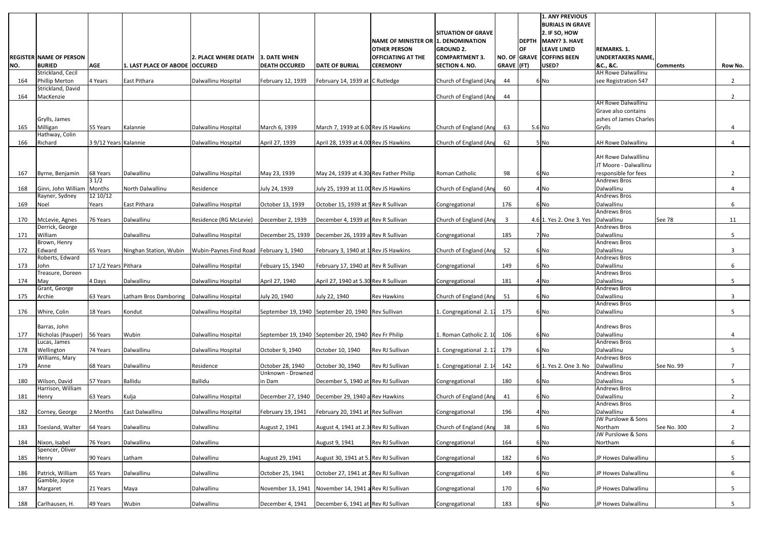|     |                                    |                       |                                             |                                         |                                                     |                                        |                                     |                           |                         |           | <b>1. ANY PREVIOUS</b>    |                                             |                 |                |
|-----|------------------------------------|-----------------------|---------------------------------------------|-----------------------------------------|-----------------------------------------------------|----------------------------------------|-------------------------------------|---------------------------|-------------------------|-----------|---------------------------|---------------------------------------------|-----------------|----------------|
|     |                                    |                       |                                             |                                         |                                                     |                                        |                                     |                           |                         |           | <b>BURIALS IN GRAVE</b>   |                                             |                 |                |
|     |                                    |                       |                                             |                                         |                                                     |                                        |                                     | <b>SITUATION OF GRAVE</b> |                         |           | 2. IF SO, HOW             |                                             |                 |                |
|     |                                    |                       |                                             |                                         |                                                     |                                        | NAME OF MINISTER OR 1. DENOMINATION |                           |                         |           | DEPTH MANY? 3. HAVE       |                                             |                 |                |
|     |                                    |                       |                                             |                                         |                                                     |                                        | <b>OTHER PERSON</b>                 | <b>GROUND 2.</b>          |                         | <b>OF</b> | <b>LEAVE LINED</b>        | <b>REMARKS. 1.</b>                          |                 |                |
|     | <b>REGISTER NAME OF PERSON</b>     |                       |                                             | 2. PLACE WHERE DEATH 3. DATE WHEN       |                                                     |                                        | <b>OFFICIATING AT THE</b>           | <b>COMPARTMENT 3.</b>     |                         |           | NO. OF GRAVE COFFINS BEEN | <b>UNDERTAKERS NAME</b>                     |                 |                |
|     |                                    |                       |                                             |                                         |                                                     |                                        |                                     |                           |                         |           |                           |                                             |                 |                |
| NO. | <b>BURIED</b><br>Strickland, Cecil | <b>AGE</b>            | 1. LAST PLACE OF ABODE OCCURED              |                                         | <b>DEATH OCCURED</b>                                | <b>DATE OF BURIAL</b>                  | <b>CEREMONY</b>                     | <b>SECTION 4. NO.</b>     | GRAVE (FT)              |           | USED?                     | &C., &C.<br><b>AH Rowe Dalwallinu</b>       | <b>Comments</b> | Row No.        |
|     |                                    |                       |                                             |                                         |                                                     |                                        |                                     |                           |                         |           |                           |                                             |                 |                |
| 164 | <b>Phillip Merton</b>              | 4 Years               | East Pithara                                | Dalwallinu Hospital                     | February 12, 1939                                   | February 14, 1939 at C Rutledge        |                                     | Church of England (Ang    | 44                      |           | 6 No                      | see Registration 547                        |                 | $\overline{2}$ |
|     | Strickland, David                  |                       |                                             |                                         |                                                     |                                        |                                     |                           |                         |           |                           |                                             |                 |                |
| 164 | MacKenzie                          |                       |                                             |                                         |                                                     |                                        |                                     | Church of England (Ang    | 44                      |           |                           | <b>AH Rowe Dalwallinu</b>                   |                 | $\overline{2}$ |
|     |                                    |                       |                                             |                                         |                                                     |                                        |                                     |                           |                         |           |                           | Grave also contains                         |                 |                |
|     |                                    |                       |                                             |                                         |                                                     |                                        |                                     |                           |                         |           |                           | ashes of James Charles                      |                 |                |
|     | Grylls, James                      |                       |                                             |                                         |                                                     |                                        |                                     |                           |                         |           |                           |                                             |                 |                |
| 165 | Milligan<br>Hathway, Colin         | 55 Years              | Kalannie                                    | Dalwallinu Hospital                     | March 6, 1939                                       | March 7, 1939 at 6.00 Rev JS Hawkins   |                                     | Church of England (Ang    | 63                      |           | 5.6 No                    | Grylls                                      |                 | 4              |
|     |                                    |                       |                                             |                                         |                                                     |                                        |                                     |                           |                         |           |                           |                                             |                 |                |
| 166 | Richard                            | 3 9/12 Years Kalannie |                                             | Dalwallinu Hospital                     | April 27, 1939                                      | April 28, 1939 at 4.00 Rev JS Hawkins  |                                     | Church of England (Ang    | 62                      |           | 5 No                      | <b>AH Rowe Dalwallinu</b>                   |                 | 4              |
|     |                                    |                       |                                             |                                         |                                                     |                                        |                                     |                           |                         |           |                           | <b>AH Rowe Dalwalllinu</b>                  |                 |                |
|     |                                    |                       |                                             |                                         |                                                     |                                        |                                     |                           |                         |           |                           | JT Moore - Dalwallinu                       |                 |                |
|     |                                    |                       |                                             |                                         |                                                     |                                        |                                     |                           |                         |           |                           |                                             |                 |                |
| 167 | Byrne, Benjamin                    | 68 Years              | Dalwallinu                                  | Dalwallinu Hospital                     | May 23, 1939                                        | May 24, 1939 at 4.30 Rev Father Philip |                                     | Roman Catholic            | 98                      |           | 6 No                      | responsible for fees<br><b>Andrews Bros</b> |                 |                |
|     |                                    | 31/2                  | North Dalwallinu                            |                                         |                                                     |                                        |                                     |                           |                         |           |                           | Dalwallinu                                  |                 | 4              |
| 168 | Ginn, John William Months          | 12 10/12              |                                             | Residence                               | July 24, 1939                                       | July 25, 1939 at 11.00 Rev JS Hawkins  |                                     | Church of England (Ang    | 60                      |           | 4 No                      | <b>Andrews Bros</b>                         |                 |                |
|     | Rayner, Sydney                     |                       |                                             |                                         |                                                     |                                        |                                     |                           |                         |           |                           | Dalwallinu                                  |                 |                |
| 169 | Noel                               | Years                 | East Pithara                                | Dalwallinu Hospital                     | October 13, 1939                                    | October 15, 1939 at 5 Rev R Sullivan   |                                     | Congregational            | 176                     |           | 6 No                      | <b>Andrews Bros</b>                         |                 | 6              |
|     |                                    |                       |                                             |                                         |                                                     |                                        |                                     |                           |                         |           |                           | Dalwallinu                                  |                 |                |
| 170 | McLevie, Agnes<br>Derrick, George  | 76 Years              | Dalwallinu                                  | Residence (RG McLevie)                  | December 2, 1939                                    | December 4, 1939 at Rev R Sullivan     |                                     | Church of England (Ang    | $\overline{\mathbf{3}}$ |           | 4.6 1. Yes 2. One 3. Yes  | <b>Andrews Bros</b>                         | See 78          | 11             |
|     | William                            |                       | Dalwallinu                                  |                                         |                                                     | December 26, 1939 a Rev R Sullivan     |                                     |                           | 185                     |           |                           | Dalwallinu                                  |                 | 5              |
| 171 | Brown, Henry                       |                       |                                             | Dalwallinu Hospital                     | December 25, 1939                                   |                                        |                                     | Congregational            |                         |           | 7 No                      | <b>Andrews Bros</b>                         |                 |                |
|     |                                    | 65 Years              | Ninghan Station, Wubin                      |                                         |                                                     |                                        |                                     |                           |                         |           | 6 No                      | Dalwallinu                                  |                 | 3              |
| 172 | Edward<br>Roberts, Edward          |                       |                                             | Wubin-Paynes Find Road February 1, 1940 |                                                     | February 3, 1940 at 1 Rev JS Hawkins   |                                     | Church of England (Ang    | 52                      |           |                           | <b>Andrews Bros</b>                         |                 |                |
|     |                                    | 17 1/2 Years Pithara  |                                             | Dalwallinu Hospital                     |                                                     | February 17, 1940 at Rev R Sullivan    |                                     |                           | 149                     |           |                           | Dalwallinu                                  |                 | 6              |
| 173 | John<br>Treasure, Doreen           |                       |                                             |                                         | Febuary 15, 1940                                    |                                        |                                     | Congregational            |                         |           | 6 No                      | <b>Andrews Bros</b>                         |                 |                |
|     |                                    | 4 Days                | Dalwallinu                                  | Dalwallinu Hospital                     | April 27, 1940                                      | April 27, 1940 at 5.30 Rev R Sullivan  |                                     |                           | 181                     |           | 4 No                      | Dalwallinu                                  |                 | 5              |
| 174 | May<br>Grant, George               |                       |                                             |                                         |                                                     |                                        |                                     | Congregational            |                         |           |                           | <b>Andrews Bros</b>                         |                 |                |
| 175 | Archie                             | 63 Years              | Latham Bros Damboring   Dalwallinu Hospital |                                         | July 20, 1940                                       | July 22, 1940                          | <b>Rev Hawkins</b>                  | Church of England (Ang    | 51                      |           | 6 No                      | Dalwallinu                                  |                 | 3              |
|     |                                    |                       |                                             |                                         |                                                     |                                        |                                     |                           |                         |           |                           | <b>Andrews Bros</b>                         |                 |                |
| 176 | Whire, Colin                       | 18 Years              | Kondut                                      | Dalwallinu Hospital                     | September 19, 1940 September 20, 1940 Rev Sullivan  |                                        |                                     | 1. Congregational 2.1     | 175                     |           | 6 No                      | Dalwallinu                                  |                 | 5              |
|     |                                    |                       |                                             |                                         |                                                     |                                        |                                     |                           |                         |           |                           |                                             |                 |                |
|     | Barras, John                       |                       |                                             |                                         |                                                     |                                        |                                     |                           |                         |           |                           | <b>Andrews Bros</b>                         |                 |                |
| 177 | Nicholas (Pauper)                  | 56 Years              | Wubin                                       | Dalwallinu Hospital                     | September 19, 1940 September 20, 1940 Rev Fr Philip |                                        |                                     | 1. Roman Catholic 2. 10   | 106                     |           | 6 No                      | Dalwallinu                                  |                 | 4              |
|     | Lucas, James                       |                       |                                             |                                         |                                                     |                                        |                                     |                           |                         |           |                           | <b>Andrews Bros</b>                         |                 |                |
| 178 | Wellington                         | 74 Years              | Dalwallinu                                  | Dalwallinu Hospital                     | October 9, 1940                                     | October 10, 1940                       | Rev RJ Sullivan                     | 1. Congregational 2.1     | 179                     |           | 6 No                      | Dalwallinu                                  |                 | 5              |
|     | Williams, Mary                     |                       |                                             |                                         |                                                     |                                        |                                     |                           |                         |           |                           | <b>Andrews Bros</b>                         |                 |                |
| 179 | Anne                               | 68 Years              | Dalwallinu                                  | Residence                               | October 28, 1940                                    | October 30, 1940                       | Rev RJ Sullivan                     | 1. Congregational 2.14    | 142                     |           | 6 1. Yes 2. One 3. No     | Dalwallinu                                  | See No. 99      | $\overline{7}$ |
|     |                                    |                       |                                             |                                         | Unknown - Drowned                                   |                                        |                                     |                           |                         |           |                           | <b>Andrews Bros</b>                         |                 |                |
| 180 | Wilson, David                      | 57 Years              | Ballidu                                     | Ballidu                                 | in Dam                                              | December 5, 1940 at Rev RJ Sullivan    |                                     | Congregational            | 180                     |           | 6 No                      | Dalwallinu                                  |                 | 5              |
|     | Harrison, William                  |                       |                                             |                                         |                                                     |                                        |                                     |                           |                         |           |                           | <b>Andrews Bros</b>                         |                 |                |
| 181 | Henry                              | 63 Years              | Kulja                                       | Dalwallinu Hospital                     | December 27, 1940                                   | December 29, 1940 a Rev Hawkins        |                                     | Church of England (Ang    | 41                      |           | 6 No                      | Dalwallinu                                  |                 | $2^{\circ}$    |
|     |                                    |                       |                                             |                                         |                                                     |                                        |                                     |                           |                         |           |                           | <b>Andrews Bros</b>                         |                 |                |
| 182 | Corney, George                     | 2 Months              | East Dalwallinu                             | Dalwallinu Hospital                     | February 19, 1941                                   | February 20, 1941 at Rev Sullivan      |                                     | Congregational            | 196                     |           | 4 No                      | Dalwallinu                                  |                 | 4              |
|     |                                    |                       |                                             |                                         |                                                     |                                        |                                     |                           |                         |           |                           | JW Purslowe & Sons                          |                 |                |
| 183 | Toesland, Walter                   | 64 Years              | Dalwallinu                                  | Dalwallinu                              | August 2, 1941                                      | August 4, 1941 at 2.3 Rev RJ Sullivan  |                                     | Church of England (Ang    | 38                      |           | 6 No                      | Northam                                     | See No. 300     | $2^{\circ}$    |
|     |                                    |                       |                                             |                                         |                                                     |                                        |                                     |                           |                         |           |                           | JW Purslowe & Sons                          |                 |                |
| 184 | Nixon, Isabel                      | 76 Years              | Dalwallinu                                  | Dalwallinu                              |                                                     | August 9, 1941                         | Rev RJ Sullivan                     | Congregational            | 164                     |           | 6 No                      | Northam                                     |                 | 6              |
|     | Spencer, Oliver                    |                       |                                             |                                         |                                                     |                                        |                                     |                           |                         |           |                           |                                             |                 |                |
| 185 | Henry                              | 90 Years              | Latham                                      | Dalwallinu                              | August 29, 1941                                     | August 30, 1941 at 5. Rev RJ Sullivan  |                                     | Congregational            | 182                     |           | 6 No                      | JP Howes Dalwallinu                         |                 | 5 <sub>1</sub> |
|     |                                    |                       |                                             |                                         |                                                     |                                        |                                     |                           |                         |           |                           |                                             |                 |                |
| 186 | Patrick, William                   | 65 Years              | Dalwallinu                                  | Dalwallinu                              | October 25, 1941                                    | October 27, 1941 at 2 Rev RJ Sullivan  |                                     | Congregational            | 149                     |           | 6 No                      | JP Howes Dalwallinu                         |                 | 6              |
|     | Gamble, Joyce                      |                       |                                             |                                         |                                                     |                                        |                                     |                           |                         |           |                           |                                             |                 |                |
| 187 | Margaret                           | 21 Years              | Maya                                        | Dalwallinu                              | November 13, 1941                                   | November 14, 1941 a Rev RJ Sullivan    |                                     | Congregational            | 170                     |           | 6 No                      | JP Howes Dalwallinu                         |                 | 5 <sub>1</sub> |
|     |                                    |                       |                                             |                                         |                                                     |                                        |                                     |                           |                         |           |                           |                                             |                 |                |
| 188 | Carlhausen, H.                     | 49 Years              | Wubin                                       | Dalwallinu                              | December 4, 1941                                    | December 6, 1941 at Rev RJ Sullivan    |                                     | Congregational            | 183                     |           | 6 No                      | JP Howes Dalwallinu                         |                 | 5              |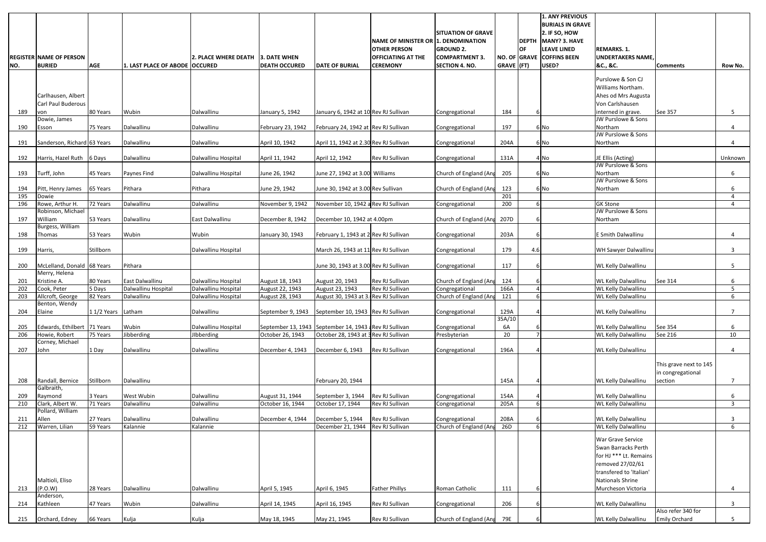|                  |                                                 |                      |                                   |                                            |                                             |                                                          |                                                                    |                                               |                                   |                      | 1. ANY PREVIOUS<br><b>BURIALS IN GRAVE</b>             |                                                   |                                             |                     |
|------------------|-------------------------------------------------|----------------------|-----------------------------------|--------------------------------------------|---------------------------------------------|----------------------------------------------------------|--------------------------------------------------------------------|-----------------------------------------------|-----------------------------------|----------------------|--------------------------------------------------------|---------------------------------------------------|---------------------------------------------|---------------------|
|                  |                                                 |                      |                                   |                                            |                                             |                                                          | <b>INAME OF MINISTER OR 1. DENOMINATION</b><br><b>OTHER PERSON</b> | <b>SITUATION OF GRAVE</b><br><b>GROUND 2.</b> |                                   | <b>DEPTH</b><br>IOF. | $2.$ IF SO, HOW<br>MANY? 3. HAVE<br><b>LEAVE LINED</b> | <b>REMARKS. 1.</b>                                |                                             |                     |
| NO.              | <b>REGISTER NAME OF PERSON</b><br><b>BURIED</b> | <b>AGE</b>           | 1. LAST PLACE OF ABODE   OCCURED  | <b>2. PLACE WHERE DEATH</b>                | <b>3. DATE WHEN</b><br><b>DEATH OCCURED</b> | <b>DATE OF BURIAL</b>                                    | <b>OFFICIATING AT THE</b><br><b>CEREMONY</b>                       | <b>COMPARTMENT 3</b><br><b>SECTION 4. NO.</b> | <b>NO. OF GRAVE</b><br>GRAVE (FT) |                      | <b>COFFINS BEEN</b><br>USED?                           | <b>UNDERTAKERS NAME</b><br>&C., &C.               | <b>Comments</b>                             | Row No.             |
|                  |                                                 |                      |                                   |                                            |                                             |                                                          |                                                                    |                                               |                                   |                      |                                                        | Purslowe & Son CJ                                 |                                             |                     |
|                  |                                                 |                      |                                   |                                            |                                             |                                                          |                                                                    |                                               |                                   |                      |                                                        | Williams Northam.                                 |                                             |                     |
|                  | Carlhausen, Albert                              |                      |                                   |                                            |                                             |                                                          |                                                                    |                                               |                                   |                      |                                                        | Ahes od Mrs Augusta                               |                                             |                     |
| 189              | Carl Paul Buderous                              | 80 Years             | Wubin                             | Dalwallinu                                 |                                             | January 6, 1942 at 10 Rev RJ Sullivan                    |                                                                    |                                               |                                   | 6                    |                                                        | Von Carlshausen<br>interned in grave.             | See 357                                     | 5                   |
|                  | von<br>Dowie, James                             |                      |                                   |                                            | January 5, 1942                             |                                                          |                                                                    | Congregational                                | 184                               |                      |                                                        | JW Purslowe & Sons                                |                                             |                     |
| 190              | Esson                                           | 75 Years             | Dalwallinu                        | Dalwallinu                                 | February 23, 1942                           | February 24, 1942 at Rev RJ Sullivan                     |                                                                    | Congregational                                | 197                               |                      | 6 No                                                   | Northam                                           |                                             | 4                   |
| 191              | Sanderson, Richard 63 Years                     |                      | Dalwallinu                        | Dalwallinu                                 | April 10, 1942                              | April 11, 1942 at 2.30 Rev RJ Sullivan                   |                                                                    | Congregational                                | 204A                              |                      | 6 No                                                   | JW Purslowe & Sons<br>Northam                     |                                             | 4                   |
|                  |                                                 |                      |                                   |                                            |                                             |                                                          |                                                                    |                                               |                                   |                      |                                                        |                                                   |                                             |                     |
| 192              | Harris, Hazel Ruth 6 Days                       |                      | Dalwallinu                        | Dalwallinu Hospital                        | April 11, 1942                              | April 12, 1942                                           | Rev RJ Sullivan                                                    | Congregational                                | 131A                              |                      | 4 No                                                   | JE Ellis (Acting)<br>JW Purslowe & Sons           |                                             | Unknown             |
| 193              | Turff, John                                     | 45 Years             | Paynes Find                       | Dalwallinu Hospital                        | June 26, 1942                               | June 27, 1942 at 3.00 Williams                           |                                                                    | Church of England (Ang                        | 205                               |                      | 6 No                                                   | Northam                                           |                                             | 6                   |
|                  |                                                 |                      |                                   |                                            |                                             | June 30, 1942 at 3.00 Rev Sullivan                       |                                                                    |                                               |                                   |                      |                                                        | JW Purslowe & Sons                                |                                             |                     |
| 194<br>195       | Pitt, Henry James<br>Dowie                      | 65 Years             | Pithara                           | Pithara                                    | June 29, 1942                               |                                                          |                                                                    | Church of England (Ang                        | 123<br>201                        |                      | 6 No                                                   | Northam                                           |                                             | 6<br>$\overline{4}$ |
| 196              | Rowe, Arthur H.                                 | 72 Years             | Dalwallinu                        | Dalwallinu                                 | November 9, 1942                            | November 10, 1942 a Rev RJ Sullivan                      |                                                                    | Congregational                                | 200                               | 6                    |                                                        | <b>GK Stone</b>                                   |                                             | 4                   |
| 197              | Robinson, Michael<br>William                    | 53 Years             | Dalwallinu                        | East Dalwallinu                            | December 8, 1942                            | December 10, 1942 at 4.00pm                              |                                                                    | Church of England (Ang                        | 207D                              |                      |                                                        | JW Purslowe & Sons<br>Northam                     |                                             |                     |
|                  | Burgess, William                                |                      |                                   |                                            |                                             |                                                          |                                                                    |                                               |                                   |                      |                                                        |                                                   |                                             |                     |
| 198              | Thomas                                          | 53 Years             | Wubin                             | Wubin                                      | January 30, 1943                            | February 1, 1943 at 2 Rev RJ Sullivan                    |                                                                    | Congregational                                | 203A                              |                      |                                                        | E Smith Dalwallinu                                |                                             | 4                   |
| 199              | Harris,                                         | Stillborn            |                                   | Dalwallinu Hospital                        |                                             | March 26, 1943 at 11 Rev RJ Sullivan                     |                                                                    | Congregational                                | 179                               | 4.6                  |                                                        | WH Sawyer Dalwallinu                              |                                             | 3                   |
|                  |                                                 |                      |                                   |                                            |                                             |                                                          |                                                                    |                                               |                                   |                      |                                                        |                                                   |                                             |                     |
| 200              | McLelland, Donald 68 Years<br>Merry, Helena     |                      | Pithara                           |                                            |                                             | June 30, 1943 at 3.00 Rev RJ Sullivan                    |                                                                    | Congregational                                | 117                               |                      |                                                        | <b>WL Kelly Dalwallinu</b>                        |                                             | 5                   |
| 201              | Kristine A.                                     | 80 Years             | East Dalwallinu                   | Dalwallinu Hospital                        | August 18, 1943                             | August 20, 1943                                          | Rev RJ Sullivan                                                    | Church of England (Ang                        | 124                               |                      |                                                        | WL Kelly Dalwallinu                               | See 314                                     | 6                   |
| 202<br>203       | Cook, Peter<br>Allcroft, George                 | 5 Days<br>82 Years   | Dalwallinu Hospital<br>Dalwallinu | Dalwallinu Hospital<br>Dalwallinu Hospital | August 22, 1943<br>August 28, 1943          | August 23, 1943<br>August 30, 1943 at 3. Rev RJ Sullivan | Rev RJ Sullivan                                                    | Congregational<br>Church of England (Ang      | 166A<br>121                       | 6I                   |                                                        | WL Kelly Dalwallinu<br><b>WL Kelly Dalwallinu</b> |                                             | 5 <sup>5</sup><br>6 |
|                  | Benton, Wendy                                   |                      |                                   |                                            |                                             |                                                          |                                                                    |                                               |                                   |                      |                                                        |                                                   |                                             |                     |
| 204              | Elaine                                          | 11/2 Years Latham    |                                   | Dalwallinu                                 | September 9, 1943                           | September 10, 1943 Rev RJ Sullivan                       |                                                                    | Congregational                                | 129A<br>35A/10                    |                      |                                                        | WL Kelly Dalwallinu                               |                                             | $7^{\circ}$         |
| 205              | Edwards, Ethilbert 71 Years                     |                      | Wubin                             | Dalwallinu Hospital                        |                                             | September 13, 1943 September 14, 1943 aRev RJ Sullivan   |                                                                    | Congregational                                | 6A                                |                      |                                                        | <b>WL Kelly Dalwallinu</b>                        | See 354                                     | 6                   |
| $\overline{206}$ | Howie, Robert                                   | 75 Years             | Jibberding                        | JIbberding                                 | October 26, 1943                            | October 28, 1943 at 3 Rev RJ Sullivan                    |                                                                    | Presbyterian                                  | 20                                |                      |                                                        | <b>WL Kelly Dalwallinu</b>                        | See 216                                     | 10 <sup>°</sup>     |
| 207              | Corney, Michael<br>John                         | $1$ Day              | Dalwallinu                        | Dalwallinu                                 | December 4, 1943                            | December 6, 1943                                         | Rev RJ Sullivan                                                    | Congregational                                | 196A                              |                      |                                                        | <b>WL Kelly Dalwallinu</b>                        |                                             | 4                   |
|                  |                                                 |                      |                                   |                                            |                                             |                                                          |                                                                    |                                               |                                   |                      |                                                        |                                                   |                                             |                     |
|                  |                                                 |                      |                                   |                                            |                                             |                                                          |                                                                    |                                               |                                   |                      |                                                        |                                                   | This grave next to 145<br>in congregational |                     |
| 208              | Randall, Bernice                                | Stillborn            | Dalwallinu                        |                                            |                                             | February 20, 1944                                        |                                                                    |                                               | 145A                              |                      |                                                        | <b>WL Kelly Dalwallinu</b>                        | section                                     | $7^{\circ}$         |
|                  | Galbraith,                                      |                      | West Wubin                        | Dalwallinu                                 | August 31, 1944                             |                                                          |                                                                    |                                               |                                   |                      |                                                        | <b>WL Kelly Dalwallinu</b>                        |                                             |                     |
| 209<br>210       | Raymond<br>Clark, Albert W.                     | 3 Years<br>71 Years  | Dalwallinu                        | Dalwallinu                                 | October 16, 1944                            | September 3, 1944<br>October 17, 1944                    | Rev RJ Sullivan<br>Rev RJ Sullivan                                 | Congregational<br>Congregational              | 154A<br>205A                      |                      |                                                        | <b>WL Kelly Dalwallinu</b>                        |                                             | 6<br>$\mathbf{3}$   |
|                  | Pollard, William                                |                      |                                   |                                            |                                             |                                                          |                                                                    |                                               |                                   |                      |                                                        |                                                   |                                             |                     |
| 211<br>212       | Allen<br>Warren, Lilian                         | 27 Years<br>59 Years | Dalwallinu<br>Kalannie            | Dalwallinu<br>Kalannie                     | December 4, 1944                            | December 5, 1944<br>December 21, 1944                    | Rev RJ Sullivan<br>Rev RJ Sullivan                                 | Congregational<br>Church of England (Ang      | 208A<br>26D                       |                      |                                                        | <b>WL Kelly Dalwallinu</b><br>WL Kelly Dalwallinu |                                             | 3<br>6              |
|                  |                                                 |                      |                                   |                                            |                                             |                                                          |                                                                    |                                               |                                   |                      |                                                        | <b>War Grave Service</b>                          |                                             |                     |
|                  |                                                 |                      |                                   |                                            |                                             |                                                          |                                                                    |                                               |                                   |                      |                                                        | Swan Barracks Perth                               |                                             |                     |
|                  |                                                 |                      |                                   |                                            |                                             |                                                          |                                                                    |                                               |                                   |                      |                                                        | for HJ *** Lt. Remains                            |                                             |                     |
|                  |                                                 |                      |                                   |                                            |                                             |                                                          |                                                                    |                                               |                                   |                      |                                                        | removed 27/02/61<br>transfered to 'Italian'       |                                             |                     |
|                  | Maltioli, Eliso                                 |                      |                                   |                                            |                                             |                                                          |                                                                    |                                               |                                   |                      |                                                        | Nationals Shrine                                  |                                             |                     |
| 213              | (P.O.W)                                         | 28 Years             | Dalwallinu                        | Dalwallinu                                 | April 5, 1945                               | April 6, 1945                                            | <b>Father Phillys</b>                                              | Roman Catholic                                | 111                               |                      |                                                        | Murcheson Victoria                                |                                             | 4                   |
| 214              | Anderson,<br>Kathleen                           | 47 Years             | Wubin                             | Dalwallinu                                 | April 14, 1945                              | April 16, 1945                                           | Rev RJ Sullivan                                                    | Congregational                                | 206                               |                      |                                                        | WL Kelly Dalwallinu                               | Also refer 340 for                          | 3                   |
| 215              | Orchard, Edney                                  | 66 Years             | Kulja                             | Kulja                                      | May 18, 1945                                | May 21, 1945                                             | Rev RJ Sullivan                                                    | Church of England (Ang                        | 79E                               |                      |                                                        | <b>WL Kelly Dalwallinu</b>                        | <b>Emily Orchard</b>                        | 5                   |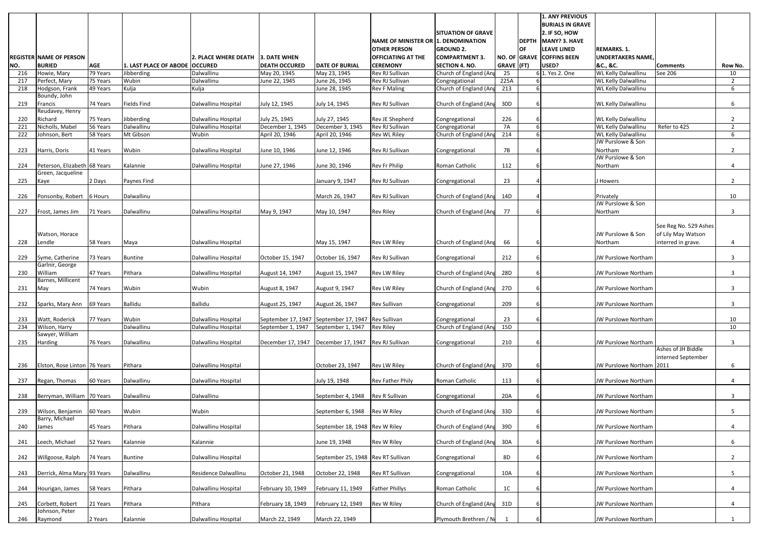|            | <b>REGISTER NAME OF PERSON</b>   |            |                                | <b>2. PLACE WHERE DEATH</b> | 3. DATE WHEN                          |                                      | NAME OF MINISTER OR 1. DENOMINATION<br><b>OTHER PERSON</b><br><b>OFFICIATING AT THE</b> | <b>SITUATION OF GRAVE</b><br><b>GROUND 2.</b><br><b>COMPARTMENT 3.</b> |            | <b>OF</b> | <b>1. ANY PREVIOUS</b><br><b>BURIALS IN GRAVE</b><br>2. IF SO, HOW<br>DEPTH MANY? 3. HAVE<br><b>LEAVE LINED</b><br>NO. OF GRAVE COFFINS BEEN | <b>REMARKS. 1.</b><br><b>UNDERTAKERS NAME</b> |                       |                 |
|------------|----------------------------------|------------|--------------------------------|-----------------------------|---------------------------------------|--------------------------------------|-----------------------------------------------------------------------------------------|------------------------------------------------------------------------|------------|-----------|----------------------------------------------------------------------------------------------------------------------------------------------|-----------------------------------------------|-----------------------|-----------------|
| NO.        | <b>BURIED</b>                    | <b>AGE</b> | 1. LAST PLACE OF ABODE OCCURED |                             | <b>DEATH OCCURED</b>                  | <b>DATE OF BURIAL</b>                | <b>CEREMONY</b>                                                                         | <b>SECTION 4. NO.</b>                                                  | GRAVE (FT) |           | USED?                                                                                                                                        | &C., &C.                                      | <b>Comments</b>       | Row No.         |
| 216        | Howie, Mary                      | 79 Years   | Jibberding                     | Dalwallinu                  | May 20, 1945                          | May 23, 1945                         | Rev RJ Sullivan                                                                         | Church of England (Ang                                                 | 25         |           | 6 1. Yes 2. One                                                                                                                              | <b>WL Kelly Dalwallinu</b>                    | See 206               | 10              |
| 217        | Perfect, Mary                    | 75 Years   | Wubin                          | Dalwallinu                  | June 22, 1945                         | June 26, 1945                        | Rev RJ Sullivan                                                                         | Congregational                                                         | 225A       |           |                                                                                                                                              | <b>WL Kelly Dalwallinu</b>                    |                       | $\overline{2}$  |
| 218        | Hodgson, Frank                   | 49 Years   | Kulja                          | Kulja                       |                                       | June 28, 1945                        | <b>Rev F Maling</b>                                                                     | Church of England (Ang                                                 | 213        |           |                                                                                                                                              | <b>WL Kelly Dalwallinu</b>                    |                       | 6               |
|            | Boundy, John                     |            |                                |                             |                                       |                                      |                                                                                         |                                                                        |            |           |                                                                                                                                              |                                               |                       |                 |
| 219        | Francis                          | 74 Years   | <b>Fields Find</b>             | Dalwallinu Hospital         | July 12, 1945                         | July 14, 1945                        | Rev RJ Sullivan                                                                         | Church of England (Ang                                                 | 30D        |           |                                                                                                                                              | <b>WL Kelly Dalwallinu</b>                    |                       | 6               |
|            | Reudavey, Henry                  |            |                                |                             |                                       |                                      |                                                                                         |                                                                        |            |           |                                                                                                                                              |                                               |                       |                 |
| 220        | Richard                          | 75 Years   | Jibberding                     | Dalwallinu Hospital         | July 25, 1945                         | July 27, 1945                        | Rev JE Shepherd                                                                         | Congregational                                                         | 226        |           |                                                                                                                                              | WL Kelly Dalwallinu                           |                       | $\overline{2}$  |
| 221        | Nicholls, Mabel                  | 56 Years   | Dalwallinu                     | Dalwallinu Hospital         | December 1, 1945                      | December 3, 1945                     | Rev RJ Sullivan                                                                         | Congregational                                                         | <b>7A</b>  |           |                                                                                                                                              | <b>WL Kelly Dalwallinu</b>                    | Refer to 425          | 2               |
| 222        | Johnson, Bert                    | 58 Years   | Mt Gibson                      | Wubin                       | April 20, 1946                        | April 20, 1946                       | Rev WL Riley                                                                            | Church of England (Ang                                                 | 214        |           |                                                                                                                                              | WL Kelly Dalwallinu                           |                       | 6               |
|            |                                  |            |                                |                             |                                       |                                      |                                                                                         |                                                                        |            |           |                                                                                                                                              | JW Purslowe & Son                             |                       |                 |
| 223        | Harris, Doris                    | 41 Years   | Wubin                          | Dalwallinu Hospital         | June 10, 1946                         | June 12, 1946                        | Rev RJ Sullivan                                                                         | Congregational                                                         | 7B         |           |                                                                                                                                              | Northam                                       |                       | $2^{\circ}$     |
|            |                                  |            |                                |                             |                                       |                                      |                                                                                         |                                                                        |            |           |                                                                                                                                              | JW Purslowe & Son                             |                       |                 |
| 224        | Peterson, Elizabeth 68 Years     |            | Kalannie                       | Dalwallinu Hospital         | June 27, 1946                         | June 30, 1946                        | Rev Fr Philip                                                                           | Roman Catholic                                                         | 112        |           |                                                                                                                                              | Northam                                       |                       | 4               |
|            | Green, Jacqueline                |            |                                |                             |                                       |                                      |                                                                                         |                                                                        |            |           |                                                                                                                                              |                                               |                       |                 |
| 225        | Kaye                             | 2 Days     | Paynes Find                    |                             |                                       | January 9, 1947                      | Rev RJ Sullivan                                                                         | Congregational                                                         | 23         |           |                                                                                                                                              | J Howers                                      |                       | $\overline{2}$  |
|            |                                  |            | Dalwallinu                     |                             |                                       |                                      | Rev RJ Sullivan                                                                         |                                                                        | 14D        |           |                                                                                                                                              | Privately                                     |                       |                 |
| 226        | Ponsonby, Robert                 | 6 Hours    |                                |                             |                                       | March 26, 1947                       |                                                                                         | Church of England (Ang                                                 |            |           |                                                                                                                                              | JW Purslowe & Son                             |                       | 10              |
| 227        | Frost, James Jim                 | 71 Years   | Dalwallinu                     | Dalwallinu Hospital         | May 9, 1947                           | May 10, 1947                         | <b>Rev Riley</b>                                                                        | Church of England (Ang                                                 | 77         |           |                                                                                                                                              | Northam                                       |                       | 3               |
|            |                                  |            |                                |                             |                                       |                                      |                                                                                         |                                                                        |            |           |                                                                                                                                              |                                               |                       |                 |
|            |                                  |            |                                |                             |                                       |                                      |                                                                                         |                                                                        |            |           |                                                                                                                                              |                                               | See Reg No. 529 Ashes |                 |
|            | Watson, Horace                   |            |                                |                             |                                       |                                      |                                                                                         |                                                                        |            |           |                                                                                                                                              | JW Purslowe & Son                             | of Lily May Watson    |                 |
| 228        | Lendle                           | 58 Years   | Maya                           | Dalwallinu Hospital         |                                       | May 15, 1947                         | Rev LW Riley                                                                            | Church of England (Ang                                                 | 66         |           |                                                                                                                                              | Northam                                       | interred in grave.    | 4               |
|            |                                  |            |                                |                             |                                       |                                      |                                                                                         |                                                                        |            |           |                                                                                                                                              |                                               |                       |                 |
| 229        | Syme, Catherine                  | 73 Years   | <b>Buntine</b>                 | Dalwallinu Hospital         | October 15, 1947                      | October 16, 1947                     | Rev RJ Sullivan                                                                         | Congregational                                                         | 212        |           |                                                                                                                                              | JW Purslowe Northam                           |                       | 3               |
|            | Garlnir, George                  |            |                                |                             |                                       |                                      |                                                                                         |                                                                        |            |           |                                                                                                                                              |                                               |                       |                 |
| 230        | William                          | 47 Years   | Pithara                        | Dalwallinu Hospital         | August 14, 1947                       | August 15, 1947                      | Rev LW Riley                                                                            | Church of England (Ang                                                 | 28D        |           |                                                                                                                                              | <b>JW Purslowe Northam</b>                    |                       | 3               |
|            | Barnes, Millicent                |            |                                |                             |                                       |                                      |                                                                                         |                                                                        |            |           |                                                                                                                                              |                                               |                       |                 |
| 231        | May                              | 74 Years   | Wubin                          | Wubin                       | August 8, 1947                        | August 9, 1947                       | Rev LW Riley                                                                            | Church of England (Ang                                                 | 27D        |           |                                                                                                                                              | JW Purslowe Northam                           |                       | 3               |
|            |                                  |            |                                |                             |                                       |                                      |                                                                                         |                                                                        |            |           |                                                                                                                                              |                                               |                       |                 |
| 232        | Sparks, Mary Ann 69 Years        |            | Ballidu                        | <b>Ballidu</b>              | August 25, 1947                       | August 26, 1947                      | Rev Sullivan                                                                            | Congregational                                                         | 209        |           |                                                                                                                                              | JW Purslowe Northam                           |                       | 3               |
|            |                                  |            |                                |                             |                                       |                                      |                                                                                         |                                                                        |            |           |                                                                                                                                              |                                               |                       |                 |
| 233<br>234 | Watt, Roderick                   | 77 Years   | Wubin<br>Dalwallinu            | Dalwallinu Hospital         | September 17, 1947 September 17, 1947 | September 1, 1947                    | <b>Rev Sullivan</b><br><b>Rev Riley</b>                                                 | Congregational<br>Church of England (Ang                               | 23<br>15D  |           |                                                                                                                                              | JW Purslowe Northam                           |                       | 10              |
|            | Wilson, Harry<br>Sawyer, William |            |                                | Dalwallinu Hospital         | September 1, 1947                     |                                      |                                                                                         |                                                                        |            |           |                                                                                                                                              |                                               |                       | 10 <sup>°</sup> |
| 235        | Harding                          | 76 Years   | Dalwallinu                     | Dalwallinu Hospital         | December 17, 1947                     | December 17, 1947                    | Rev RJ Sullivan                                                                         | Congregational                                                         | 210        |           |                                                                                                                                              | JW Purslowe Northam                           |                       | 3               |
|            |                                  |            |                                |                             |                                       |                                      |                                                                                         |                                                                        |            |           |                                                                                                                                              |                                               | Ashes of JH Biddle    |                 |
|            |                                  |            |                                |                             |                                       |                                      |                                                                                         |                                                                        |            |           |                                                                                                                                              |                                               | interned September    |                 |
| 236        | Elston, Rose Linton 76 Years     |            | Pithara                        | Dalwallinu Hospital         |                                       | October 23, 1947                     | Rev LW Riley                                                                            | Church of England (Ang                                                 | 37D        |           |                                                                                                                                              | JW Purslowe Northam 2011                      |                       | 6               |
|            |                                  |            |                                |                             |                                       |                                      |                                                                                         |                                                                        |            |           |                                                                                                                                              |                                               |                       |                 |
| 237        | Regan, Thomas                    | 60 Years   | Dalwallinu                     | Dalwallinu Hospital         |                                       | July 19, 1948                        | Rev Father Phily                                                                        | Roman Catholic                                                         | 113        |           |                                                                                                                                              | JW Purslowe Northam                           |                       | 4               |
|            |                                  |            |                                |                             |                                       |                                      |                                                                                         |                                                                        |            |           |                                                                                                                                              |                                               |                       |                 |
| 238        | Berryman, William 70 Years       |            | Dalwallinu                     | Dalwallinu                  |                                       | September 4, 1948                    | Rev R Sullivan                                                                          | Congregational                                                         | 20A        |           |                                                                                                                                              | JW Purslowe Northam                           |                       | 3               |
|            |                                  |            |                                |                             |                                       |                                      |                                                                                         |                                                                        |            |           |                                                                                                                                              |                                               |                       |                 |
| 239        | Wilson, Benjamin                 | 60 Years   | Wubin                          | Wubin                       |                                       | September 6, 1948                    | Rev W Riley                                                                             | Church of England (Ang                                                 | 33D        |           |                                                                                                                                              | JW Purslowe Northam                           |                       | 5               |
|            | Barry, Michael                   |            |                                |                             |                                       |                                      |                                                                                         |                                                                        |            |           |                                                                                                                                              |                                               |                       |                 |
| 240        | James                            | 45 Years   | Pithara                        | Dalwallinu Hospital         |                                       | September 18, 1948 Rev W Riley       |                                                                                         | Church of England (Ang                                                 | 39D        |           |                                                                                                                                              | JW Purslowe Northam                           |                       | 4               |
|            |                                  |            |                                |                             |                                       |                                      |                                                                                         |                                                                        |            |           |                                                                                                                                              |                                               |                       |                 |
| 241        | Leech, Michael                   | 52 Years   | Kalannie                       | Kalannie                    |                                       | June 19, 1948                        | Rev W Riley                                                                             | Church of England (Ang                                                 | 30A        |           |                                                                                                                                              | JW Purslowe Northam                           |                       | 6               |
| 242        | Willgoose, Ralph                 | 74 Years   | <b>Buntine</b>                 | Dalwallinu Hospital         |                                       | September 25, 1948   Rev RT Sullivan |                                                                                         | Congregational                                                         | 8D         |           |                                                                                                                                              | JW Purslowe Northam                           |                       | $2^{\circ}$     |
|            |                                  |            |                                |                             |                                       |                                      |                                                                                         |                                                                        |            |           |                                                                                                                                              |                                               |                       |                 |
| 243        | Derrick, Alma Mary 93 Years      |            | Dalwallinu                     | Residence Dalwallinu        | October 21, 1948                      | October 22, 1948                     | Rev RT Sullivan                                                                         | Congregational                                                         | 10A        |           |                                                                                                                                              | JW Purslowe Northam                           |                       | 5 <sub>1</sub>  |
|            |                                  |            |                                |                             |                                       |                                      |                                                                                         |                                                                        |            |           |                                                                                                                                              |                                               |                       |                 |
| 244        | Hourigan, James                  | 58 Years   | Pithara                        | Dalwallinu Hospital         | February 10, 1949                     | February 11, 1949                    | <b>Father Phillys</b>                                                                   | Roman Catholic                                                         | 1C         |           |                                                                                                                                              | JW Purslowe Northam                           |                       | 4               |
|            |                                  |            |                                |                             |                                       |                                      |                                                                                         |                                                                        |            |           |                                                                                                                                              |                                               |                       |                 |
| 245        | Corbett, Robert                  | 21 Years   | Pithara                        | Pithara                     | February 18, 1949                     | February 12, 1949                    | Rev W Riley                                                                             | Church of England (Ang                                                 | 31D        |           |                                                                                                                                              | JW Purslowe Northam                           |                       | 4               |
|            | Johnson, Peter                   |            |                                |                             |                                       |                                      |                                                                                         |                                                                        |            |           |                                                                                                                                              |                                               |                       |                 |
| 246        | Raymond                          | 2 Years    | Kalannie                       | Dalwallinu Hospital         | March 22, 1949                        | March 22, 1949                       |                                                                                         | Plymouth Brethren / N                                                  |            |           |                                                                                                                                              | JW Purslowe Northam                           |                       |                 |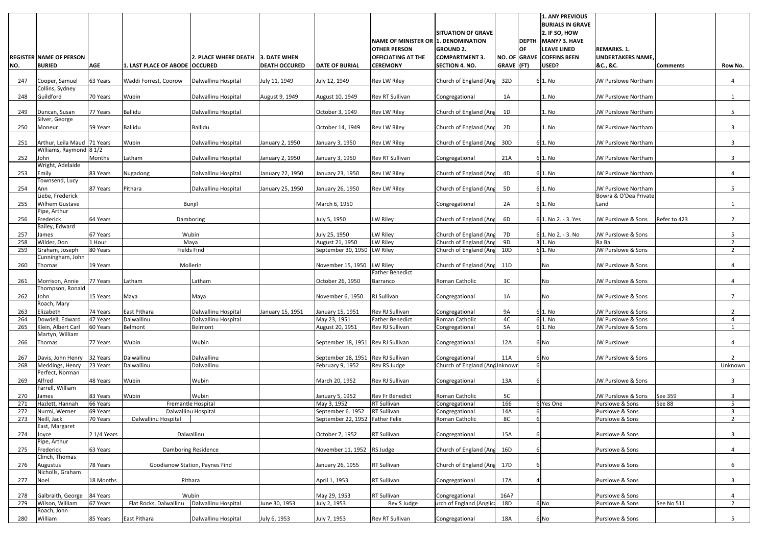|     | <b>REGISTER NAME OF PERSON</b>              |             |                                | l2. PLACE WHERE DEATH          | 3. DATE WHEN         |                                    | NAME OF MINISTER OR 1. DENOMINATION<br><b>OTHER PERSON</b><br><b>OFFICIATING AT THE</b> | <b>SITUATION OF GRAVE</b><br><b>GROUND 2.</b><br><b>COMPARTMENT 3</b> |                | <b>OF</b> | 1. ANY PREVIOUS<br><b>BURIALS IN GRAVE</b><br>$2.$ IF SO, HOW<br>DEPTH MANY? 3. HAVE<br>LEAVE LINED<br>NO. OF GRAVE COFFINS BEEN | <b>REMARKS. 1.</b><br><b>UNDERTAKERS NAME</b> |                 |                |
|-----|---------------------------------------------|-------------|--------------------------------|--------------------------------|----------------------|------------------------------------|-----------------------------------------------------------------------------------------|-----------------------------------------------------------------------|----------------|-----------|----------------------------------------------------------------------------------------------------------------------------------|-----------------------------------------------|-----------------|----------------|
| NO. | <b>BURIED</b>                               | <b>AGE</b>  | 1. LAST PLACE OF ABODE OCCURED |                                | <b>DEATH OCCURED</b> | <b>DATE OF BURIAL</b>              | <b>CEREMONY</b>                                                                         | <b>SECTION 4. NO.</b>                                                 | GRAVE (FT)     |           | USED?                                                                                                                            | &C., &C.                                      | <b>Comments</b> | Row No.        |
| 247 | Cooper, Samuel                              | 63 Years    | Waddi Forrest, Coorow          | Dalwallinu Hospital            | July 11, 1949        | July 12, 1949                      | Rev LW Riley                                                                            | Church of England (Ang                                                | 32D            |           | 6 1. N <sub>0</sub>                                                                                                              | JW Purslowe Northam                           |                 | 4              |
| 248 | Collins, Sydney<br>Guildford                | 70 Years    | Wubin                          | Dalwallinu Hospital            | August 9, 1949       | August 10, 1949                    | Rev RT Sullivan                                                                         | Congregational                                                        | 1A             |           | 1. No                                                                                                                            | JW Purslowe Northam                           |                 | 1              |
| 249 | Duncan, Susan                               | 77 Years    | <b>Ballidu</b>                 | Dalwallinu Hospital            |                      | October 3, 1949                    | Rev LW Riley                                                                            | Church of England (Ang                                                | 1D             |           | 1. No                                                                                                                            | JW Purslowe Northam                           |                 | 5              |
| 250 | Silver, George<br>Moneur                    | 59 Years    | <b>Ballidu</b>                 | Ballidu                        |                      | October 14, 1949                   | Rev LW Riley                                                                            | Church of England (Ang                                                | 2D             |           | 1. No                                                                                                                            | JW Purslowe Northam                           |                 | $\mathbf{3}$   |
| 251 | Arthur, Leila Maud 71 Years                 |             | Wubin                          | Dalwallinu Hospital            | January 2, 1950      | January 3, 1950                    | Rev LW Riley                                                                            | Church of England (Ang                                                | 30D            |           | 6 1. N <sub>0</sub>                                                                                                              | JW Purslowe Northam                           |                 | 3              |
| 252 | Williams, Raymond 8 1/2<br>John             | Months      | Latham                         | Dalwallinu Hospital            | January 2, 1950      | January 3, 1950                    | Rev RT Sullivan                                                                         | Congregational                                                        | 21A            |           | $6 1.$ No                                                                                                                        | JW Purslowe Northam                           |                 | 3              |
| 253 | Wright, Adelaide<br>Emily                   | 83 Years    | Nugadong                       | Dalwallinu Hospital            | January 22, 1950     | January 23, 1950                   | Rev LW Riley                                                                            | Church of England (Ang                                                | 4D             |           | $6 1.$ No                                                                                                                        | JW Purslowe Northam                           |                 | 4              |
| 254 | Townsend, Lucy<br>Ann                       | 87 Years    | Pithara                        | Dalwallinu Hospital            | January 25, 1950     | January 26, 1950                   | <b>Rev LW Riley</b>                                                                     | Church of England (Ang                                                | 5 <sub>D</sub> |           | 6 1. No                                                                                                                          | JW Purslowe Northam                           |                 | 5 <sup>5</sup> |
| 255 | Liebe, Frederick<br><b>Wilhem Gustave</b>   |             | Bunjil                         |                                |                      | March 6, 1950                      |                                                                                         | Congregational                                                        | 2A             |           | $6 1.$ No                                                                                                                        | Bowra & O'Dea Private<br>Land                 |                 |                |
| 256 | Pipe, Arthur<br>Frederick<br>Bailey, Edward | 64 Years    |                                | Damboring                      |                      | July 5, 1950                       | LW Riley                                                                                | Church of England (Ang                                                | 6D             |           | 6 1. No 2. - 3. Yes                                                                                                              | JW Purslowe & Sons                            | Refer to 423    | $\overline{2}$ |
| 257 | James                                       | 67 Years    |                                | Wubin                          |                      | July 25, 1950                      | LW Riley                                                                                | Church of England (Ang                                                | 7D             |           | 6 1. No 2. - 3. No                                                                                                               | JW Purslowe & Sons                            |                 | 5 <sup>5</sup> |
| 258 | Wilder, Don                                 | 1 Hour      |                                | Maya                           |                      | August 21, 1950                    | LW Riley                                                                                | Church of England (Ang                                                | 9D             |           | $3$ 1. No                                                                                                                        | Ra Ba                                         |                 | 2              |
| 259 | Graham, Joseph                              | 80 Years    |                                | Fields Find                    |                      | September 30, 1950                 | LW Riley                                                                                | Church of England (Ang                                                | 10D            |           | 61. No                                                                                                                           | <b>JW Purslowe &amp; Sons</b>                 |                 | 2              |
|     | Cunningham, John                            |             |                                |                                |                      |                                    |                                                                                         |                                                                       |                |           |                                                                                                                                  |                                               |                 |                |
| 260 | Thomas                                      | 19 Years    |                                | Mollerin                       |                      | November 15, 1950                  | <b>LW Riley</b><br><b>Father Benedict</b>                                               | Church of England (Ang                                                | 11D            |           | No                                                                                                                               | JW Purslowe & Sons                            |                 |                |
| 261 | Morrison, Annie<br>Thompson, Ronald         | 77 Years    | Latham                         | Latham                         |                      | October 26, 1950                   | Barranco                                                                                | Roman Catholic                                                        | 3C             |           | No.                                                                                                                              | JW Purslowe & Sons                            |                 |                |
| 262 | John<br>Roach, Mary                         | 15 Years    | Maya                           | Maya                           |                      | November 6, 1950                   | RJ Sullivan                                                                             | Congregational                                                        | 1A             |           | INo.                                                                                                                             | JW Purslowe & Sons                            |                 |                |
| 263 | Elizabeth                                   | 74 Years    | East Pithara                   | Dalwallinu Hospital            | January 15, 1951     | January 15, 1951                   | Rev RJ Sullivan                                                                         | Congregational                                                        | <b>9A</b>      |           | $6 1.$ No                                                                                                                        | JW Purslowe & Sons                            |                 | $\overline{2}$ |
| 264 | Dowdell, Edward                             | 47 Years    | Dalwallinu                     | Dalwallinu Hospital            |                      | May 23, 1951                       | <b>Father Benedict</b>                                                                  | Roman Catholic                                                        | 4C             |           | $6 1.$ No                                                                                                                        | JW Purslowe & Sons                            |                 | 4              |
| 265 | Klein, Albert Carl                          | 60 Years    | Belmont                        | Belmont                        |                      | August 20, 1951                    | Rev RJ Sullivan                                                                         | Congregational                                                        | 5A             |           | $6 1.$ No                                                                                                                        | JW Purslowe & Sons                            |                 |                |
| 266 | Martyn, William<br>Thomas                   | 77 Years    | Wubin                          | Wubin                          |                      | September 18, 1951 Rev RJ Sullivan |                                                                                         | Congregational                                                        | 12A            |           | 6 No                                                                                                                             | <b>JW Purslowe</b>                            |                 | 4              |
| 267 | Davis, John Henry 32 Years                  |             | Dalwallinu                     | Dalwallinu                     |                      | September 18, 1951                 | Rev RJ Sullivan                                                                         | Congregational                                                        | 11A            |           | 6 No                                                                                                                             | JW Purslowe & Sons                            |                 | $2^{\circ}$    |
| 268 | Meddings, Henry                             | 23 Years    | Dalwallinu                     | Dalwallinu                     |                      | February 9, 1952                   | Rev RS Judge                                                                            | Church of England (AngUnknow                                          |                |           |                                                                                                                                  |                                               |                 | Unknown        |
|     | Perfect, Norman                             |             |                                |                                |                      |                                    |                                                                                         |                                                                       |                |           |                                                                                                                                  |                                               |                 |                |
| 269 | Alfred                                      | 48 Years    | Wubin                          | Wubin                          |                      | March 20, 1952                     | Rev RJ Sullivan                                                                         | Congregational                                                        | 13A            |           |                                                                                                                                  | JW Purslowe & Sons                            |                 | $\mathbf{3}$   |
| 270 | Farrell, William<br>James                   | 83 Years    | Wubin                          | Wubin                          |                      | January 5, 1952                    | <b>Rev Fr Benedict</b>                                                                  | Roman Catholic                                                        | 5C             |           |                                                                                                                                  | JW Purslowe & Sons                            | See 359         | 3              |
| 271 | Hazlett, Hannah                             | 66 Years    |                                | Fremantle Hospital             |                      | May 3, 1952                        | RT Sullivan                                                                             | Congregational                                                        | 166            |           | 6 Yes One                                                                                                                        | Purslowe & Sons                               | See 88          | 5 <sub>1</sub> |
| 272 | Nurmi, Werner                               | 69 Years    |                                | Dalwallinu Hospital            |                      | September 6. 1952                  | <b>RT Sullivan</b>                                                                      | Congregational                                                        | 14A            |           |                                                                                                                                  | Purslowe & Sons                               |                 | 3              |
| 273 | Neill, Jack                                 | 70 Years    | Dalwallinu Hospital            |                                |                      | September 22, 1952                 | <b>Father Felix</b>                                                                     | Roman Catholic                                                        | 8C             |           |                                                                                                                                  | Purslowe & Sons                               |                 | 2              |
|     | East, Margaret                              |             |                                |                                |                      |                                    |                                                                                         |                                                                       |                |           |                                                                                                                                  |                                               |                 |                |
| 274 | Joyce<br>Pipe, Arthur                       | 2 1/4 Years |                                | Dalwallinu                     |                      | October 7, 1952                    | RT Sullivan                                                                             | Congregational                                                        | 15A            |           |                                                                                                                                  | Purslowe & Sons                               |                 | $\mathbf{3}$   |
| 275 | Frederick<br>Clinch, Thomas                 | 63 Years    |                                | Damboring Residence            |                      | November 11, 1952                  | RS Judge                                                                                | Church of England (Ang                                                | 16D            |           |                                                                                                                                  | Purslowe & Sons                               |                 | 4              |
| 276 | Augustus<br>Nicholls, Graham                | 78 Years    |                                | Goodianow Station, Paynes Find |                      | January 26, 1955                   | RT Sullivan                                                                             | Church of England (Ang                                                | 17D            |           |                                                                                                                                  | Purslowe & Sons                               |                 | 6              |
| 277 | Noel                                        | 18 Months   |                                | Pithara                        |                      | April 1, 1953                      | RT Sullivan                                                                             | Congregational                                                        | 17A            |           |                                                                                                                                  | Purslowe & Sons                               |                 | 3 <sup>1</sup> |
| 278 | Galbraith, George 84 Years                  |             |                                | Wubin                          |                      | May 29, 1953                       | <b>RT Sullivan</b>                                                                      | Congregational                                                        | 16A?           |           |                                                                                                                                  | Purslowe & Sons                               |                 | 4              |
| 279 | Wilson, William<br>Roach, John              | 67 Years    | Flat Rocks, Dalwallinu         | Dalwallinu Hospital            | June 30, 1953        | July 2, 1953                       | Rev S Judge                                                                             | urch of England (Anglici                                              | 18D            |           | 6 <sub>No</sub>                                                                                                                  | Purslowe & Sons                               | See No 511      | $2^{\circ}$    |
| 280 | William                                     | 85 Years    | East Pithara                   | Dalwallinu Hospital            | July 6, 1953         | July 7, 1953                       | Rev RT Sullivan                                                                         | Congregational                                                        | 18A            |           | 6 No                                                                                                                             | Purslowe & Sons                               |                 | 5              |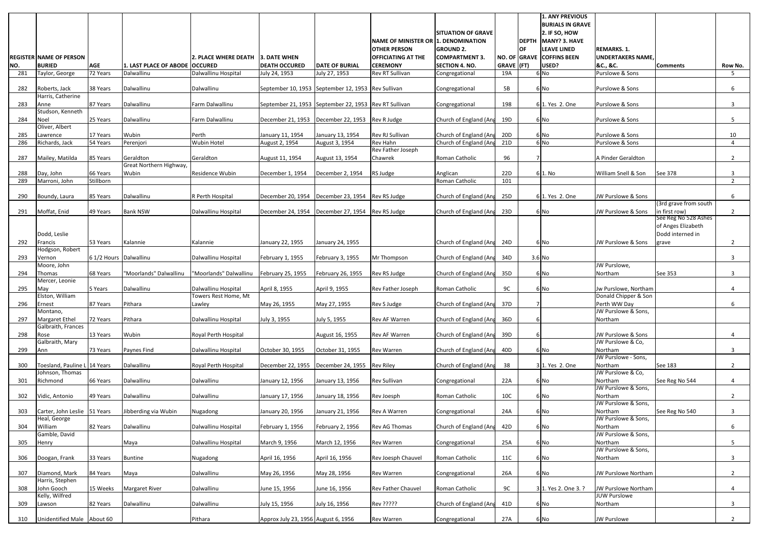| NO.        | <b>REGISTER NAME OF PERSON</b><br><b>BURIED</b> | <b>AGE</b>             | 1. LAST PLACE OF ABODE OCCURED | <b>2. PLACE WHERE DEATH</b>                 | 3. DATE WHEN<br><b>DEATH OCCURED</b>                  | <b>DATE OF BURIAL</b> | NAME OF MINISTER OR 1. DENOMINATION<br><b>OTHER PERSON</b><br><b>OFFICIATING AT THE</b><br><b>CEREMONY</b> | <b>SITUATION OF GRAVE</b><br><b>GROUND 2.</b><br><b>COMPARTMENT 3.</b><br><b>SECTION 4. NO.</b> | $GRAVE$ (FT)    | <b>DEPTH</b><br><b>OF</b> | <b>1. ANY PREVIOUS</b><br><b>BURIALS IN GRAVE</b><br>2. IF SO, HOW<br>MANY? 3. HAVE<br><b>LEAVE LINED</b><br>NO. OF GRAVE COFFINS BEEN<br>USED? | <b>REMARKS. 1.</b><br><b>UNDERTAKERS NAME</b><br>&C., &C. | <b>Comments</b>                            | Row No.        |
|------------|-------------------------------------------------|------------------------|--------------------------------|---------------------------------------------|-------------------------------------------------------|-----------------------|------------------------------------------------------------------------------------------------------------|-------------------------------------------------------------------------------------------------|-----------------|---------------------------|-------------------------------------------------------------------------------------------------------------------------------------------------|-----------------------------------------------------------|--------------------------------------------|----------------|
| 281        | Taylor, George                                  | 72 Years               | Dalwallinu                     | Dalwallinu Hospital                         | July 24, 1953                                         | July 27, 1953         | Rev RT Sullivan                                                                                            | Congregational                                                                                  | 19A             |                           | 6 No                                                                                                                                            | Purslowe & Sons                                           |                                            | 5              |
| 282        | Roberts, Jack<br>Harris, Catherine              | 38 Years               | Dalwallinu                     | Dalwallinu                                  | September 10, 1953 September 12, 1953 Rev Sullivan    |                       |                                                                                                            | Congregational                                                                                  | 5B              |                           | 6 No                                                                                                                                            | Purslowe & Sons                                           |                                            | 6              |
| 283        | Anne                                            | 87 Years               | Dalwallinu                     | Farm Dalwallinu                             | September 21, 1953 September 22, 1953 Rev RT Sullivan |                       |                                                                                                            | Congregational                                                                                  | 198             |                           | 6 1. Yes 2. One                                                                                                                                 | Purslowe & Sons                                           |                                            | 3              |
| 284        | Studson, Kenneth<br><b>Noel</b>                 | 25 Years               | Dalwallinu                     | Farm Dalwallinu                             | December 21, 1953                                     | December 22, 1953     | Rev R Judge                                                                                                | Church of England (Ang                                                                          | 19D             |                           | 6 No                                                                                                                                            | Purslowe & Sons                                           |                                            | 5              |
| 285        | Oliver, Albert<br>Lawrence                      | 17 Years               | Wubin                          | Perth                                       | January 11, 1954                                      | January 13, 1954      | Rev RJ Sullivan                                                                                            | Church of England (Ang                                                                          | 20D             |                           | 6 No                                                                                                                                            | Purslowe & Sons                                           |                                            | 10             |
| 286        | Richards, Jack                                  | 54 Years               | Perenjori                      | Wubin Hotel                                 | August 2, 1954                                        | August 3, 1954        | Rev Hahn                                                                                                   | Church of England (Ang                                                                          | 21D             |                           | 6 No                                                                                                                                            | Purslowe & Sons                                           |                                            | 4              |
| 287        | Mailey, Matilda                                 | 85 Years               | Geraldton                      | Geraldton                                   | August 11, 1954                                       | August 13, 1954       | Rev Father Joseph<br>Chawrek                                                                               | Roman Catholic                                                                                  | 96              |                           |                                                                                                                                                 | A Pinder Geraldton                                        |                                            | 2              |
|            |                                                 |                        | Great Northern Highway,        |                                             |                                                       |                       |                                                                                                            |                                                                                                 |                 |                           |                                                                                                                                                 |                                                           |                                            |                |
| 288<br>289 | Day, John<br>Marroni, John                      | 66 Years<br>Stillborn  | Wubin                          | Residence Wubin                             | December 1, 1954                                      | December 2, 1954      | RS Judge                                                                                                   | Anglican<br>Roman Catholic                                                                      | 22D<br>101      |                           | 61. No                                                                                                                                          | William Snell & Son                                       | See 378                                    | 3<br>2         |
| 290        | Boundy, Laura                                   | 85 Years               | Dalwallinu                     | R Perth Hospital                            | December 20, 1954                                     | December 23, 1954     | Rev RS Judge                                                                                               | Church of England (Ang                                                                          | 25D             |                           | 6 1. Yes 2. One                                                                                                                                 | JW Purslowe & Sons                                        |                                            | 6              |
| 291        | Moffat, Enid                                    | 49 Years               | <b>Bank NSW</b>                | Dalwallinu Hospital                         | December 24, 1954                                     | December 27, 1954     | Rev RS Judge                                                                                               | Church of England (Ang                                                                          | 23D             |                           | 6 No                                                                                                                                            | JW Purslowe & Sons                                        | (3rd grave from south<br>in first row)     | $\overline{2}$ |
|            |                                                 |                        |                                |                                             |                                                       |                       |                                                                                                            |                                                                                                 |                 |                           |                                                                                                                                                 |                                                           | See Reg No 528 Ashes<br>of Anges Elizabeth |                |
| 292        | Dodd, Leslie<br>Francis                         | 53 Years               | Kalannie                       | Kalannie                                    | January 22, 1955                                      | January 24, 1955      |                                                                                                            | Church of England (Ang                                                                          | 24D             |                           | 6 No                                                                                                                                            | JW Purslowe & Sons                                        | Dodd interned in<br>grave                  | $\overline{2}$ |
| 293        | Hodgson, Robert<br>Vernon                       | 6 1/2 Hours Dalwallinu |                                | Dalwallinu Hospital                         | February 1, 1955                                      | February 3, 1955      | Mr Thompson                                                                                                | Church of England (Ang                                                                          | 34D             |                           | $3.6$ No                                                                                                                                        |                                                           |                                            | 3              |
|            | Moore, John                                     |                        |                                |                                             |                                                       |                       |                                                                                                            |                                                                                                 |                 |                           |                                                                                                                                                 | JW Purslowe,                                              |                                            |                |
| 294        | Thomas<br>Mercer, Leonie                        | 68 Years               | "Moorlands" Dalwallinu         | "Moorlands" Dalwallinu                      | February 25, 1955                                     | February 26, 1955     | Rev RS Judge                                                                                               | Church of England (Ang                                                                          | 35D             |                           | 6 No                                                                                                                                            | Northam                                                   | See 353                                    | 3              |
| 295        | <b>May</b><br>Elston, William                   | 5 Years                | Dalwallinu                     | Dalwallinu Hospital<br>Towers Rest Home, Mt | April 8, 1955                                         | April 9, 1955         | Rev Father Joseph                                                                                          | Roman Catholic                                                                                  | 9C              |                           | 6 No                                                                                                                                            | Jw Purslowe, Northam<br>Donald Chipper & Son              |                                            | 4              |
| 296        | Ernest                                          | 87 Years               | Pithara                        | Lawley                                      | May 26, 1955                                          | May 27, 1955          | Rev S Judge                                                                                                | Church of England (Ang                                                                          | 37D             |                           |                                                                                                                                                 | Perth WW Day                                              |                                            | 6              |
| 297        | Montano,<br><b>Margaret Ethel</b>               | 72 Years               | Pithara                        | Dalwallinu Hospital                         | July 3, 1955                                          | July 5, 1955          | Rev AF Warren                                                                                              | Church of England (Ang                                                                          | 36D             |                           |                                                                                                                                                 | JW Purslowe & Sons,<br>Northam                            |                                            |                |
| 298        | Galbraith, Frances<br>Rose<br>Galbraith, Mary   | 13 Years               | Wubin                          | Royal Perth Hospital                        |                                                       | August 16, 1955       | Rev AF Warren                                                                                              | Church of England (Ang                                                                          | 39D             |                           |                                                                                                                                                 | JW Purslowe & Sons<br>JW Purslowe & Co,                   |                                            | 4              |
| 299        | Ann                                             | 73 Years               | Paynes Find                    | Dalwallinu Hospital                         | October 30, 1955                                      | October 31, 1955      | Rev Warren                                                                                                 | Church of England (Ang                                                                          | 40 <sub>D</sub> |                           | 6 No                                                                                                                                            | Northam<br>JW Purslowe - Sons,                            |                                            | 3 <sup>1</sup> |
| 300        | Toesland, Pauline L 14 Years                    |                        | Dalwallinu                     | Royal Perth Hospital                        | December 22, 1955                                     | December 24, 1955     | <b>Rev Riley</b>                                                                                           | Church of England (Ang                                                                          | 38              |                           | 3 1. Yes 2. One                                                                                                                                 | Northam                                                   | See 183                                    | $2^{\circ}$    |
| 301        | Johnson, Thomas<br>Richmond                     | 66 Years               | Dalwallinu                     | Dalwallinu                                  | January 12, 1956                                      | January 13, 1956      | Rev Sullivan                                                                                               | Congregational                                                                                  | 22A             |                           | 6 No                                                                                                                                            | JW Purslowe & Co,<br>Northam                              | See Reg No 544                             | 4              |
| 302        | Vidic, Antonio                                  | 49 Years               | Dalwallinu                     | Dalwallinu                                  | January 17, 1956                                      | January 18, 1956      | Rev Joesph                                                                                                 | Roman Catholic                                                                                  | 10C             |                           | 6 No                                                                                                                                            | JW Purslowe & Sons,<br>Northam                            |                                            | $2^{\circ}$    |
| 303        | Carter, John Leslie 51 Years                    |                        | Jibberding via Wubin           | Nugadong                                    | January 20, 1956                                      | January 21, 1956      | Rev A Warren                                                                                               |                                                                                                 | 24A             |                           | 6 No                                                                                                                                            | JW Purslowe & Sons,<br>Northam                            | See Reg No 540                             | 3 <sup>1</sup> |
|            | Heal, George                                    |                        |                                |                                             |                                                       |                       |                                                                                                            | Congregational                                                                                  |                 |                           |                                                                                                                                                 | JW Purslowe & Sons,                                       |                                            |                |
| 304        | William<br>Gamble, David                        | 82 Years               | Dalwallinu                     | Dalwallinu Hospital                         | February 1, 1956                                      | February 2, 1956      | Rev AG Thomas                                                                                              | Church of England (Ang                                                                          | 42D             |                           | 6 No                                                                                                                                            | Northam<br>JW Purslowe & Sons,                            |                                            | 6              |
| 305        | Henry                                           |                        | Maya                           | Dalwallinu Hospital                         | March 9, 1956                                         | March 12, 1956        | Rev Warren                                                                                                 | Congregational                                                                                  | 25A             |                           | 6 No                                                                                                                                            | Northam<br>JW Purslowe & Sons,                            |                                            | 5              |
| 306        | Doogan, Frank                                   | 33 Years               | <b>Buntine</b>                 | Nugadong                                    | April 16, 1956                                        | April 16, 1956        | Rev Joesph Chauvel                                                                                         | Roman Catholic                                                                                  | 11C             |                           | 6 No                                                                                                                                            | Northam                                                   |                                            | 3              |
| 307        | Diamond, Mark<br>Harris, Stephen                | 84 Years               | Maya                           | Dalwallinu                                  | May 26, 1956                                          | May 28, 1956          | Rev Warren                                                                                                 | Congregational                                                                                  | 26A             |                           | 6 No                                                                                                                                            | JW Purslowe Northam                                       |                                            | $2^{\circ}$    |
| 308        | John Gooch                                      | 15 Weeks               | <b>Margaret River</b>          | Dalwallinu                                  | June 15, 1956                                         | June 16, 1956         | Rev Father Chauvel                                                                                         | Roman Catholic                                                                                  | 9C              |                           | 3 1. Yes 2. One 3.                                                                                                                              | JW Purslowe Northam                                       |                                            | 4              |
| 309        | Kelly, Wilfred<br>Lawson                        | 82 Years               | Dalwallinu                     | Dalwallinu                                  | July 15, 1956                                         | July 16, 1956         | Rev ?????                                                                                                  | Church of England (Ang                                                                          | 41D             |                           | 6 No                                                                                                                                            | <b>JUW Purslowe</b><br>Northam                            |                                            | 3 <sup>7</sup> |
| 310        | Unidentified Male About 60                      |                        |                                | Pithara                                     | Approx July 23, 1956 August 6, 1956                   |                       | Rev Warren                                                                                                 | Congregational                                                                                  | 27A             |                           | 6 No                                                                                                                                            | <b>JW Purslowe</b>                                        |                                            | $2^{\circ}$    |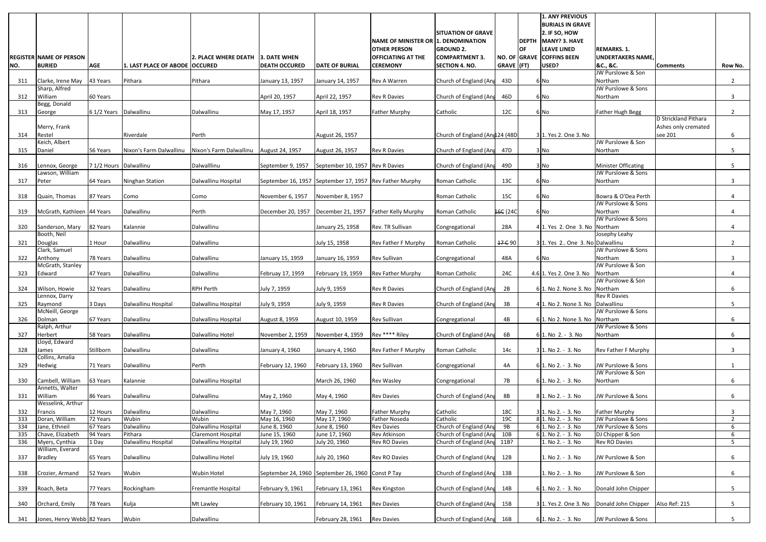|            | <b>REGISTER NAME OF PERSON</b>      |                        |                                  | <b>2. PLACE WHERE DEATH</b> | 3. DATE WHEN                                            |                                 | <b>NAME OF MINISTER OR 1. DENOMINATION</b><br><b>OTHER PERSON</b><br><b>OFFICIATING AT THE</b> | <b>SITUATION OF GRAVE</b><br><b>GROUND 2.</b><br><b>COMPARTMENT 3</b> |            | IOF. | 1. ANY PREVIOUS<br><b>BURIALS IN GRAVE</b><br>$2.$ IF SO, HOW<br>DEPTH MANY? 3. HAVE<br><b>LEAVE LINED</b><br>NO. OF GRAVE COFFINS BEEN | <b>REMARKS. 1.</b><br><b>UNDERTAKERS NAME</b> |                                             |                     |
|------------|-------------------------------------|------------------------|----------------------------------|-----------------------------|---------------------------------------------------------|---------------------------------|------------------------------------------------------------------------------------------------|-----------------------------------------------------------------------|------------|------|-----------------------------------------------------------------------------------------------------------------------------------------|-----------------------------------------------|---------------------------------------------|---------------------|
| NO.        | <b>BURIED</b>                       | <b>AGE</b>             | 1. LAST PLACE OF ABODE   OCCURED |                             | <b>DEATH OCCURED</b>                                    | <b>DATE OF BURIAL</b>           | <b>CEREMONY</b>                                                                                | <b>SECTION 4. NO.</b>                                                 | GRAVE (FT) |      | USED?                                                                                                                                   | &C., &C.<br>JW Purslowe & Son                 | <b>Comments</b>                             | Row No.             |
| 311        | Clarke, Irene May 43 Years          |                        | Pithara                          | Pithara                     | January 13, 1957                                        | January 14, 1957                | Rev A Warren                                                                                   | Church of England (Ang                                                | 43D        |      | 6 No                                                                                                                                    | Northam                                       |                                             | $\overline{2}$      |
|            | Sharp, Alfred                       |                        |                                  |                             |                                                         |                                 |                                                                                                |                                                                       |            |      |                                                                                                                                         | JW Purslowe & Sons                            |                                             |                     |
| 312        | William<br>Begg, Donald             | 60 Years               |                                  |                             | April 20, 1957                                          | April 22, 1957                  | <b>Rev R Davies</b>                                                                            | Church of England (Ang                                                | 46D        |      | 6 No                                                                                                                                    | Northam                                       |                                             | 3                   |
| 313        | George                              | 6 1/2 Years Dalwallinu |                                  | Dalwallinu                  | May 17, 1957                                            | April 18, 1957                  | <b>Father Murphy</b>                                                                           | Catholic                                                              | 12C        |      | 6 <sub>No</sub>                                                                                                                         | <b>Father Hugh Begg</b>                       |                                             | $\overline{2}$      |
|            | Merry, Frank                        |                        |                                  |                             |                                                         |                                 |                                                                                                |                                                                       |            |      |                                                                                                                                         |                                               | D Strickland Pithara<br>Ashes only cremated |                     |
| 314        | Restel                              |                        | Riverdale                        | Perth                       |                                                         | August 26, 1957                 |                                                                                                | Church of England (Angl24 (48D)                                       |            |      | 3 1. Yes 2. One 3. No                                                                                                                   |                                               | see 201                                     | 6                   |
|            | Keich, Albert                       |                        |                                  |                             |                                                         |                                 |                                                                                                |                                                                       |            |      |                                                                                                                                         | JW Purslowe & Son                             |                                             |                     |
| 315        | Daniel                              | 56 Years               | Nixon's Farm Dalwallinu          | Nixon's Farm Dalwallinu     | August 24, 1957                                         | August 26, 1957                 | <b>Rev R Davies</b>                                                                            | Church of England (Ang                                                | 47D        |      | 3 No                                                                                                                                    | Northam                                       |                                             | 5                   |
| 316        | Lennox, George                      | 7 1/2 Hours Dalwallinu |                                  | Dalwalllinu                 | September 9, 1957                                       | September 10, 1957 Rev R Davies |                                                                                                | Church of England (Ang                                                | 49D        |      | 3 No                                                                                                                                    | Minister Officating                           |                                             | 5                   |
| 317        | Lawson, William<br>Peter            | 64 Years               | Ninghan Station                  | Dalwallinu Hospital         | September 16, 1957 September 17, 1957 Rev Father Murphy |                                 |                                                                                                | Roman Catholic                                                        | 13C        |      | 6 <sub>No</sub>                                                                                                                         | JW Purslowe & Sons<br>Northam                 |                                             | 3                   |
|            |                                     |                        |                                  |                             |                                                         |                                 |                                                                                                |                                                                       |            |      |                                                                                                                                         |                                               |                                             |                     |
| 318        | Quain, Thomas                       | 87 Years               | Como                             | Como                        | November 6, 1957                                        | November 8, 1957                |                                                                                                | Roman Catholic                                                        | 15C        |      | 6 <sub>No</sub>                                                                                                                         | Bowra & O'Dea Perth                           |                                             |                     |
| 319        | McGrath, Kathleen 44 Years          |                        | Dalwallinu                       | Perth                       | December 20, 1957   December 21, 1957                   |                                 | <b>Father Kelly Murphy</b>                                                                     | Roman Catholic                                                        | 16C (24C)  |      | 6 <sub>No</sub>                                                                                                                         | JW Purslowe & Sons<br>Northam                 |                                             | 4                   |
|            |                                     |                        |                                  |                             |                                                         |                                 |                                                                                                |                                                                       |            |      |                                                                                                                                         | JW Purslowe & Sons                            |                                             |                     |
| 320        | Sanderson, Mary<br>Booth, Neil      | 82 Years               | Kalannie                         | Dalwallinu                  |                                                         | January 25, 1958                | Rev. TR Sullivan                                                                               | Congregational                                                        | 28A        |      | 4 1. Yes 2. One 3. No Northam                                                                                                           | Josephy Leahy                                 |                                             | 4                   |
| 321        | Douglas                             | 1 Hour                 | Dalwallinu                       | Dalwallinu                  |                                                         | July 15, 1958                   | Rev Father F Murphy                                                                            | Roman Catholic                                                        | 17 C 90    |      | 3 1. Yes 2. One 3. No Dalwallinu                                                                                                        |                                               |                                             | 2                   |
|            | Clark, Samuel                       |                        |                                  |                             |                                                         |                                 |                                                                                                |                                                                       |            |      |                                                                                                                                         | JW Purslowe & Sons                            |                                             |                     |
| 322        | Anthony<br>McGrath, Stanley         | 78 Years               | Dalwallinu                       | Dalwallinu                  | January 15, 1959                                        | January 16, 1959                | Rev Sullivan                                                                                   | Congregational                                                        | 48A        |      | 6 No                                                                                                                                    | Northam<br>JW Purslowe & Son                  |                                             | 3                   |
| 323        | Edward                              | 47 Years               | Dalwallinu                       | Dalwallinu                  | Februay 17, 1959                                        | February 19, 1959               | <b>Rev Father Murphy</b>                                                                       | Roman Catholic                                                        | 24C        |      | 4.6 1. Yes 2. One 3. No                                                                                                                 | Northam                                       |                                             | 4                   |
| 324        | Wilson, Howie                       | 32 Years               | Dalwallinu                       | <b>RPH Perth</b>            | July 7, 1959                                            | July 9, 1959                    | <b>Rev R Davies</b>                                                                            | Church of England (Ang                                                | 2B         |      | 6 1. No 2. None 3. No                                                                                                                   | JW Purslowe & Son<br>Northam                  |                                             | 6                   |
|            | Lennox, Darry                       |                        |                                  |                             |                                                         |                                 |                                                                                                |                                                                       |            |      |                                                                                                                                         | <b>Rev R Davies</b>                           |                                             |                     |
| 325        | Raymond<br>McNeill, George          | 3 Days                 | Dalwallinu Hospital              | Dalwallinu Hospital         | July 9, 1959                                            | July 9, 1959                    | <b>Rev R Davies</b>                                                                            | Church of England (Ang                                                | 3B         |      | 4 1. No 2. None 3. No Dalwallinu                                                                                                        | JW Purslowe & Sons                            |                                             | 5                   |
| 326        | Dolman                              | 67 Years               | Dalwallinu                       | Dalwallinu Hospital         | August 8, 1959                                          | August 10, 1959                 | <b>Rev Sullivan</b>                                                                            | Congregational                                                        | 4B         |      | 6 1. No 2. None 3. No                                                                                                                   | Northam                                       |                                             | 6                   |
|            | Ralph, Arthur                       |                        |                                  |                             |                                                         |                                 |                                                                                                |                                                                       |            |      |                                                                                                                                         | JW Purslowe & Sons                            |                                             |                     |
| 327        | Herbert<br>Lloyd, Edward            | 58 Years               | Dalwallinu                       | Dalwallinu Hotel            | November 2, 1959                                        | November 4, 1959                | Rev **** Riley                                                                                 | Church of England (Ang                                                | 6B         |      | 6 1. No 2. - 3. No                                                                                                                      | Northam                                       |                                             | 6                   |
| 328        | James                               | Stillborn              | Dalwallinu                       | Dalwallinu                  | January 4, 1960                                         | January 4, 1960                 | <b>Rev Father F Murphy</b>                                                                     | Roman Catholic                                                        | 14c        |      | 3 1. No 2. - 3. No                                                                                                                      | <b>Rev Father F Murphy</b>                    |                                             | 3                   |
| 329        | Collins, Amalia<br>Hedwig           | 71 Years               | Dalwallinu                       | Perth                       | February 12, 1960                                       | February 13, 1960               | Rev Sullivan                                                                                   | Congregational                                                        | 4A         |      | 6 1. No 2. - 3. No                                                                                                                      | JW Purslowe & Sons                            |                                             |                     |
|            |                                     |                        |                                  |                             |                                                         |                                 |                                                                                                |                                                                       |            |      |                                                                                                                                         | JW Purslowe & Son                             |                                             |                     |
| 330        | Cambell, William<br>Annetts, Walter | 63 Years               | Kalannie                         | Dalwallinu Hospital         |                                                         | March 26, 1960                  | <b>Rev Wasley</b>                                                                              | Congregational                                                        | 7B         |      | 6 1. No 2. - 3. No                                                                                                                      | Northam                                       |                                             | 6                   |
| 331        | William                             | 86 Years               | Dalwallinu                       | Dalwallinu                  | May 2, 1960                                             | May 4, 1960                     | <b>Rev Davies</b>                                                                              | Church of England (Ang                                                | <b>8B</b>  |      | 8 1. No 2. - 3. No                                                                                                                      | JW Purslowe & Sons                            |                                             | 6                   |
|            | Wesselink, Arthur                   |                        |                                  |                             |                                                         |                                 |                                                                                                |                                                                       |            |      |                                                                                                                                         |                                               |                                             |                     |
| 332<br>333 | Francis<br>Doran, William           | 12 Hours<br>72 Years   | Dalwallinu<br>Wubin              | Dalwallinu<br>Wubin         | May 7, 1960<br>May 16, 1960                             | May 7, 1960<br>May 17, 1960     | <b>Father Murphy</b><br>Father Noseda                                                          | Catholic<br>Catholic                                                  | 18C<br>19C |      | 3 1. No 2. - 3. No<br>8 1. No 2. - 3. No                                                                                                | Father Murphy<br>JW Purslowe & Sons           |                                             | 3<br>$\overline{2}$ |
| 334        | Jane, Ethneil                       | 67 Years               | Dalwallinu                       | Dalwallinu Hospital         | June 8, 1960                                            | June 8, 1960                    | <b>Rev Davies</b>                                                                              | Church of England (Ang                                                | 9B         |      | 6 1. No 2. - 3. No                                                                                                                      | JW Purslowe & Sons                            |                                             | 6                   |
| 335        | Chave, Elizabeth                    | 94 Years               | Pithara                          | Claremont Hospital          | June 15, 1960                                           | June 17, 1960                   | Rev Atkinson                                                                                   | Church of England (Ang                                                | 10B        |      | 6 1. No 2. - 3. No                                                                                                                      | DJ Chipper & Son                              |                                             | 6                   |
| 336        | Myers, Cynthia                      | 1 Day                  | Dalwallinu Hospital              | Dalwallinu Hospital         | July 19, 1960                                           | July 20, 1960                   | Rev RO Davies                                                                                  | Church of England (Ang                                                | 11B?       |      | 1. No 2. - 3. No                                                                                                                        | Rev RO Davies                                 |                                             | 5                   |
| 337        | William, Everard<br><b>Bradley</b>  | 65 Years               | Dalwallinu                       | Dalwallinu Hotel            | July 19, 1960                                           | July 20, 1960                   | Rev RO Davies                                                                                  | Church of England (Ang                                                | 12B        |      | 1. No 2. - 3. No                                                                                                                        | JW Purslowe & Son                             |                                             | 6                   |
| 338        | Crozier, Armand                     | 52 Years               | Wubin                            | <b>Wubin Hotel</b>          | September 24, 1960 September 26, 1960 Const P Tay       |                                 |                                                                                                | Church of England (Ang                                                | 13B        |      | 1. No 2. - 3. No                                                                                                                        | JW Purslowe & Son                             |                                             | 6                   |
|            |                                     |                        |                                  |                             |                                                         |                                 |                                                                                                |                                                                       |            |      |                                                                                                                                         |                                               |                                             |                     |
| 339        | Roach, Beta                         | 77 Years               | Rockingham                       | Fremantle Hospital          | February 9, 1961                                        | February 13, 1961               | <b>Rev Kingston</b>                                                                            | Church of England (Ang                                                | 14B        |      | 6 1. No 2. - 3. No                                                                                                                      | Donald John Chipper                           |                                             | 5                   |
| 340        | Orchard, Emily                      | 78 Years               | Kulja                            | Mt Lawley                   | February 10, 1961                                       | February 14, 1961               | <b>Rev Davies</b>                                                                              | Church of England (Ang                                                | 15B        |      | 3 1. Yes 2. One 3. No                                                                                                                   | Donald John Chipper                           | Also Ref: 215                               | 5                   |
| 341        | Jones, Henry Webb 82 Years          |                        | Wubin                            | Dalwallinu                  |                                                         | February 28, 1961               | <b>Rev Davies</b>                                                                              | Church of England (Ang                                                | 16B        |      | 6 1. No 2. - 3. No                                                                                                                      | JW Purslowe & Sons                            |                                             | 5 <sub>1</sub>      |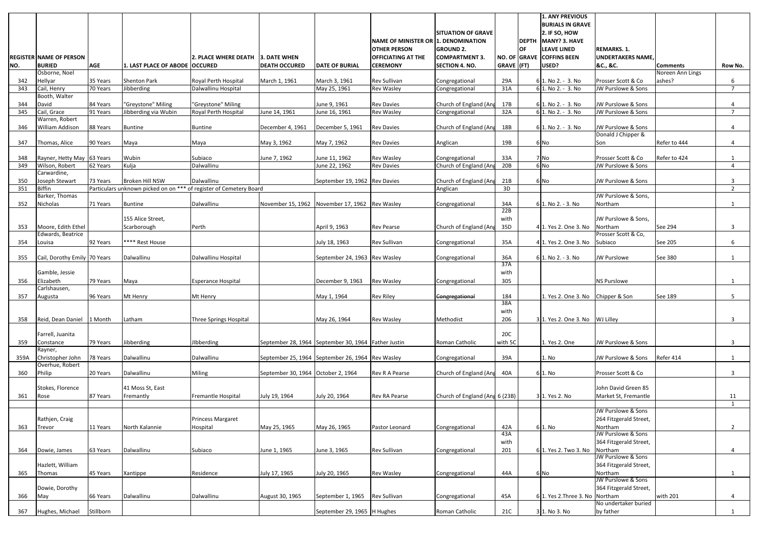|            |                                         |            |                                                                                       |                                   |                                                     |                               |                                                  |                                           |             |              | <b>1. ANY PREVIOUS</b><br><b>BURIALS IN GRAVE</b> |                                               |                  |                     |
|------------|-----------------------------------------|------------|---------------------------------------------------------------------------------------|-----------------------------------|-----------------------------------------------------|-------------------------------|--------------------------------------------------|-------------------------------------------|-------------|--------------|---------------------------------------------------|-----------------------------------------------|------------------|---------------------|
|            |                                         |            |                                                                                       |                                   |                                                     |                               |                                                  | <b>SITUATION OF GRAVE</b>                 |             |              | 2. IF SO, HOW                                     |                                               |                  |                     |
|            |                                         |            |                                                                                       |                                   |                                                     |                               | NAME OF MINISTER OR 1. DENOMINATION              |                                           |             | <b>DEPTH</b> | MANY? 3. HAVE                                     |                                               |                  |                     |
|            | <b>REGISTER NAME OF PERSON</b>          |            |                                                                                       | 2. PLACE WHERE DEATH 3. DATE WHEN |                                                     |                               | <b>OTHER PERSON</b><br><b>OFFICIATING AT THE</b> | <b>GROUND 2.</b><br><b>COMPARTMENT 3.</b> |             | <b>OF</b>    | <b>LEAVE LINED</b><br>NO. OF GRAVE COFFINS BEEN   | <b>REMARKS. 1.</b><br><b>UNDERTAKERS NAME</b> |                  |                     |
| NO.        | <b>BURIED</b>                           | <b>AGE</b> | 1. LAST PLACE OF ABODE   OCCURED                                                      |                                   | <b>DEATH OCCURED</b>                                | <b>DATE OF BURIAL</b>         | <b>CEREMONY</b>                                  | <b>SECTION 4. NO.</b>                     | GRAVE (FT)  |              | USED?                                             | &C., &C.                                      | <b>Comments</b>  | Row No.             |
|            | Osborne, Noel                           |            |                                                                                       |                                   |                                                     |                               |                                                  |                                           |             |              |                                                   |                                               | Noreen Ann Lings |                     |
| 342        | Hellyar                                 | 35 Years   | <b>Shenton Park</b>                                                                   | Royal Perth Hospital              | March 1, 1961                                       | March 3, 1961                 | Rev Sullivan                                     | Congregational                            | 29A         |              | 6 1. No 2. - 3. No                                | Prosser Scott & Co                            | ashes?           | 6                   |
| 343        | Cail, Henry                             | 70 Years   | Jibberding                                                                            | Dalwallinu Hospital               |                                                     | May 25, 1961                  | <b>Rev Wasley</b>                                | Congregational                            | 31A         |              | 6 1. No 2. - 3. No                                | JW Purslowe & Sons                            |                  | $\overline{7}$      |
| 344        | Booth, Walter<br>David                  | 84 Years   | "Greystone" Miling                                                                    | "Greystone" Miling                |                                                     | June 9, 1961                  | <b>Rev Davies</b>                                | Church of England (Ang                    | 17B         |              | 6 1. No 2. - 3. No                                | JW Purslowe & Sons                            |                  |                     |
| 345        | Cail, Grace                             | 91 Years   | Jibberding via Wubin                                                                  | Royal Perth Hospital              | June 14, 1961                                       | June 16, 1961                 | <b>Rev Wasley</b>                                | Congregational                            | 32A         |              | 6 1. No 2. - 3. No                                | JW Purslowe & Sons                            |                  | $\overline{7}$      |
|            | Warren, Robert                          |            |                                                                                       |                                   |                                                     |                               |                                                  |                                           |             |              |                                                   |                                               |                  |                     |
| 346        | William Addison                         | 88 Years   | <b>Buntine</b>                                                                        | <b>Buntine</b>                    | December 4, 1961                                    | December 5, 1961              | <b>Rev Davies</b>                                | Church of England (Ang                    | 18B         |              | 6 1. No 2. - 3. No                                | JW Purslowe & Sons                            |                  | 4                   |
|            |                                         |            |                                                                                       |                                   |                                                     |                               |                                                  |                                           |             |              |                                                   | Donald J Chipper &                            |                  |                     |
| 347        | Thomas, Alice                           | 90 Years   | Maya                                                                                  | Maya                              | May 3, 1962                                         | May 7, 1962                   | <b>Rev Davies</b>                                | Anglican                                  | 19B         |              | 6 No                                              | Son                                           | Refer to 444     | 4                   |
| 348        | Rayner, Hetty May 63 Years              |            | Wubin                                                                                 | Subiaco                           | June 7, 1962                                        | June 11, 1962                 | <b>Rev Wasley</b>                                | Congregational                            | 33A         |              | 7 No                                              | Prosser Scott & Co                            | Refer to 424     |                     |
| 349        | Wilson, Robert                          | 62 Years   | Kulja                                                                                 | Dalwallinu                        |                                                     | June 22, 1962                 | <b>Rev Davies</b>                                | Church of England (Ang                    | 20B         |              | $6$ No                                            | JW Purslowe & Sons                            |                  | 4                   |
|            | Carwardine,                             |            |                                                                                       |                                   |                                                     |                               |                                                  |                                           |             |              |                                                   |                                               |                  |                     |
| 350<br>351 | Joseph Stewart<br><b>Biffin</b>         | 73 Years   | Broken Hill NSW<br>Particulars unknown picked on on *** of register of Cemetery Board | Dalwallinu                        |                                                     | September 19, 1962 Rev Davies |                                                  | Church of England (Ang<br>Anglican        | 21B<br>3D   |              | 6 No                                              | JW Purslowe & Sons                            |                  | 3<br>$\overline{2}$ |
|            | Barker, Thomas                          |            |                                                                                       |                                   |                                                     |                               |                                                  |                                           |             |              |                                                   | JW Purslowe & Sons,                           |                  |                     |
| 352        | Nicholas                                | 71 Years   | Buntine                                                                               | Dalwallinu                        | November 15, 1962                                   | November 17, 1962 Rev Wasley  |                                                  | Congregational                            | 34A         |              | 6 1. No 2. - 3. No                                | Northam                                       |                  |                     |
|            |                                         |            |                                                                                       |                                   |                                                     |                               |                                                  |                                           | 22B         |              |                                                   |                                               |                  |                     |
|            |                                         |            | 155 Alice Street,                                                                     |                                   |                                                     |                               |                                                  |                                           | with        |              |                                                   | JW Purslowe & Sons,                           |                  |                     |
| 353        | Moore, Edith Ethel<br>Edwards, Beatrice |            | Scarborough                                                                           | Perth                             |                                                     | April 9, 1963                 | <b>Rev Pearse</b>                                | Church of England (Ang                    | 35D         |              | 4 1. Yes 2. One 3. No                             | Northam<br>Prosser Scott & Co,                | See 294          | 3                   |
| 354        | Louisa                                  | 92 Years   | **** Rest House                                                                       |                                   |                                                     | July 18, 1963                 | Rev Sullivan                                     | Congregational                            | 35A         |              | 4 1. Yes 2. One 3. No                             | Subiaco                                       | See 205          | 6                   |
|            |                                         |            |                                                                                       |                                   |                                                     |                               |                                                  |                                           |             |              |                                                   |                                               |                  |                     |
| 355        | Cail, Dorothy Emily 70 Years            |            | Dalwallinu                                                                            | Dalwallinu Hospital               |                                                     | September 24, 1963 Rev Wasley |                                                  | Congregational                            | 36A         |              | 6 1. No 2. - 3. No                                | <b>JW Purslowe</b>                            | See 380          |                     |
|            | Gamble, Jessie                          |            |                                                                                       |                                   |                                                     |                               |                                                  |                                           | 37A<br>with |              |                                                   |                                               |                  |                     |
| 356        | Elizabeth                               | 79 Years   | Maya                                                                                  | <b>Esperance Hospital</b>         |                                                     | December 9, 1963              | <b>Rev Wasley</b>                                | Congregational                            | 305         |              |                                                   | <b>NS Purslowe</b>                            |                  |                     |
|            | Carlshausen,                            |            |                                                                                       |                                   |                                                     |                               |                                                  |                                           |             |              |                                                   |                                               |                  |                     |
| 357        | Augusta                                 | 96 Years   | Mt Henry                                                                              | Mt Henry                          |                                                     | May 1, 1964                   | <b>Rev Riley</b>                                 | Congregational                            | 184         |              | 1. Yes 2. One 3. No Chipper & Son                 |                                               | See 189          | 5                   |
|            |                                         |            |                                                                                       |                                   |                                                     |                               |                                                  |                                           | 38A<br>with |              |                                                   |                                               |                  |                     |
| 358        | Reid, Dean Daniel 1 Month               |            | Latham                                                                                | Three Springs Hospital            |                                                     | May 26, 1964                  | <b>Rev Wasley</b>                                | Methodist                                 | 206         |              | 3 1. Yes 2. One 3. No                             | WJ Lilley                                     |                  | 3                   |
|            |                                         |            |                                                                                       |                                   |                                                     |                               |                                                  |                                           |             |              |                                                   |                                               |                  |                     |
|            | Farrell, Juanita                        |            |                                                                                       |                                   |                                                     |                               |                                                  |                                           | 20C         |              |                                                   |                                               |                  |                     |
| 359        | Constance<br>Rayner,                    | 79 Years   | Jibberding                                                                            | JIbberding                        | September 28, 1964 September 30, 1964 Father Justin |                               |                                                  | Roman Catholic                            | with 5C     |              | 1. Yes 2. One                                     | JW Purslowe & Sons                            |                  | 3                   |
| 359A       | Christopher John                        | 78 Years   | Dalwallinu                                                                            | Dalwallinu                        | September 25, 1964 September 26, 1964 Rev Wasley    |                               |                                                  | Congregational                            | 39A         |              | 1. No                                             | JW Purslowe & Sons                            | Refer 414        |                     |
|            | Overhue, Robert                         |            |                                                                                       |                                   |                                                     |                               |                                                  |                                           |             |              |                                                   |                                               |                  |                     |
| 360        | Philip                                  | 20 Years   | Dalwallinu                                                                            | Miling                            | September 30, 1964 October 2, 1964                  |                               | <b>Rev R A Pearse</b>                            | Church of England (Ang                    | 40A         |              | 61. No                                            | Prosser Scott & Co                            |                  | 3                   |
|            | Stokes, Florence                        |            | 41 Moss St, East                                                                      |                                   |                                                     |                               |                                                  |                                           |             |              |                                                   | John David Green 85                           |                  |                     |
| 361        | Rose                                    | 87 Years   | Fremantly                                                                             | Fremantle Hospital                | July 19, 1964                                       | July 20, 1964                 | <b>Rev RA Pearse</b>                             | Church of England (Ang 6 (23B)            |             |              | 3 1. Yes 2. No                                    | Market St, Fremantle                          |                  | 11                  |
|            |                                         |            |                                                                                       |                                   |                                                     |                               |                                                  |                                           |             |              |                                                   |                                               |                  |                     |
|            | Rathjen, Craig                          |            |                                                                                       | Princess Margaret                 |                                                     |                               |                                                  |                                           |             |              |                                                   | JW Purslowe & Sons<br>264 Fitzgerald Street,  |                  |                     |
| 363        | <b>Trevor</b>                           | 11 Years   | North Kalannie                                                                        | Hospital                          | May 25, 1965                                        | May 26, 1965                  | Pastor Leonard                                   | Congregational                            | 42A         |              | 61. No                                            | Northam                                       |                  | $2^{\circ}$         |
|            |                                         |            |                                                                                       |                                   |                                                     |                               |                                                  |                                           | 43A         |              |                                                   | JW Purslowe & Sons                            |                  |                     |
|            |                                         |            |                                                                                       |                                   |                                                     |                               |                                                  |                                           | with        |              |                                                   | 364 Fitzgerald Street,                        |                  |                     |
| 364        | Dowie, James                            | 63 Years   | Dalwallinu                                                                            | Subiaco                           | June 1, 1965                                        | June 3, 1965                  | <b>Rev Sullivan</b>                              | Congregational                            | 201         |              | 6 1. Yes 2. Two 3. No                             | Northam<br>JW Purslowe & Sons                 |                  |                     |
|            | Hazlett, William                        |            |                                                                                       |                                   |                                                     |                               |                                                  |                                           |             |              |                                                   | 364 Fitzgerald Street,                        |                  |                     |
| 365        | Thomas                                  | 45 Years   | Xantippe                                                                              | Residence                         | July 17, 1965                                       | July 20, 1965                 | <b>Rev Wasley</b>                                | Congregational                            | 44A         |              | 6 No                                              | Northam                                       |                  | $\mathbf{1}$        |
|            |                                         |            |                                                                                       |                                   |                                                     |                               |                                                  |                                           |             |              |                                                   | JW Purslowe & Sons                            |                  |                     |
|            | Dowie, Dorothy                          |            |                                                                                       |                                   |                                                     |                               |                                                  |                                           |             |              |                                                   | 364 Fitzgerald Street,                        |                  |                     |
| 366        | May                                     | 66 Years   | Dalwallinu                                                                            | Dalwallinu                        | August 30, 1965                                     | September 1, 1965             | Rev Sullivan                                     | Congregational                            | 45A         |              | 6 1. Yes 2. Three 3. No Northam                   | No undertaker buried                          | with 201         | 4                   |
| 367        | Hughes, Michael                         | Stillborn  |                                                                                       |                                   |                                                     | September 29, 1965   H Hughes |                                                  | Roman Catholic                            | 21C         |              | 3 1. No 3. No                                     | by father                                     |                  | 1                   |
|            |                                         |            |                                                                                       |                                   |                                                     |                               |                                                  |                                           |             |              |                                                   |                                               |                  |                     |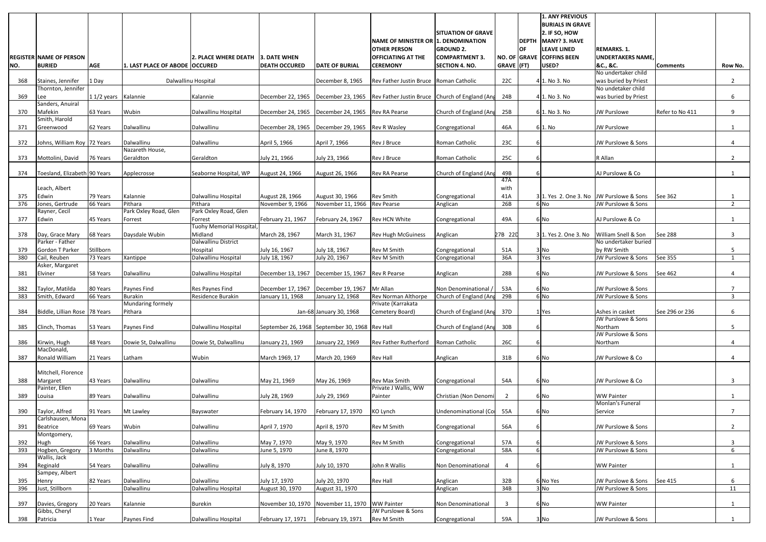|            | <b>REGISTER NAME OF PERSON</b>      |                     |                                  | 2. PLACE WHERE DEATH              | 3. DATE WHEN                                   |                                  | NAME OF MINISTER OR 1. DENOMINATION<br><b>OTHER PERSON</b><br><b>OFFICIATING AT THE</b> | <b>SITUATION OF GRAVE</b><br><b>GROUND 2.</b><br><b>COMPARTMENT 3.</b> | <b>OF</b>               | <b>1. ANY PREVIOUS</b><br><b>BURIALS IN GRAVE</b><br>$2.$ IF SO, HOW<br>DEPTH MANY? 3. HAVE<br>LEAVE LINED<br>NO. OF GRAVE COFFINS BEEN | <b>REMARKS. 1.</b><br><b>UNDERTAKERS NAME</b> |                 |                |
|------------|-------------------------------------|---------------------|----------------------------------|-----------------------------------|------------------------------------------------|----------------------------------|-----------------------------------------------------------------------------------------|------------------------------------------------------------------------|-------------------------|-----------------------------------------------------------------------------------------------------------------------------------------|-----------------------------------------------|-----------------|----------------|
| NO.        | <b>BURIED</b>                       | <b>AGE</b>          | 1. LAST PLACE OF ABODE OCCURED   |                                   | <b>DEATH OCCURED</b>                           | <b>DATE OF BURIAL</b>            | <b>CEREMONY</b>                                                                         | <b>SECTION 4. NO.</b>                                                  | $GRAVE$ (FT)            | USED?                                                                                                                                   | &C., &C.<br>No undertaker child               | <b>Comments</b> | Row No.        |
| 368        | Staines, Jennifer                   | 1 Day               | Dalwallinu Hospital              |                                   |                                                | December 8, 1965                 | Rev Father Justin Bruce Roman Catholic                                                  |                                                                        | 22C                     | 4 1. No 3. No                                                                                                                           | was buried by Priest                          |                 | $\overline{2}$ |
| 369        | Thornton, Jennifer<br> Lee          | 11/2 years Kalannie |                                  | Kalannie                          | December 22, 1965                              | December 23, 1965                | Rev Father Justin Bruce Church of England (Ang                                          |                                                                        | 24B                     | 4 1. No 3. No                                                                                                                           | No undetaker child<br>was buried by Priest    |                 | 6              |
| 370        | Sanders, Anuiral<br>Mafekin         | 63 Years            | Wubin                            | Dalwallinu Hospital               | December 24, 1965                              | December 24, 1965                | <b>Rev RA Pearse</b>                                                                    | Church of England (Ang                                                 | 25B                     | 6 1. No 3. No                                                                                                                           | JW Purslowe                                   | Refer to No 411 | 9              |
| 371        | Smith, Harold<br>Greenwood          | 62 Years            | Dalwallinu                       | Dalwallinu                        | December 28, 1965                              | December 29, 1965                | <b>Rev R Wasley</b>                                                                     | Congregational                                                         | 46A                     | 6 1. No                                                                                                                                 | JW Purslowe                                   |                 |                |
|            |                                     |                     |                                  |                                   |                                                |                                  |                                                                                         |                                                                        |                         |                                                                                                                                         |                                               |                 |                |
| 372        | Johns, William Roy 72 Years         |                     | Dalwallinu<br>Nazareth House,    | Dalwallinu                        | April 5, 1966                                  | April 7, 1966                    | Rev J Bruce                                                                             | Roman Catholic                                                         | 23C                     |                                                                                                                                         | JW Purslowe & Sons                            |                 |                |
| 373        | Mottolini, David                    | 76 Years            | Geraldton                        | Geraldton                         | July 21, 1966                                  | July 23, 1966                    | Rev J Bruce                                                                             | Roman Catholic                                                         | 25C                     |                                                                                                                                         | R Allan                                       |                 | $\overline{2}$ |
| 374        | Toesland, Elizabeth 90 Years        |                     | Applecrosse                      | Seaborne Hospital, WP             | August 24, 1966                                | August 26, 1966                  | Rev RA Pearse                                                                           | Church of England (Ang                                                 | 49B<br>47A              |                                                                                                                                         | AJ Purslowe & Co                              |                 |                |
|            | Leach, Albert                       |                     |                                  |                                   |                                                |                                  |                                                                                         |                                                                        | with                    |                                                                                                                                         |                                               |                 |                |
| 375        | Edwin                               | 79 Years            | Kalannie                         | Dalwallinu Hospital               | August 28, 1966                                | August 30, 1966                  | Rev Smith                                                                               | Congregational                                                         | 41A                     | 31. Yes 2. One 3. No JW Purslowe & Sons                                                                                                 |                                               | See 362         |                |
| 376        | Jones, Gertrude                     | 66 Years            | Pithara                          | Pithara                           | November 9, 1966                               | November 11, 1966                | <b>Rev Pearse</b>                                                                       | Anglican                                                               | 26B                     | $6$ No                                                                                                                                  | JW Purslowe & Sons                            |                 | 2              |
| 377        | Rayner, Cecil<br>Edwin              | 45 Years            | Park Oxley Road, Glen<br>Forrest | Park Oxley Road, Glen<br>Forrest  | February 21, 1967                              | February 24, 1967                | Rev HCN White                                                                           | Congregational                                                         | 49A                     | 6 No                                                                                                                                    | AJ Purslowe & Co                              |                 |                |
|            |                                     |                     |                                  | Tuohy Memorial Hospital,          |                                                |                                  |                                                                                         |                                                                        |                         |                                                                                                                                         |                                               |                 |                |
| 378        | Day, Grace Mary<br>Parker - Father  | 68 Years            | Daysdale Wubin                   | Midland<br>Dalwallinu District    | March 28, 1967                                 | March 31, 1967                   | <b>Rev Hugh McGuiness</b>                                                               | Anglican                                                               | 27B 22D                 | 3 1. Yes 2. One 3. No                                                                                                                   | William Snell & Son<br>No undertaker buried   | See 288         | 3              |
| 379        | <b>Gordon T Parker</b>              | Stillborn           |                                  | Hospital                          | July 16, 1967                                  | July 18, 1967                    | Rev M Smith                                                                             | Congregational                                                         | 51A                     | 3 No                                                                                                                                    | by RW Smith                                   |                 | 5              |
| 380        | Cail, Reuben                        | 73 Years            | Xantippe                         | Dalwallinu Hospital               | July 18, 1967                                  | July 20, 1967                    | Rev M Smith                                                                             | Congregational                                                         | 36A                     | 3 Yes                                                                                                                                   | JW Purslowe & Sons                            | See 355         |                |
|            | Asker, Margaret                     |                     |                                  |                                   |                                                |                                  |                                                                                         |                                                                        |                         |                                                                                                                                         |                                               |                 |                |
| 381        | Elviner                             | 58 Years            | Dalwallinu                       | Dalwallinu Hospital               | December 13, 1967                              | December 15, 1967                | Rev R Pearse                                                                            | Anglican                                                               | 28B                     | 6 No                                                                                                                                    | JW Purslowe & Sons                            | See 462         |                |
| 382        | Taylor, Matilda                     | 80 Years            | Paynes Find                      | Res Paynes Find                   | December 17, 1967                              | December 19, 1967                | Mr Allan                                                                                | Non Denominational,                                                    | 53A                     | 6 No                                                                                                                                    | JW Purslowe & Sons                            |                 |                |
| 383        | Smith, Edward                       | 66 Years            | <b>Burakin</b>                   | Residence Burakin                 | January 11, 1968                               | January 12, 1968                 | Rev Norman Althorpe                                                                     | Church of England (Ang                                                 | 29B                     | 6 No                                                                                                                                    | JW Purslowe & Sons                            |                 | 3              |
| 384        | Biddle, Lillian Rose 78 Years       |                     | Mundaring formely<br>Pithara     |                                   |                                                | Jan-68 January 30, 1968          | Private (Karrakata<br>Cemetery Board)                                                   | Church of England (Ang                                                 | 37D                     | 1 Yes                                                                                                                                   | Ashes in casket                               | See 296 or 236  | 6              |
| 385        | Clinch, Thomas                      | 53 Years            | Paynes Find                      | Dalwallinu Hospital               | September 26, 1968 September 30, 1968          |                                  | <b>Rev Hall</b>                                                                         | Church of England (Ang                                                 | 30B                     |                                                                                                                                         | JW Purslowe & Sons<br>Northam                 |                 | 5              |
|            |                                     |                     |                                  |                                   |                                                |                                  |                                                                                         |                                                                        |                         |                                                                                                                                         | JW Purslowe & Sons                            |                 |                |
| 386        | Kirwin, Hugh<br>MacDonald,          | 48 Years            | Dowie St, Dalwallinu             | Dowie St, Dalwallinu              | January 21, 1969                               | January 22, 1969                 | Rev Father Rutherford                                                                   | Roman Catholic                                                         | 26C                     |                                                                                                                                         | Northam                                       |                 | 4              |
| 387        | Ronald William                      | 21 Years            | Latham                           | Wubin                             | March 1969, 17                                 | March 20, 1969                   | Rev Hall                                                                                | Anglican                                                               | 31B                     | 6 No                                                                                                                                    | JW Purslowe & Co                              |                 | 4              |
|            | Mitchell, Florence                  |                     |                                  |                                   |                                                |                                  |                                                                                         |                                                                        |                         |                                                                                                                                         |                                               |                 |                |
| 388        | Margaret                            | 43 Years            | Dalwallinu                       | Dalwallinu                        | May 21, 1969                                   | May 26, 1969                     | Rev Max Smith                                                                           | Congregational                                                         | 54A                     | 6 No                                                                                                                                    | JW Purslowe & Co                              |                 | 3              |
|            | Painter, Ellen                      |                     |                                  |                                   |                                                |                                  | Private J Wallis, WW                                                                    |                                                                        |                         |                                                                                                                                         |                                               |                 |                |
| 389        | Louisa                              | 89 Years            | Dalwallinu                       | Dalwallinu                        | July 28, 1969                                  | July 29, 1969                    | Painter                                                                                 | Christian (Non Denom                                                   | 2                       | 6 No                                                                                                                                    | <b>WW Painter</b><br>Monlan's Funeral         |                 |                |
| 390        | Taylor, Alfred<br>Carlshausen, Mona | 91 Years            | Mt Lawley                        | Bayswater                         | February 14, 1970                              | February 17, 1970                | KO Lynch                                                                                | Undenominational (Co                                                   | 55A                     | 6 No                                                                                                                                    | Service                                       |                 | $\overline{7}$ |
| 391        | <b>Beatrice</b>                     | 69 Years            | Wubin                            | Dalwallinu                        | April 7, 1970                                  | April 8, 1970                    | Rev M Smith                                                                             | Congregational                                                         | 56A                     |                                                                                                                                         | JW Purslowe & Sons                            |                 | $\overline{2}$ |
| 392        | Montgomery,<br>Hugh                 | 66 Years            | Dalwallinu                       | Dalwallinu                        | May 7, 1970                                    | May 9, 1970                      | Rev M Smith                                                                             | Congregational                                                         | 57A                     |                                                                                                                                         | JW Purslowe & Sons                            |                 | 3              |
| 393        | Hogben, Gregory                     | 3 Months            | Dalwallinu                       | Dalwallinu                        | June 5, 1970                                   | June 8, 1970                     |                                                                                         | Congregational                                                         | 58A                     |                                                                                                                                         | JW Purslowe & Sons                            |                 | 6              |
| 394        | Wallis, Jack<br>Reginald            | 54 Years            | Dalwallinu                       | Dalwallinu                        | July 8, 1970                                   | July 10, 1970                    | John R Wallis                                                                           | Non Denominational                                                     | $\overline{4}$          |                                                                                                                                         | <b>WW Painter</b>                             |                 |                |
|            | Sampey, Albert                      |                     |                                  |                                   |                                                |                                  |                                                                                         |                                                                        |                         |                                                                                                                                         |                                               |                 |                |
| 395<br>396 | Henry<br>Just, Stillborn            | 82 Years            | Dalwallinu<br>Dalwallinu         | Dalwallinu<br>Dalwallinu Hospital | July 17, 1970<br>August 30, 1970               | July 20, 1970<br>August 31, 1970 | Rev Hall                                                                                | Anglican<br>Anglican                                                   | 32B<br>34B              | 6 No Yes<br>$3$ No                                                                                                                      | JW Purslowe & Sons<br>JW Purslowe & Sons      | See 415         | 6<br>11        |
| 397        | Davies, Gregory                     | 20 Years            | Kalannie                         | <b>Burekin</b>                    | November 10, 1970 November 11, 1970 WW Painter |                                  |                                                                                         | Non Denominational                                                     | $\overline{\mathbf{3}}$ | 6 No                                                                                                                                    | <b>WW Painter</b>                             |                 |                |
|            | Gibbs, Cheryl                       |                     |                                  |                                   |                                                |                                  | JW Purslowe & Sons                                                                      |                                                                        |                         |                                                                                                                                         |                                               |                 |                |
| 398        | Patricia                            | 1 Year              | Paynes Find                      | Dalwallinu Hospital               | February 17, 1971                              | February 19, 1971                | Rev M Smith                                                                             | Congregational                                                         | 59A                     | 3 No                                                                                                                                    | JW Purslowe & Sons                            |                 |                |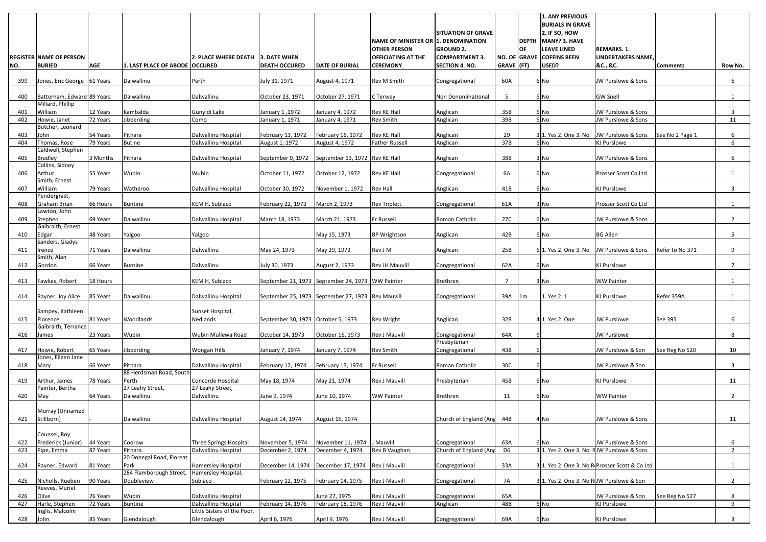| <b>BURIALS IN GRAVE</b><br>$2.$ IF SO, HOW<br><b>SITUATION OF GRAVE</b><br>DEPTH   MANY? 3. HAVE<br>NAME OF MINISTER OR 1. DENOMINATION<br><b>LEAVE LINED</b><br><b>OTHER PERSON</b><br><b>GROUND 2.</b><br>IOF.<br><b>OFFICIATING AT THE</b><br><b>COMPARTMENT 3</b><br>NO. OF GRAVE COFFINS BEEN<br><b>REGISTER NAME OF PERSON</b><br>l2. PLACE WHERE DEATH<br><b>13. DATE WHEN</b><br><b>BURIED</b><br><b>AGE</b><br>1. LAST PLACE OF ABODE OCCURED<br><b>CEREMONY</b><br>GRAVE (FT)<br>USED?<br>NO.<br><b>DEATH OCCURED</b><br><b>DATE OF BURIAL</b><br><b>SECTION 4. NO.</b> | 1. ANY PREVIOUS<br><b>REMARKS. 1.</b><br><b>UNDERTAKERS NAME</b><br>&C., &C. | <b>Comments</b><br>Row No. |
|-----------------------------------------------------------------------------------------------------------------------------------------------------------------------------------------------------------------------------------------------------------------------------------------------------------------------------------------------------------------------------------------------------------------------------------------------------------------------------------------------------------------------------------------------------------------------------------|------------------------------------------------------------------------------|----------------------------|
|                                                                                                                                                                                                                                                                                                                                                                                                                                                                                                                                                                                   |                                                                              |                            |
| Rev M Smith<br>60A<br>Jones, Eric George 61 Years<br>Dalwallinu<br>Perth<br>July 31, 1971<br>August 4, 1971<br>399<br>Congregational<br>6 No                                                                                                                                                                                                                                                                                                                                                                                                                                      | JW Purslowe & Sons                                                           | 6                          |
| Batterham, Edward 89 Years<br>Dalwallinu<br>Dalwallinu<br>October 23, 1971<br>$5^{\circ}$<br>400<br>October 27, 1971<br>C Terwey<br>Non Denominational<br>6 No                                                                                                                                                                                                                                                                                                                                                                                                                    | <b>GW Snell</b>                                                              |                            |
| Millard, Phillip<br>William<br>12 Years<br>Kambalda<br>Gunyidi Lake<br>Rev KE Hall<br>35B<br>401<br>January 1,1972<br>January 4, 1972<br>Anglican<br>6 No                                                                                                                                                                                                                                                                                                                                                                                                                         | JW Purslowe & Sons                                                           | 3                          |
| 6 No<br>72 Years<br>Jibberding<br>402<br>Howie, Janet<br>January 1, 1971<br>Rev Smith<br>39B<br>Como<br>January 4, 1971<br>Anglican                                                                                                                                                                                                                                                                                                                                                                                                                                               | JW Purslowe & Sons                                                           | 11                         |
| Butcher, Leonard<br>54 Years<br>Pithara<br>Rev KE Hall<br>29<br>3 1. Yes 2. One 3. No<br>403<br>John<br>Dalwallinu Hospital<br>February 13, 1972<br>February 16, 1972<br>Anglican                                                                                                                                                                                                                                                                                                                                                                                                 | JW Purslowe & Sons                                                           | See No 2 Page 1<br>6       |
| 37B<br>6 No<br>404<br>Thomas, Rose<br>79 Years<br><b>Butine</b><br>August 1, 1972<br>August 4, 1972<br>Anglican<br>Dalwallinu Hospital<br><b>Father Russell</b>                                                                                                                                                                                                                                                                                                                                                                                                                   | <b>KJ Purslowe</b>                                                           | 6                          |
| Caldwell, Stephen<br>38B<br>3 Months<br>Pithara<br>September 13, 1972 Rev KE Hall                                                                                                                                                                                                                                                                                                                                                                                                                                                                                                 | JW Purslowe & Sons                                                           | 6                          |
| September 9, 1972<br>405<br>Bradley<br>Dalwallinu Hospital<br>Anglican<br>3 No<br>Collins, Sidney                                                                                                                                                                                                                                                                                                                                                                                                                                                                                 |                                                                              |                            |
| Wubin<br>55 Years<br>Wubin<br>October 12, 1972<br>Rev KE Hall<br>6A<br>406<br>Arthur<br>October 11, 1972<br>Congregational<br>6 No<br>Smith, Ernest                                                                                                                                                                                                                                                                                                                                                                                                                               | Prosser Scott Co Ltd                                                         |                            |
| William<br>79 Years<br>Watheroo<br>October 30, 1972<br>November 1, 1972<br>Rev Hall<br>41B<br>407<br>Dalwallinu Hospital<br>6 No<br>Anglican                                                                                                                                                                                                                                                                                                                                                                                                                                      | <b>KJ Purslowe</b>                                                           | 3                          |
| Pendergrast,<br>66 Hours<br>March 2, 1973<br><b>Rev Triplett</b><br>61A<br>408<br>Graham Brian<br><b>Buntine</b><br>KEM H, Subiaco<br>February 22, 1973<br>3 No<br>Congregational                                                                                                                                                                                                                                                                                                                                                                                                 | Prosser Scott Co Ltd                                                         |                            |
| Lawton, John                                                                                                                                                                                                                                                                                                                                                                                                                                                                                                                                                                      |                                                                              |                            |
| Dalwallinu<br>27C<br>69 Years<br>Fr Russell<br>409<br>Stephen<br>Dalwallinu Hospital<br>March 18, 1973<br>March 21, 1973<br>Roman Catholic<br>6 No<br>Galbraith, Ernest                                                                                                                                                                                                                                                                                                                                                                                                           | JW Purslowe & Sons                                                           | $\overline{2}$             |
| 48 Years<br><b>BP Wrightson</b><br>42B<br>410<br>Yalgoo<br>May 15, 1973<br>6 No<br>Edgar<br>Yalgoo<br>Anglican                                                                                                                                                                                                                                                                                                                                                                                                                                                                    | <b>BG Allen</b>                                                              | 5 <sup>5</sup>             |
| Sanders, Gladys<br>Dalwallinu<br>Rev J M<br>25B<br>71 Years<br>Dalwallinu<br>May 24, 1973<br>6 1. Yes 2. One 3. No<br>411<br>May 29, 1973<br>Irence<br>Anglican                                                                                                                                                                                                                                                                                                                                                                                                                   | JW Purslowe & Sons                                                           | Refer to No 371<br>9       |
| Smith, Alan                                                                                                                                                                                                                                                                                                                                                                                                                                                                                                                                                                       |                                                                              |                            |
| Dalwallinu<br>July 30, 1973<br><b>Rev JH Mauvill</b><br>62A<br>412<br>Gordon<br>66 Years<br><b>Buntine</b><br>August 2, 1973<br>6 No<br>Congregational                                                                                                                                                                                                                                                                                                                                                                                                                            | <b>KJ Purslowe</b>                                                           | $\overline{ }$             |
| 18 Hours<br>KEM H, Subiaco<br>September 21, 1973 September 24, 1973 WW Painter<br>$\overline{7}$<br>413<br>Fawkes, Robert<br><b>Brethren</b><br>3 No                                                                                                                                                                                                                                                                                                                                                                                                                              | <b>WW Painter</b>                                                            |                            |
| September 25, 1973 September 27, 1973 Rev Mauvill<br>Rayner, Joy Alice<br>85 Years<br>Dalwallinu<br>Dalwallinu Hospital<br>39A<br>1. Yes 2. 1<br>414<br>Congregational<br> 1m                                                                                                                                                                                                                                                                                                                                                                                                     | <b>KJ Purslowe</b>                                                           | Refer 359A                 |
| Sampey, Kathleen<br>Sunset Hospital,                                                                                                                                                                                                                                                                                                                                                                                                                                                                                                                                              |                                                                              |                            |
| 81 Years<br>Woodlands<br>32B<br>Nedlands<br>September 30, 1973 October 5, 1973<br><b>Rev Wright</b><br>4 1. Yes 2. One<br>415<br>Florence<br>Anglican                                                                                                                                                                                                                                                                                                                                                                                                                             | <b>JW Purslowe</b>                                                           | See 395<br>6               |
| Galbraith, Terrance<br>23 Years<br>Wubin<br>Rev J Mauvill<br>64A<br>Wubin Mullewa Road<br>October 16, 1973<br>416<br>October 14, 1973<br>Congregational<br>James                                                                                                                                                                                                                                                                                                                                                                                                                  | <b>JW Purslowe</b>                                                           | 8                          |
| Presbyterian                                                                                                                                                                                                                                                                                                                                                                                                                                                                                                                                                                      |                                                                              |                            |
| Jibberding<br>Rev Smith<br>43B<br>Howie, Robert<br>January 7, 1974<br>417<br>65 Years<br>Wongan Hills<br>January 7, 1974<br>Congregational<br>Jones, Eileen Jane                                                                                                                                                                                                                                                                                                                                                                                                                  | JW Purslowe & Son                                                            | See Reg No 520<br>10       |
| 30C<br>66 Years<br>Pithara<br>Fr Russell<br>Dalwallinu Hospital<br>February 12, 1974<br>February 15, 1974<br>Roman Catholic<br>418<br>Mary<br>88 Herdsman Road, South                                                                                                                                                                                                                                                                                                                                                                                                             | JW Purslowe & Son                                                            | 3                          |
| 45B<br>Rev J Mauvill<br>78 Years<br>Perth<br>Concorde Hospital<br>May 18, 1974<br>May 21, 1974<br>Presbyterian<br>419<br>Arthur, James<br>6 No                                                                                                                                                                                                                                                                                                                                                                                                                                    | <b>KJ Purslowe</b>                                                           | 11                         |
| 27 Leahy Street,<br>27 Leahy Street,<br>Painter, Bertha                                                                                                                                                                                                                                                                                                                                                                                                                                                                                                                           |                                                                              |                            |
| June 10, 1974<br><b>WW Painter</b><br><b>Brethren</b><br>11<br>64 Years<br>Dalwallinu<br>Dalwallinu<br>June 9, 1974<br>6 No<br>420<br>May                                                                                                                                                                                                                                                                                                                                                                                                                                         | <b>WW Painter</b>                                                            | $2^{\circ}$                |
| Murray (Unnamed<br>Stillborn)<br>Dalwallinu<br>44B<br>$4$ No<br>Dalwallinu Hospital<br>August 14, 1974<br>August 15, 1974<br>Church of England (Ang<br>421                                                                                                                                                                                                                                                                                                                                                                                                                        | JW Purslowe & Sons                                                           | 11                         |
|                                                                                                                                                                                                                                                                                                                                                                                                                                                                                                                                                                                   |                                                                              |                            |
| Counsel, Roy<br>63A<br>Frederick (Junior)<br>J Mauvill<br>44 Years<br>Coorow<br>Three Springs Hospital<br>November 5, 1974<br>November 11, 1974<br>Congregational<br>6 No<br>422                                                                                                                                                                                                                                                                                                                                                                                                  | JW Purslowe & Sons                                                           | 6                          |
| Pithara<br>Dalwallinu Hospital<br>December 4, 1974<br>Church of England (Ang<br>D <sub>6</sub><br>Pipe, Emma<br>87 Years<br>December 2, 1974<br>Rev B Vaughan<br>423                                                                                                                                                                                                                                                                                                                                                                                                              | 3 1. Yes 2. One 3. No RJW Purslowe & Sons                                    | $\overline{2}$             |
| 20 Donegal Road, Floreat                                                                                                                                                                                                                                                                                                                                                                                                                                                                                                                                                          |                                                                              |                            |
| Park<br>33A<br><b>Rev J Mauvill</b><br>Rayner, Edward<br>81 Years<br><b>Hamersley Hospital</b><br>December 14, 1974<br>December 17, 1974<br>Congregational<br>424<br>284 Flamborough Street,<br>Hamersley Hospital,                                                                                                                                                                                                                                                                                                                                                               | 3 1. Yes 2. One 3. No R Prosser Scott & Co Ltd                               | $\mathbf{1}$               |
| 7A<br>Doubleview<br>Rev J Mauvill<br>425<br>Nicholls, Rueben<br>90 Years<br>February 12, 1975<br>February 14, 1975<br>Subiaco<br>Congregational<br>Reeves, Muriel                                                                                                                                                                                                                                                                                                                                                                                                                 | 31. Yes 2. One 3. No RJW Purslowe & Son                                      | $2^{\circ}$                |
| Wubin<br>65A<br>76 Years<br>Dalwallinu Hospital<br>June 27, 1975<br>Rev J Mauvill<br>426<br>Olive<br>Congregational                                                                                                                                                                                                                                                                                                                                                                                                                                                               | JW Purslowe & Son                                                            | See Reg No 527<br>8        |
| Harle, Stephen<br>February 14, 1976<br>February 18, 1976<br>48B<br>6 No<br>72 Years<br>Buntine<br>Dalwallinu Hospital<br>Rev J Mauvill<br>427<br>Anglican                                                                                                                                                                                                                                                                                                                                                                                                                         | <b>KJ Purslowe</b>                                                           | 9                          |
| Little Sisters of the Poor,<br>Inglis, Malcolm<br>Glendalough<br>69A<br>85 Years<br>Glendalough<br>April 6, 1976<br>April 9, 1976<br>Rev J Mauvill<br>428<br>John<br>Congregational<br>6 No                                                                                                                                                                                                                                                                                                                                                                                       | <b>KJ Purslowe</b>                                                           | 3                          |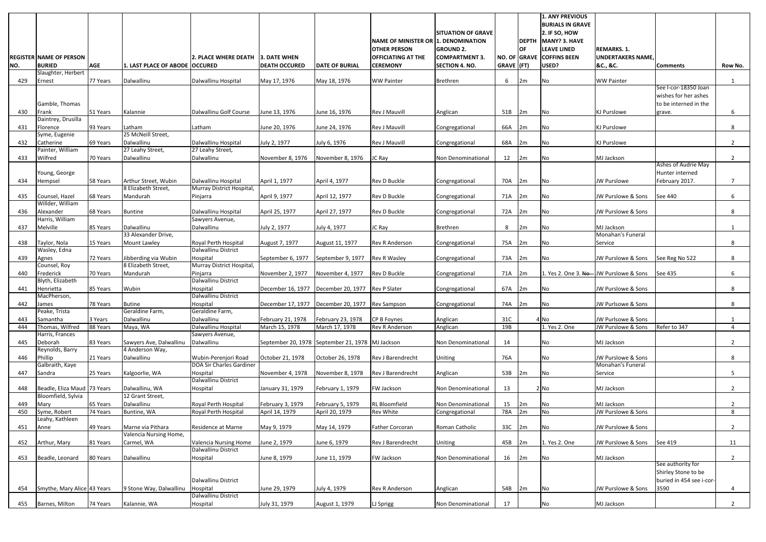|            |                                     |                      |                                             |                                                  |                                                  |                                    |                                     |                                      |            |          | <b>1. ANY PREVIOUS</b><br><b>BURIALS IN GRAVE</b> |                                  |                          |                     |
|------------|-------------------------------------|----------------------|---------------------------------------------|--------------------------------------------------|--------------------------------------------------|------------------------------------|-------------------------------------|--------------------------------------|------------|----------|---------------------------------------------------|----------------------------------|--------------------------|---------------------|
|            |                                     |                      |                                             |                                                  |                                                  |                                    |                                     | <b>SITUATION OF GRAVE</b>            |            |          | $2.$ IF SO, HOW                                   |                                  |                          |                     |
|            |                                     |                      |                                             |                                                  |                                                  |                                    | NAME OF MINISTER OR 1. DENOMINATION |                                      |            |          | <b>DEPTH MANY? 3. HAVE</b>                        |                                  |                          |                     |
|            |                                     |                      |                                             |                                                  |                                                  |                                    | <b>OTHER PERSON</b>                 | <b>GROUND 2.</b>                     |            | lOF.     | <b>LEAVE LINED</b>                                | <b>REMARKS. 1.</b>               |                          |                     |
|            | <b>REGISTER NAME OF PERSON</b>      |                      |                                             | 2. PLACE WHERE DEATH 3. DATE WHEN                |                                                  |                                    | <b>OFFICIATING AT THE</b>           | <b>COMPARTMENT 3</b>                 |            |          | NO. OF GRAVE COFFINS BEEN                         | <b>UNDERTAKERS NAME</b>          |                          |                     |
| NO.        | <b>BURIED</b><br>Slaughter, Herbert | <b>AGE</b>           | 1. LAST PLACE OF ABODE OCCURED              |                                                  | <b>DEATH OCCURED</b>                             | <b>DATE OF BURIAL</b>              | <b>CEREMONY</b>                     | <b>SECTION 4. NO.</b>                | GRAVE (FT) |          | USED?                                             | &C., &C.                         | <b>Comments</b>          | Row No.             |
| 429        | Ernest                              | 77 Years             | Dalwallinu                                  | Dalwallinu Hospital                              | May 17, 1976                                     | May 18, 1976                       | <b>WW Painter</b>                   | <b>Brethren</b>                      | 6          | 2m       | N <sub>o</sub>                                    | <b>WW Painter</b>                |                          |                     |
|            |                                     |                      |                                             |                                                  |                                                  |                                    |                                     |                                      |            |          |                                                   |                                  | See I-cor-18350 Joan     |                     |
|            |                                     |                      |                                             |                                                  |                                                  |                                    |                                     |                                      |            |          |                                                   |                                  | wishes for her ashes     |                     |
|            | Gamble, Thomas                      |                      |                                             |                                                  |                                                  |                                    |                                     |                                      |            |          |                                                   |                                  | to be interned in the    |                     |
| 430        | Frank                               | 51 Years             | Kalannie                                    | Dalwallinu Golf Course                           | June 13, 1976                                    | June 16, 1976                      | Rev J Mauvill                       | Anglican                             | 51B        | 2m       | No.                                               | <b>KJ Purslowe</b>               | grave.                   | 6                   |
|            | Daintrey, Drusilla                  |                      |                                             |                                                  |                                                  |                                    |                                     |                                      |            |          |                                                   |                                  |                          |                     |
| 431        | Florence<br>Syme, Eugenie           | 93 Years             | Latham<br>25 McNeill Street,                | Latham                                           | June 20, 1976                                    | June 24, 1976                      | Rev J Mauvill                       | Congregational                       | 66A        | 2m       | No                                                | <b>KJ Purslowe</b>               |                          | 8                   |
| 432        | Catherine                           | 69 Years             | Dalwallinu                                  | Dalwallinu Hospital                              | July 2, 1977                                     | July 6, 1976                       | Rev J Mauvill                       | Congregational                       | 68A        | 2m       | No                                                | <b>KJ Purslowe</b>               |                          | $\overline{2}$      |
|            | Painter, William                    |                      | 27 Leahy Street,                            | 27 Leahy Street,                                 |                                                  |                                    |                                     |                                      |            |          |                                                   |                                  |                          |                     |
| 433        | Wilfred                             | 70 Years             | Dalwallinu                                  | Dalwallinu                                       | November 8, 1976                                 | November 8, 1976                   | JC Ray                              | Non Denominational                   | 12         | 2m       | No                                                | MJ Jackson                       |                          | $\overline{2}$      |
|            |                                     |                      |                                             |                                                  |                                                  |                                    |                                     |                                      |            |          |                                                   |                                  | Ashes of Audrie May      |                     |
|            | Young, George                       |                      |                                             |                                                  |                                                  |                                    |                                     |                                      |            |          |                                                   |                                  | Hunter interned          |                     |
| 434        | Hempsel                             | 58 Years             | Arthur Street, Wubin<br>8 Elizabeth Street, | Dalwallinu Hospital<br>Murray District Hospital, | April 1, 1977                                    | April 4, 1977                      | Rev D Buckle                        | Congregational                       | 70A        | 2m       | No.                                               | <b>JW Purslowe</b>               | February 2017.           | 7                   |
| 435        | Counsel, Hazel                      | 68 Years             | Mandurah                                    | Pinjarra                                         | April 9, 1977                                    | April 12, 1977                     | Rev D Buckle                        | Congregational                       | 71A        | 2m       | No                                                | JW Purslowe & Sons               | See 440                  | 6                   |
|            | Willder, William                    |                      |                                             |                                                  |                                                  |                                    |                                     |                                      |            |          |                                                   |                                  |                          |                     |
| 436        | Alexander                           | 68 Years             | <b>Buntine</b>                              | Dalwallinu Hospital                              | April 25, 1977                                   | April 27, 1977                     | Rev D Buckle                        | Congregational                       | 72A        | 2m       | No                                                | JW Purslowe & Sons               |                          | 8                   |
|            | Harris, William                     |                      |                                             | Sawyers Avenue,                                  |                                                  |                                    |                                     |                                      |            |          |                                                   |                                  |                          |                     |
| 437        | Melville                            | 85 Years             | Dalwallinu                                  | Dalwallinu                                       | July 2, 1977                                     | July 4, 1977                       | JC Ray                              | <b>Brethren</b>                      | 8          | 2m       | No                                                | MJ Jackson                       |                          |                     |
|            |                                     |                      | 33 Alexander Drive,                         |                                                  |                                                  |                                    |                                     |                                      |            |          |                                                   | Monahan's Funeral                |                          |                     |
| 438        | Taylor, Nola<br>Wasley, Edna        | 15 Years             | <b>Mount Lawley</b>                         | Royal Perth Hospital<br>Dalwallinu District      | August 7, 1977                                   | August 11, 1977                    | Rev R Anderson                      | Congregational                       | 75A        | 2m       | No                                                | Service                          |                          | 8                   |
| 439        | Agnes                               | 72 Years             | Jibberding via Wubin                        | Hospital                                         | September 6, 1977                                | September 9, 1977                  | Rev R Wasley                        | Congregational                       | 73A        | 2m       | No                                                | JW Purslowe & Sons               | See Reg No 522           | 8                   |
|            | Counsel, Roy                        |                      | 8 Elizabeth Street,                         | Murray District Hospital,                        |                                                  |                                    |                                     |                                      |            |          |                                                   |                                  |                          |                     |
| 440        | Frederick                           | 70 Years             | Mandurah                                    | Pinjarra                                         | November 2, 1977                                 | November 4, 1977                   | Rev D Buckle                        | Congregational                       | 71A        | 2m       | 1. Yes 2. One 3. No- JW Purslowe & Sons           |                                  | See 435                  | 6                   |
|            | Blyth, Elizabeth                    |                      |                                             | Dalwallinu District                              |                                                  |                                    |                                     |                                      |            |          |                                                   |                                  |                          |                     |
| 441        | Henrietta                           | 85 Years             | Wubin                                       | Hospital                                         | December 16, 1977                                | December 20, 1977                  | <b>Rev P Slater</b>                 | Congregational                       | 67A        | 2m       | <b>No</b>                                         | JW Purslowe & Sons               |                          | 8                   |
| 442        | MacPherson,<br>James                | 78 Years             | <b>Butine</b>                               | Dalwallinu District<br>Hospital                  | December 17, 1977  December 20, 1977             |                                    | <b>Rev Sampson</b>                  | Congregational                       | 74A 2m     |          | No                                                | JW Purlsowe & Sons               |                          | 8                   |
|            | Peake, Trista                       |                      | Geraldine Farm,                             | Geraldine Farm,                                  |                                                  |                                    |                                     |                                      |            |          |                                                   |                                  |                          |                     |
| 443        | Samantha                            | 3 Years              | Dalwallinu                                  | Dalwallinu                                       | February 21, 1978                                | February 23, 1978                  | CP B Foynes                         | Anglican                             | 31C        |          | 4 No                                              | JW Purlsowe & Sons               |                          |                     |
| 444        | Thomas, Wilfred                     | 88 Years             | Maya, WA                                    | Dalwallinu Hospital                              | March 15, 1978                                   | March 17, 1978                     | <b>Rev R Anderson</b>               | Anglican                             | 19B        |          | 1. Yes 2. One                                     | JW Purslowe & Sons               | Refer to 347             | $\overline{4}$      |
|            | Harris, Frances                     |                      |                                             | Sawyers Avenue,                                  |                                                  |                                    |                                     |                                      |            |          |                                                   |                                  |                          |                     |
| 445        | Deborah                             | 83 Years             | Sawyers Ave, Dalwallinu                     | Dalwallinu                                       | September 20, 1978 September 21, 1978 MJ Jackson |                                    |                                     | Non Denominational                   | 14         |          | No                                                | MJ Jackson                       |                          | $\overline{2}$      |
| 446        | Reynolds, Barry<br>Phillip          | 21 Years             | 4 Anderson Way,<br>Dalwallinu               | Wubin-Perenjori Road                             | October 21, 1978                                 | October 26, 1978                   | Rev J Barendrecht                   | Uniting                              | 76A        |          | No                                                | JW Purslowe & Sons               |                          | 8                   |
|            | Galbraith, Kaye                     |                      |                                             | DOA Sir Charles Gardiner                         |                                                  |                                    |                                     |                                      |            |          |                                                   | Monahan's Funeral                |                          |                     |
| 447        | Sandra                              | 25 Years             | Kalgoorlie, WA                              | Hospital                                         | November 4, 1978                                 | November 8, 1978                   | Rev J Barendrecht                   | Anglican                             | 53B        | 2m       | No                                                | Service                          |                          | 5                   |
|            |                                     |                      |                                             | Dalwallinu District                              |                                                  |                                    |                                     |                                      |            |          |                                                   |                                  |                          |                     |
| 448        | Beadle, Eliza Maud 73 Years         |                      | Dalwallinu, WA                              | Hospital                                         | January 31, 1979                                 | February 1, 1979                   | FW Jackson                          | Non Denominational                   | 13         |          | $2$ No                                            | MJ Jackson                       |                          | $\overline{2}$      |
|            | Bloomfield, Sylvia                  |                      | 12 Grant Street,                            |                                                  |                                                  |                                    |                                     |                                      |            |          |                                                   |                                  |                          |                     |
| 449<br>450 | Mary<br>Syme, Robert                | 65 Years<br>74 Years | Dalwallinu<br>Buntine, WA                   | Royal Perth Hospital<br>Royal Perth Hospital     | February 3, 1979<br>April 14, 1979               | February 5, 1979<br>April 20, 1979 | RL Bloomfield<br>Rev White          | Non Denominational<br>Congregational | 15<br>78A  | 2m<br>2m | No<br>No                                          | MJ Jackson<br>JW Purslowe & Sons |                          | $\overline{2}$<br>8 |
|            | Leahy, Kathleen                     |                      |                                             |                                                  |                                                  |                                    |                                     |                                      |            |          |                                                   |                                  |                          |                     |
| 451        | Anne                                | 49 Years             | Marne via Pithara                           | Residence at Marne                               | May 9, 1979                                      | May 14, 1979                       | <b>Father Corcoran</b>              | Roman Catholic                       | 33C        | 2m       | No                                                | JW Purslowe & Sons               |                          | 2                   |
|            |                                     |                      | <b>Valencia Nursing Home,</b>               |                                                  |                                                  |                                    |                                     |                                      |            |          |                                                   |                                  |                          |                     |
| 452        | Arthur, Mary                        | 81 Years             | Carmel, WA                                  | <b>Valencia Nursing Home</b>                     | June 2, 1979                                     | June 6, 1979                       | Rev J Barendrecht                   | Uniting                              | 45B        | 2m       | 1. Yes 2. One                                     | JW Purslowe & Sons               | See 419                  | 11                  |
|            |                                     |                      |                                             | Dalwallinu District                              |                                                  |                                    |                                     |                                      |            |          |                                                   |                                  |                          |                     |
| 453        | Beadle, Leonard                     | 80 Years             | Dalwallinu                                  | Hospital                                         | June 8, 1979                                     | June 11, 1979                      | <b>FW Jackson</b>                   | Non Denominational                   | 16         | 2m       | No                                                | MJ Jackson                       | See authority for        | 2                   |
|            |                                     |                      |                                             |                                                  |                                                  |                                    |                                     |                                      |            |          |                                                   |                                  | Shirley Stone to be      |                     |
|            |                                     |                      |                                             | Dalwallinu District                              |                                                  |                                    |                                     |                                      |            |          |                                                   |                                  | buried in 454 see i-cor- |                     |
| 454        | Smythe, Mary Alice 43 Years         |                      | 9 Stone Way, Dalwallinu                     | Hospital                                         | June 29, 1979                                    | July 4, 1979                       | <b>Rev R Anderson</b>               | Anglican                             | 54B        | 2m       | No                                                | JW Purslowe & Sons               | 3590                     | 4                   |
|            |                                     |                      |                                             | Dalwallinu District                              |                                                  |                                    |                                     |                                      |            |          |                                                   |                                  |                          |                     |
| 455        | Barnes, Milton                      | 74 Years             | Kalannie, WA                                | Hospital                                         | July 31, 1979                                    | August 1, 1979                     | LJ Sprigg                           | Non Denominational                   | 17         |          | No                                                | MJ Jackson                       |                          | $2^{\circ}$         |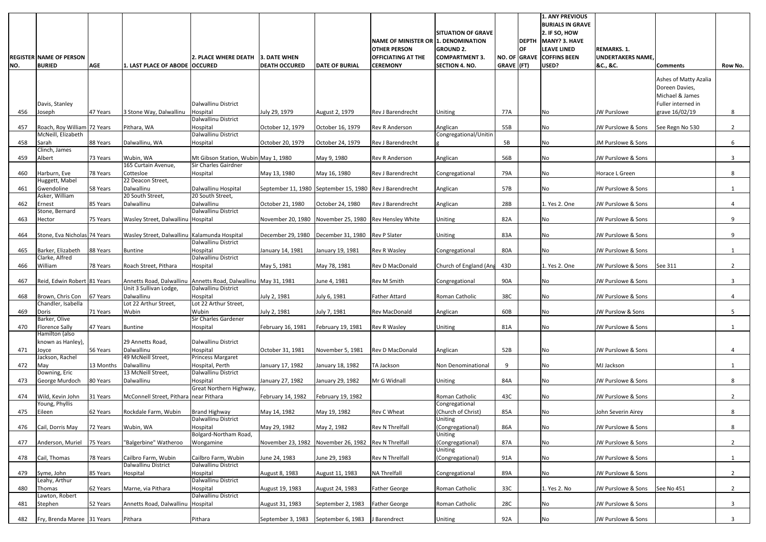| <b>AGE</b><br>$GRAVE$ (FT)<br>USED?<br><b>BURIED</b><br><b>DEATH OCCURED</b><br><b>DATE OF BURIAL</b><br><b>CEREMONY</b><br><b>SECTION 4. NO.</b><br>&C., &C.<br>NO.<br>1. LAST PLACE OF ABODE OCCURED<br><b>Comments</b><br><b>Dalwallinu District</b><br>Davis, Stanley<br>47 Years<br>3 Stone Way, Dalwallinu<br>Hospital<br>July 29, 1979<br>77A<br>456<br>Joseph<br>August 2, 1979<br><b>Rev J Barendrecht</b><br>No<br><b>JW Purslowe</b><br>Uniting<br>Dalwallinu District<br>Roach, Roy William 72 Years<br>55B<br>Pithara, WA<br>Hospital<br>October 12, 1979<br>October 16, 1979<br><b>Rev R Anderson</b><br>Anglican<br>JW Purslowe & Sons<br>457<br>No<br>McNeill, Elizabeth<br>Dalwallinu District<br>Congregational/Unitin<br>5B<br>88 Years<br>Dalwallinu, WA<br>October 20, 1979<br>October 24, 1979<br>JM Purslowe & Sons<br>458<br>Sarah<br>Hospital<br><b>Rev J Barendrecht</b><br>No | Row No.<br>Ashes of Matty Azalia<br>Doreen Davies,<br>Michael & James<br>Fuller interned in<br>grave 16/02/19<br>8<br>$2^{\circ}$<br>See Regn No 530<br>6<br>3 |
|----------------------------------------------------------------------------------------------------------------------------------------------------------------------------------------------------------------------------------------------------------------------------------------------------------------------------------------------------------------------------------------------------------------------------------------------------------------------------------------------------------------------------------------------------------------------------------------------------------------------------------------------------------------------------------------------------------------------------------------------------------------------------------------------------------------------------------------------------------------------------------------------------------|----------------------------------------------------------------------------------------------------------------------------------------------------------------|
|                                                                                                                                                                                                                                                                                                                                                                                                                                                                                                                                                                                                                                                                                                                                                                                                                                                                                                          |                                                                                                                                                                |
|                                                                                                                                                                                                                                                                                                                                                                                                                                                                                                                                                                                                                                                                                                                                                                                                                                                                                                          |                                                                                                                                                                |
|                                                                                                                                                                                                                                                                                                                                                                                                                                                                                                                                                                                                                                                                                                                                                                                                                                                                                                          |                                                                                                                                                                |
|                                                                                                                                                                                                                                                                                                                                                                                                                                                                                                                                                                                                                                                                                                                                                                                                                                                                                                          |                                                                                                                                                                |
| Clinch, James                                                                                                                                                                                                                                                                                                                                                                                                                                                                                                                                                                                                                                                                                                                                                                                                                                                                                            |                                                                                                                                                                |
| 56B<br>73 Years<br>Wubin, WA<br>JW Purslowe & Sons<br>459<br>Albert<br>Mt Gibson Station, Wubin May 1, 1980<br>May 9, 1980<br><b>Rev R Anderson</b><br>Anglican<br>No<br>165 Curtain Avenue,<br>Sir Charles Gairdner                                                                                                                                                                                                                                                                                                                                                                                                                                                                                                                                                                                                                                                                                     |                                                                                                                                                                |
| 78 Years<br>Cottesloe<br>Hospital<br>May 13, 1980<br>May 16, 1980<br>79A<br>Horace L Green<br>460<br>Harburn, Eve<br><b>Rev J Barendrecht</b><br>No<br>Congregational                                                                                                                                                                                                                                                                                                                                                                                                                                                                                                                                                                                                                                                                                                                                    | 8                                                                                                                                                              |
| 22 Deacon Street,<br>Huggett, Mabel<br>Dalwallinu<br>Gwendoline<br>Dalwallinu Hospital<br>57B<br>58 Years<br>September 11, 1980 September 15, 1980 Rev J Barendrecht<br>JW Purslowe & Sons<br>461<br>Anglican<br>No                                                                                                                                                                                                                                                                                                                                                                                                                                                                                                                                                                                                                                                                                      | 1                                                                                                                                                              |
| 20 South Street,<br>20 South Street,<br>Asker, William                                                                                                                                                                                                                                                                                                                                                                                                                                                                                                                                                                                                                                                                                                                                                                                                                                                   |                                                                                                                                                                |
| Dalwallinu<br>Dalwallinu<br>28B<br>85 Years<br>October 21, 1980<br>October 24, 1980<br>Rev J Barendrecht<br>1. Yes 2. One<br>JW Purslowe & Sons<br>462<br>Ernest<br>Anglican<br>Dalwallinu District<br>Stone, Bernard                                                                                                                                                                                                                                                                                                                                                                                                                                                                                                                                                                                                                                                                                    | 4                                                                                                                                                              |
| 82A<br>75 Years<br>Wasley Street, Dalwallinu Hospital<br>November 20, 1980 November 25, 1980 Rev Hensley White<br>JW Purslowe & Sons<br>463<br>Hector<br>Uniting<br>No                                                                                                                                                                                                                                                                                                                                                                                                                                                                                                                                                                                                                                                                                                                                   | 9                                                                                                                                                              |
| Stone, Eva Nicholas 74 Years<br>Wasley Street, Dalwallinu Kalamunda Hospital<br>December 29, 1980<br>December 31, 1980 Rev P Slater<br>83A<br>JW Purslowe & Sons<br>464<br><b>Uniting</b><br>No                                                                                                                                                                                                                                                                                                                                                                                                                                                                                                                                                                                                                                                                                                          | 9                                                                                                                                                              |
| Dalwallinu District<br>465<br>Barker, Elizabeth<br>88 Years<br>Hospital<br>80A<br>JW Purslowe & Sons<br>Buntine<br>January 14, 1981<br>January 19, 1981<br><b>Rev R Wasley</b><br>Congregational<br>No                                                                                                                                                                                                                                                                                                                                                                                                                                                                                                                                                                                                                                                                                                   | 1                                                                                                                                                              |
| Dalwallinu District<br>Clarke, Alfred                                                                                                                                                                                                                                                                                                                                                                                                                                                                                                                                                                                                                                                                                                                                                                                                                                                                    |                                                                                                                                                                |
| William<br>Roach Street, Pithara<br>May 78, 1981<br>Rev D MacDonald<br>Church of England (Ang<br>43D<br>1. Yes 2. One<br>JW Purslowe & Sons<br>See 311<br>466<br>78 Years<br>Hospital<br>May 5, 1981                                                                                                                                                                                                                                                                                                                                                                                                                                                                                                                                                                                                                                                                                                     | $2^{\circ}$                                                                                                                                                    |
| Reid, Edwin Robert 81 Years<br>Annetts Road, Dalwallinu<br>Annetts Road, Dalwallinu May 31, 1981<br><b>Rev M Smith</b><br>90A<br>JW Purslowe & Sons<br>467<br>June 4, 1981<br>Congregational<br>No<br>Unit 3 Sullivan Lodge,<br>Dalwallinu District                                                                                                                                                                                                                                                                                                                                                                                                                                                                                                                                                                                                                                                      | 3                                                                                                                                                              |
| 38C<br>Brown, Chris Con 67 Years<br>Dalwallinu<br>Hospital<br>July 2, 1981<br>July 6, 1981<br><b>Father Attard</b><br>JW Purslowe & Sons<br>468<br>Roman Catholic<br>No.<br>Chandler, Isabella<br>Lot 22 Arthur Street,<br>Lot 22 Arthur Street,                                                                                                                                                                                                                                                                                                                                                                                                                                                                                                                                                                                                                                                         |                                                                                                                                                                |
| 469<br>71 Years<br>Wubin<br>Wubin<br>July 2, 1981<br>July 7, 1981<br>60B<br>JW Purslow & Sons<br>Doris<br><b>Rev MacDonald</b><br>Anglican<br>No                                                                                                                                                                                                                                                                                                                                                                                                                                                                                                                                                                                                                                                                                                                                                         | 5                                                                                                                                                              |
| Sir Charles Gardener<br>Barker, Olive<br><b>Florence Sally</b><br>81A<br>470<br>47 Years<br><b>Buntine</b><br><b>Rev R Wasley</b><br>Uniting<br>JW Purslowe & Sons<br>Hospital<br>February 16, 1981<br>February 19, 1981<br>No                                                                                                                                                                                                                                                                                                                                                                                                                                                                                                                                                                                                                                                                           | $1 \quad$                                                                                                                                                      |
| Hamilton (also                                                                                                                                                                                                                                                                                                                                                                                                                                                                                                                                                                                                                                                                                                                                                                                                                                                                                           |                                                                                                                                                                |
| known as Hanley),<br>29 Annetts Road,<br>Dalwallinu District<br>56 Years<br>Dalwallinu<br>52B<br>JW Purslowe & Sons<br>Hospital<br>October 31, 1981<br>November 5, 1981<br><b>Rev D MacDonald</b><br>No<br>471<br>Anglican<br>Joyce                                                                                                                                                                                                                                                                                                                                                                                                                                                                                                                                                                                                                                                                      | 4                                                                                                                                                              |
| 49 McNeill Street,<br>Jackson, Rachel<br><b>Princess Margaret</b><br>Dalwallinu<br>9<br>13 Months<br>Hospital, Perth<br>TA Jackson<br>MJ Jackson<br>472<br>May<br>January 17, 1982<br>January 18, 1982<br>Non Denominational<br>No                                                                                                                                                                                                                                                                                                                                                                                                                                                                                                                                                                                                                                                                       | $\mathbf{1}$                                                                                                                                                   |
| Downing, Eric<br>13 McNeill Street,<br>Dalwallinu District                                                                                                                                                                                                                                                                                                                                                                                                                                                                                                                                                                                                                                                                                                                                                                                                                                               |                                                                                                                                                                |
| 80 Years<br>Dalwallinu<br>Mr G Widnall<br>84A<br>JW Purslowe & Sons<br>George Murdoch<br>Hospital<br>January 27, 1982<br>473<br>January 29, 1982<br>Uniting<br>No<br>Great Northern Highway,                                                                                                                                                                                                                                                                                                                                                                                                                                                                                                                                                                                                                                                                                                             | 8                                                                                                                                                              |
| 43C<br>McConnell Street, Pithara near Pithara<br>474<br>Wild, Kevin John<br>31 Years<br>February 14, 1982<br>February 19, 1982<br>Roman Catholic<br>No<br>JW Purslowe & Sons<br>Young, Phyllis<br>Congregational                                                                                                                                                                                                                                                                                                                                                                                                                                                                                                                                                                                                                                                                                         | $2^{\circ}$                                                                                                                                                    |
| (Church of Christ)<br>62 Years<br><b>Brand Highway</b><br>85A<br>475<br>Eileen<br>Rockdale Farm, Wubin<br>May 14, 1982<br>May 19, 1982<br>Rev C Wheat<br>No<br>John Severin Airey                                                                                                                                                                                                                                                                                                                                                                                                                                                                                                                                                                                                                                                                                                                        | 8                                                                                                                                                              |
| Dalwallinu District<br>Uniting<br>Wubin, WA<br><b>Rev N Threlfall</b><br>86A<br>72 Years<br>Hospital<br>May 29, 1982<br>May 2, 1982<br>(Congregational)<br>No<br>JW Purslowe & Sons<br>476<br>Cail, Dorris May                                                                                                                                                                                                                                                                                                                                                                                                                                                                                                                                                                                                                                                                                           | 8                                                                                                                                                              |
| Bolgard-Northam Road,<br>Uniting                                                                                                                                                                                                                                                                                                                                                                                                                                                                                                                                                                                                                                                                                                                                                                                                                                                                         |                                                                                                                                                                |
| 87A<br>JW Purslowe & Sons<br>477<br>75 Years<br>"Balgerbine" Watheroo<br>Wongamine<br>November 23, 1982<br>November 26, 1982 Rev N Threlfall<br>(Congregational)<br>No<br>Anderson, Muriel<br>Uniting                                                                                                                                                                                                                                                                                                                                                                                                                                                                                                                                                                                                                                                                                                    | $2^{\circ}$                                                                                                                                                    |
| 78 Years<br>June 29, 1983<br><b>Rev N Threlfall</b><br>91A<br>JW Purslowe & Sons<br>478<br>Cail, Thomas<br>Cailbro Farm, Wubin<br>Cailbro Farm, Wubin<br>June 24, 1983<br>(Congregational)<br>No<br>Dalwallinu District<br>Dalwallinu District                                                                                                                                                                                                                                                                                                                                                                                                                                                                                                                                                                                                                                                           | $\mathbf{1}$                                                                                                                                                   |
| 89A<br><b>NA Threlfall</b><br>JW Purslowe & Sons<br>479<br>85 Years<br>Hospital<br>Hospital<br>August 8, 1983<br>No<br>Syme, John<br>August 11, 1983<br>Congregational<br>Dalwallinu District<br>Leahy, Arthur                                                                                                                                                                                                                                                                                                                                                                                                                                                                                                                                                                                                                                                                                           | $\overline{2}$                                                                                                                                                 |
| 33C<br>62 Years<br>Marne, via Pithara<br>Hospital<br><b>Father George</b><br>Roman Catholic<br>1. Yes 2. No<br>JW Purslowe & Sons<br>See No 451<br>480<br>Thomas<br>August 19, 1983<br>August 24, 1983                                                                                                                                                                                                                                                                                                                                                                                                                                                                                                                                                                                                                                                                                                   | $2^{\circ}$                                                                                                                                                    |
| Dalwallinu District<br>Lawton, Robert<br>28C<br>52 Years<br>Annetts Road, Dalwallinu<br>Hospital<br>September 2, 1983<br><b>Father George</b><br>Roman Catholic<br>No<br>JW Purslowe & Sons<br>Stephen<br>August 31, 1983<br>481                                                                                                                                                                                                                                                                                                                                                                                                                                                                                                                                                                                                                                                                         | 3 <sup>7</sup>                                                                                                                                                 |
| 92A<br>Pithara<br>JW Purslowe & Sons<br>Fry, Brenda Maree 31 Years<br>Pithara<br>September 3, 1983<br>September 6, 1983<br>J Barendrect<br>Uniting<br>No<br>482                                                                                                                                                                                                                                                                                                                                                                                                                                                                                                                                                                                                                                                                                                                                          |                                                                                                                                                                |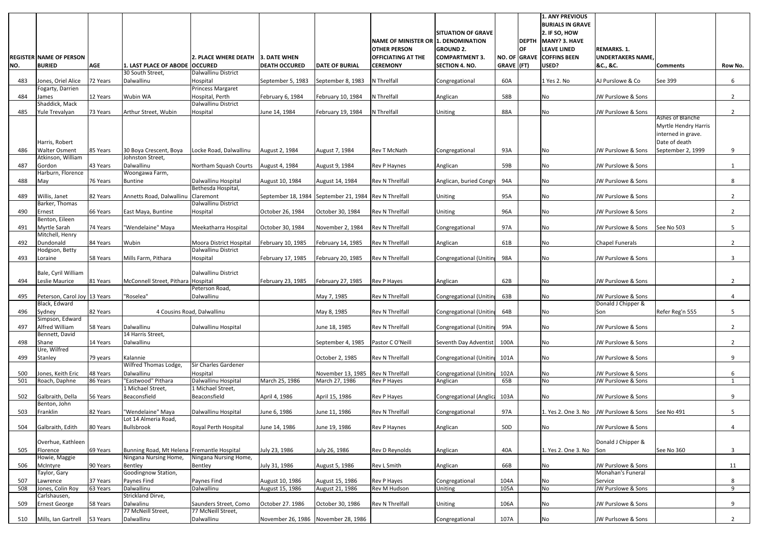|     | <b>REGISTER NAME OF PERSON</b>            |            |                                            | 2. PLACE WHERE DEATH 3. DATE WHEN         |                                     |                                                       | NAME OF MINISTER OR 1. DENOMINATION<br><b>OTHER PERSON</b><br><b>OFFICIATING AT THE</b> | <b>SITUATION OF GRAVE</b><br><b>GROUND 2.</b><br><b>COMPARTMENT 3.</b> |            | <b>DEPTH</b><br><b>OF</b> | <b>1. ANY PREVIOUS</b><br><b>BURIALS IN GRAVE</b><br>2. IF SO, HOW<br>MANY? 3. HAVE<br><b>LEAVE LINED</b><br>NO. OF GRAVE COFFINS BEEN | <b>REMARKS. 1.</b><br><b>UNDERTAKERS NAME</b> |                                                                                 |                |
|-----|-------------------------------------------|------------|--------------------------------------------|-------------------------------------------|-------------------------------------|-------------------------------------------------------|-----------------------------------------------------------------------------------------|------------------------------------------------------------------------|------------|---------------------------|----------------------------------------------------------------------------------------------------------------------------------------|-----------------------------------------------|---------------------------------------------------------------------------------|----------------|
| NO. | <b>BURIED</b>                             | <b>AGE</b> | 1. LAST PLACE OF ABODE OCCURED             |                                           | <b>DEATH OCCURED</b>                | <b>DATE OF BURIAL</b>                                 | <b>CEREMONY</b>                                                                         | <b>SECTION 4. NO.</b>                                                  | GRAVE (FT) |                           | USED?                                                                                                                                  | &C., &C.                                      | <b>Comments</b>                                                                 | Row No.        |
| 483 | Jones, Oriel Alice                        | 72 Years   | 30 South Street,<br>Dalwallinu             | Dalwallinu District<br>Hospital           | September 5, 1983                   | September 8, 1983                                     | N Threlfall                                                                             | Congregational                                                         | 60A        |                           | 1 Yes 2. No                                                                                                                            | AJ Purslowe & Co                              | See 399                                                                         | 6              |
|     | Fogarty, Darrien                          |            |                                            | Princess Margaret                         |                                     |                                                       |                                                                                         |                                                                        |            |                           |                                                                                                                                        |                                               |                                                                                 |                |
| 484 | James                                     | 12 Years   | Wubin WA                                   | Hospital, Perth                           | February 6, 1984                    | February 10, 1984                                     | N Threlfall                                                                             | Anglican                                                               | 58B        |                           | No                                                                                                                                     | JW Purslowe & Sons                            |                                                                                 | $\overline{2}$ |
| 485 | Shaddick, Mack<br>Yule Trevalyan          | 73 Years   | Arthur Street, Wubin                       | Dalwallinu District<br>Hospital           | June 14, 1984                       | February 19, 1984                                     | N Threlfall                                                                             | <b>Uniting</b>                                                         | 88A        |                           | No                                                                                                                                     | JW Purslowe & Sons                            |                                                                                 | $2^{\circ}$    |
|     | Harris, Robert                            |            |                                            |                                           |                                     |                                                       |                                                                                         |                                                                        |            |                           |                                                                                                                                        |                                               | Ashes of Blanche<br>Myrtle Hendry Harris<br>interned in grave.<br>Date of death |                |
| 486 | <b>Walter Osment</b><br>Atkinson, William | 85 Years   | 30 Boya Crescent, Boya<br>Johnston Street, | Locke Road, Dalwallinu                    | August 2, 1984                      | August 7, 1984                                        | Rev T McNath                                                                            | Congregational                                                         | 93A        |                           | No                                                                                                                                     | <b>JW Purslowe &amp; Sons</b>                 | September 2, 1999                                                               | 9              |
| 487 | Gordon                                    | 43 Years   | Dalwallinu                                 | Northam Squash Courts                     | August 4, 1984                      | August 9, 1984                                        | <b>Rev P Haynes</b>                                                                     | Anglican                                                               | 59B        |                           | No                                                                                                                                     | JW Purslowe & Sons                            |                                                                                 |                |
|     | Harburn, Florence                         |            | Woongawa Farm,                             |                                           |                                     |                                                       |                                                                                         |                                                                        |            |                           |                                                                                                                                        |                                               |                                                                                 |                |
| 488 | May                                       | 76 Years   | <b>Buntine</b>                             | Dalwallinu Hospital<br>Bethesda Hospital, | August 10, 1984                     | August 14, 1984                                       | <b>Rev N Threlfall</b>                                                                  | Anglican, buried Congr                                                 | 94A        |                           | No                                                                                                                                     | JW Purslowe & Sons                            |                                                                                 | 8              |
| 489 | Willis, Janet                             | 82 Years   | Annetts Road, Dalwallinu                   | Claremont                                 |                                     | September 18, 1984 September 21, 1984 Rev N Threlfall |                                                                                         | <b>Uniting</b>                                                         | 95A        |                           | No                                                                                                                                     | JW Purslowe & Sons                            |                                                                                 | $\overline{2}$ |
|     | Barker, Thomas                            |            |                                            | Dalwallinu District                       |                                     |                                                       |                                                                                         |                                                                        |            |                           |                                                                                                                                        |                                               |                                                                                 |                |
| 490 | Ernest<br>Benton, Eileen                  | 66 Years   | East Maya, Buntine                         | Hospital                                  | October 26, 1984                    | October 30, 1984                                      | <b>Rev N Threlfall</b>                                                                  | Uniting                                                                | 96A        |                           | No                                                                                                                                     | JW Purslowe & Sons                            |                                                                                 | $\overline{2}$ |
| 491 | Myrtle Sarah<br>Mitchell, Henry           | 74 Years   | "Wendelaine" Maya                          | Meekatharra Hospital                      | October 30, 1984                    | November 2, 1984                                      | <b>Rev N Threlfall</b>                                                                  | Congregational                                                         | 97A        |                           | No                                                                                                                                     | JW Purslowe & Sons                            | See No 503                                                                      | 5 <sup>5</sup> |
| 492 | Dundonald                                 | 84 Years   | Wubin                                      | Moora District Hospital                   | February 10, 1985                   | February 14, 1985                                     | <b>Rev N Threlfall</b>                                                                  | Anglican                                                               | 61B        |                           | No                                                                                                                                     | <b>Chapel Funerals</b>                        |                                                                                 | 2              |
|     | Hodgson, Betty                            |            |                                            | Dalwallinu District                       |                                     |                                                       |                                                                                         |                                                                        |            |                           |                                                                                                                                        |                                               |                                                                                 |                |
| 493 | Loraine                                   | 58 Years   | Mills Farm, Pithara                        | Hospital                                  | February 17, 1985                   | February 20, 1985                                     | <b>Rev N Threlfall</b>                                                                  | Congregational (Unitin                                                 | 98A        |                           | No                                                                                                                                     | JW Purslowe & Sons                            |                                                                                 | 3              |
|     | Bale, Cyril William                       |            |                                            | Dalwallinu District                       |                                     |                                                       |                                                                                         |                                                                        |            |                           |                                                                                                                                        |                                               |                                                                                 |                |
| 494 | Leslie Maurice                            | 81 Years   | McConnell Street, Pithara                  | Hospital                                  | February 23, 1985                   | February 27, 1985                                     | Rev P Hayes                                                                             | Anglican                                                               | 62B        |                           | No                                                                                                                                     | JW Purslowe & Sons                            |                                                                                 | 2              |
| 495 | Peterson, Carol Joy 13 Years              |            | "Roselea"                                  | Peterson Road,<br>Dalwallinu              |                                     | May 7, 1985                                           | <b>Rev N Threlfall</b>                                                                  | Congregational (Unitin                                                 | 63B        |                           | INo.                                                                                                                                   | JW Purslowe & Sons                            |                                                                                 |                |
|     | Black, Edward                             |            |                                            |                                           |                                     |                                                       |                                                                                         |                                                                        |            |                           |                                                                                                                                        | Donald J Chipper &                            |                                                                                 |                |
| 496 | Sydney                                    | 82 Years   |                                            | 4 Cousins Road, Dalwallinu                |                                     | May 8, 1985                                           | <b>Rev N Threlfall</b>                                                                  | Congregational (Unitin                                                 | 64B        |                           | No                                                                                                                                     | Son                                           | Refer Reg'n 555                                                                 | 5              |
| 497 | Simpson, Edward<br>Alfred William         | 58 Years   | Dalwallinu                                 | Dalwallinu Hospital                       |                                     | June 18, 1985                                         | <b>Rev N Threlfall</b>                                                                  | Congregational (Unitin                                                 | 99A        |                           | No                                                                                                                                     | JW Purslowe & Sons                            |                                                                                 | $\overline{2}$ |
|     | Bennett, David                            |            | 14 Harris Street,                          |                                           |                                     |                                                       |                                                                                         |                                                                        |            |                           |                                                                                                                                        |                                               |                                                                                 |                |
| 498 | Shane                                     | 14 Years   | Dalwallinu                                 |                                           |                                     | September 4, 1985                                     | Pastor C O'Neill                                                                        | Seventh Day Adventist                                                  | 100A       |                           | No                                                                                                                                     | JW Purslowe & Sons                            |                                                                                 | $\overline{2}$ |
| 499 | Ure, Wilfred<br>Stanley                   | 79 years   | Kalannie                                   |                                           |                                     | October 2, 1985                                       | <b>Rev N Threlfall</b>                                                                  | Congregational (Unitin                                                 | 101A       |                           | No                                                                                                                                     | JW Purslowe & Sons                            |                                                                                 | 9              |
|     |                                           |            | Wilfred Thomas Lodge,                      | Sir Charles Gardener                      |                                     |                                                       |                                                                                         |                                                                        |            |                           |                                                                                                                                        |                                               |                                                                                 |                |
| 500 | Jones, Keith Eric                         | 48 Years   | Dalwallinu                                 | Hospital                                  |                                     | November 13, 1985                                     | <b>Rev N Threlfall</b>                                                                  | Congregational (Unitin                                                 | 102A       |                           | No                                                                                                                                     | JW Purslowe & Sons                            |                                                                                 | 6              |
| 501 | Roach, Daphne                             | 86 Years   | "Eastwood" Pithara<br>1 Michael Street,    | Dalwallinu Hospital<br>1 Michael Street,  | March 25, 1986                      | March 27, 1986                                        | Rev P Hayes                                                                             | Anglican                                                               | 65B        |                           | No                                                                                                                                     | JW Purslowe & Sons                            |                                                                                 |                |
| 502 | Galbraith, Della                          | 56 Years   | Beaconsfield                               | Beaconsfield                              | April 4, 1986                       | April 15, 1986                                        | Rev P Hayes                                                                             | Congregational (Anglica                                                | 103A       |                           | No                                                                                                                                     | JW Purslowe & Sons                            |                                                                                 | 9              |
|     | Benton, John                              |            |                                            |                                           |                                     |                                                       |                                                                                         |                                                                        |            |                           |                                                                                                                                        |                                               |                                                                                 |                |
| 503 | Franklin                                  | 82 Years   | "Wendelaine" Maya<br>Lot 14 Almeria Road,  | Dalwallinu Hospital                       | June 6, 1986                        | June 11, 1986                                         | <b>Rev N Threlfall</b>                                                                  | Congregational                                                         | 97A        |                           | 1. Yes 2. One 3. No                                                                                                                    | JW Purslowe & Sons                            | See No 491                                                                      | 5              |
| 504 | Galbraith, Edith                          | 80 Years   | Bullsbrook                                 | Royal Perth Hospital                      | June 14, 1986                       | June 19, 1986                                         | <b>Rev P Haynes</b>                                                                     | Anglican                                                               | 50D        |                           | No                                                                                                                                     | JW Purslowe & Sons                            |                                                                                 | 4              |
|     |                                           |            |                                            |                                           |                                     |                                                       |                                                                                         |                                                                        |            |                           |                                                                                                                                        | Donald J Chipper &                            |                                                                                 |                |
| 505 | Overhue, Kathleen<br>Florence             | 69 Years   | Bunning Road, Mt Helena Fremantle Hospital |                                           | July 23, 1986                       | July 26, 1986                                         | <b>Rev D Reynolds</b>                                                                   | Anglican                                                               | 40A        |                           | 1. Yes 2. One 3. No                                                                                                                    | Son                                           | See No 360                                                                      | $\mathbf{3}$   |
|     | Howie, Maggie                             |            | Ningana Nursing Home,                      | Ningana Nursing Home,                     |                                     |                                                       |                                                                                         |                                                                        |            |                           |                                                                                                                                        |                                               |                                                                                 |                |
| 506 | McIntyre                                  | 90 Years   | Bentley                                    | Bentley                                   | July 31, 1986                       | August 5, 1986                                        | Rev L Smith                                                                             | Anglican                                                               | 66B        |                           | No                                                                                                                                     | JW Purslowe & Sons                            |                                                                                 | 11             |
| 507 | Taylor, Gary<br>Lawrence                  | 37 Years   | Goodingnow Station,<br>Paynes Find         | Paynes Find                               | August 10, 1986                     | August 15, 1986                                       | <b>Rev P Hayes</b>                                                                      | Congregational                                                         | 104A       |                           | No                                                                                                                                     | Monahan's Funeral<br>Service                  |                                                                                 | 8              |
| 508 | Jones, Colin Roy                          | 63 Years   | Dalwallinu                                 | Dalwallinu                                | August 15, 1986                     | August 21, 1986                                       | <b>Rev M Hudson</b>                                                                     | Uniting                                                                | 105A       |                           | <b>No</b>                                                                                                                              | JW Purslowe & Sons                            |                                                                                 | 9              |
| 509 | Carlshausen,<br><b>Ernest George</b>      | 58 Years   | Strickland Dirve,<br>Dalwalinu             | Saunders Street, Como                     | October 27. 1986                    | October 30, 1986                                      | <b>Rev N Threlfall</b>                                                                  | Uniting                                                                | 106A       |                           | No                                                                                                                                     | JW Purslowe & Sons                            |                                                                                 | 9              |
|     |                                           |            | 77 McNeill Street,                         | 77 McNeill Street,                        |                                     |                                                       |                                                                                         |                                                                        |            |                           |                                                                                                                                        |                                               |                                                                                 |                |
| 510 | Mills, Ian Gartrell                       | 53 Years   | Dalwallinu                                 | Dalwallinu                                | November 26, 1986 November 28, 1986 |                                                       |                                                                                         | Congregational                                                         | 107A       |                           | No                                                                                                                                     | JW Purlsowe & Sons                            |                                                                                 | $2^{\circ}$    |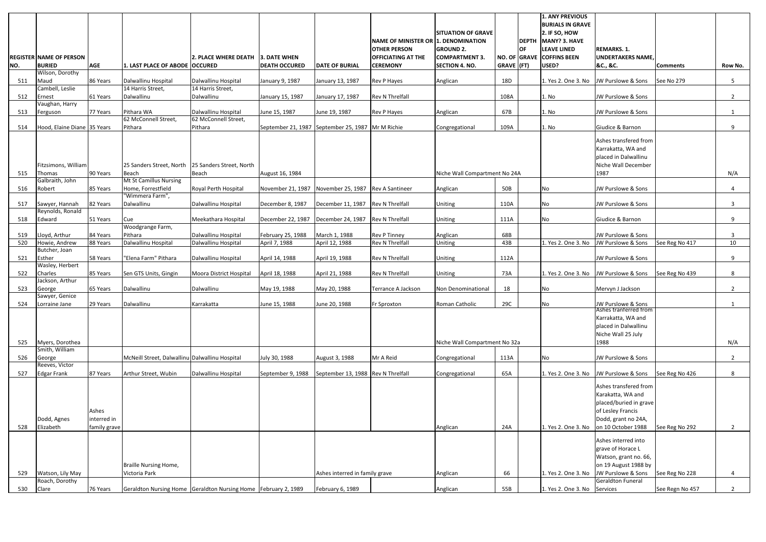|     |                                    |              |                                                                |                                   |                                                   |                                    |                                     |                               |              |              | <b>1. ANY PREVIOUS</b>    |                                                |                 |                |
|-----|------------------------------------|--------------|----------------------------------------------------------------|-----------------------------------|---------------------------------------------------|------------------------------------|-------------------------------------|-------------------------------|--------------|--------------|---------------------------|------------------------------------------------|-----------------|----------------|
|     |                                    |              |                                                                |                                   |                                                   |                                    |                                     |                               |              |              | <b>BURIALS IN GRAVE</b>   |                                                |                 |                |
|     |                                    |              |                                                                |                                   |                                                   |                                    |                                     | <b>SITUATION OF GRAVE</b>     |              |              | 2. IF SO, HOW             |                                                |                 |                |
|     |                                    |              |                                                                |                                   |                                                   |                                    | NAME OF MINISTER OR 1. DENOMINATION |                               |              | <b>DEPTH</b> | <b>MANY? 3. HAVE</b>      |                                                |                 |                |
|     |                                    |              |                                                                |                                   |                                                   |                                    | <b>OTHER PERSON</b>                 | <b>GROUND 2.</b>              |              | OF           | <b>LEAVE LINED</b>        | <b>REMARKS. 1.</b>                             |                 |                |
|     | <b>REGISTER NAME OF PERSON</b>     |              |                                                                | 2. PLACE WHERE DEATH 3. DATE WHEN |                                                   |                                    | <b>OFFICIATING AT THE</b>           | <b>COMPARTMENT 3.</b>         |              |              | NO. OF GRAVE COFFINS BEEN | <b>UNDERTAKERS NAME</b>                        |                 |                |
| NO. | <b>BURIED</b>                      | <b>AGE</b>   | 1. LAST PLACE OF ABODE  OCCURED                                |                                   | <b>DEATH OCCURED</b>                              | <b>DATE OF BURIAL</b>              | <b>CEREMONY</b>                     | <b>SECTION 4. NO.</b>         | $GRAVE$ (FT) |              | USED?                     | &C., &C.                                       | <b>Comments</b> | Row No.        |
|     | Wilson, Dorothy                    |              |                                                                |                                   |                                                   |                                    |                                     |                               |              |              |                           |                                                |                 |                |
| 511 | Maud                               | 86 Years     | Dalwallinu Hospital                                            | Dalwallinu Hospital               | January 9, 1987                                   | January 13, 1987                   | Rev P Hayes                         | Anglican                      | 18D          |              | 1. Yes 2. One 3. No       | JW Purslowe & Sons                             | See No 279      | 5 <sub>1</sub> |
|     | Cambell, Leslie                    |              | 14 Harris Street,                                              | 14 Harris Street,                 |                                                   |                                    |                                     |                               |              |              |                           |                                                |                 |                |
| 512 | Ernest                             | 61 Years     | Dalwallinu                                                     | Dalwallinu                        | January 15, 1987                                  | January 17, 1987                   | <b>Rev N Threlfall</b>              |                               | 108A         |              | 1. No                     | JW Purslowe & Sons                             |                 | $2^{\circ}$    |
|     | Vaughan, Harry                     |              |                                                                |                                   |                                                   |                                    |                                     |                               |              |              |                           |                                                |                 |                |
| 513 | Ferguson                           | 77 Years     | Pithara WA                                                     | Dalwallinu Hospital               | June 15, 1987                                     | June 19, 1987                      | Rev P Hayes                         | Anglican                      | 67B          |              | 1. No                     | JW Purslowe & Sons                             |                 |                |
|     |                                    |              | 62 McConnell Street,                                           | 62 McConnell Street,              |                                                   |                                    |                                     |                               |              |              |                           |                                                |                 |                |
| 514 | Hood, Elaine Diane 35 Years        |              | Pithara                                                        | Pithara                           | September 21, 1987 September 25, 1987 Mr M Richie |                                    |                                     | Congregational                | 109A         |              | 1. No                     | Giudice & Barnon                               |                 | 9              |
|     |                                    |              |                                                                |                                   |                                                   |                                    |                                     |                               |              |              |                           | Ashes transfered from                          |                 |                |
|     |                                    |              |                                                                |                                   |                                                   |                                    |                                     |                               |              |              |                           | Karrakatta, WA and                             |                 |                |
|     |                                    |              |                                                                |                                   |                                                   |                                    |                                     |                               |              |              |                           | placed in Dalwallinu                           |                 |                |
|     | Fitzsimons, William                |              | 25 Sanders Street, North                                       | 25 Sanders Street, North          |                                                   |                                    |                                     |                               |              |              |                           | Niche Wall December                            |                 |                |
| 515 | Thomas                             | 90 Years     | Beach                                                          | Beach                             | August 16, 1984                                   |                                    |                                     | Niche Wall Compartment No 24A |              |              |                           | 1987                                           |                 | N/A            |
|     | Galbraith, John                    |              | Mt St Camillus Nursing                                         |                                   |                                                   |                                    |                                     |                               |              |              |                           |                                                |                 |                |
| 516 | Robert                             | 85 Years     | Home, Forrestfield<br>"Wimmera Farm",                          | Royal Perth Hospital              | November 21, 1987                                 | November 25, 1987 Rev A Santineer  |                                     | Anglican                      | 50B          |              | No                        | JW Purslowe & Sons                             |                 | 4              |
| 517 | Sawyer, Hannah                     | 82 Years     | Dalwallinu                                                     | Dalwallinu Hospital               | December 8, 1987                                  | December 11, 1987                  | <b>Rev N Threlfall</b>              | Uniting                       | 110A         |              | No                        | JW Purslowe & Sons                             |                 | 3 <sup>1</sup> |
|     | Reynolds, Ronald                   |              |                                                                |                                   |                                                   |                                    |                                     |                               |              |              |                           |                                                |                 |                |
| 518 | Edward                             | 51 Years     | Cue                                                            | Meekathara Hospital               | December 22, 1987                                 | December 24, 1987 Rev N Threlfall  |                                     | Uniting                       | 111A         |              | No                        | Giudice & Barnon                               |                 | 9              |
|     |                                    |              | Woodgrange Farm,                                               |                                   |                                                   |                                    |                                     |                               |              |              |                           |                                                |                 |                |
| 519 | Lloyd, Arthur                      | 84 Years     | Pithara                                                        | Dalwallinu Hospital               | February 25, 1988                                 | March 1, 1988                      | <b>Rev P Tinney</b>                 | Anglican                      | 68B          |              |                           | JW Purslowe & Sons                             |                 | 3              |
| 520 | Howie, Andrew                      | 88 Years     | Dalwallinu Hospital                                            | Dalwallinu Hospital               | April 7, 1988                                     | April 12, 1988                     | <b>Rev N Threlfall</b>              | Uniting                       | 43B          |              | 1. Yes 2. One 3. No       | JW Purslowe & Sons                             | See Reg No 417  | 10             |
|     | Butcher, Joan                      |              |                                                                |                                   |                                                   |                                    |                                     |                               |              |              |                           |                                                |                 |                |
| 521 | Esther                             | 58 Years     | "Elena Farm" Pithara                                           | Dalwallinu Hospital               | April 14, 1988                                    | April 19, 1988                     | Rev N Threlfall                     | Uniting                       | 112A         |              |                           | JW Purslowe & Sons                             |                 | 9              |
|     | Wasley, Herbert                    |              |                                                                |                                   |                                                   |                                    |                                     |                               |              |              |                           |                                                |                 |                |
| 522 | Charles<br>Jackson, Arthur         | 85 Years     | Sen GTS Units, Gingin                                          | Moora District Hospital           | April 18, 1988                                    | April 21, 1988                     | <b>Rev N Threlfall</b>              | <b>Uniting</b>                | 73A          |              | 1. Yes 2. One 3. No       | JW Purslowe & Sons                             | See Reg No 439  | 8              |
| 523 | George                             | 65 Years     | Dalwallinu                                                     | Dalwallinu                        | May 19, 1988                                      | May 20, 1988                       | Terrance A Jackson                  | Non Denominational            | 18           |              | No                        | Mervyn J Jackson                               |                 | $2^{\circ}$    |
|     | Sawyer, Genice                     |              |                                                                |                                   |                                                   |                                    |                                     |                               |              |              |                           |                                                |                 |                |
| 524 | Lorraine Jane                      | 29 Years     | Dalwallinu                                                     | Karrakatta                        | June 15, 1988                                     | June 20, 1988                      | Fr Sproxton                         | Roman Catholic                | 29C          |              | No                        | JW Purslowe & Sons                             |                 |                |
|     |                                    |              |                                                                |                                   |                                                   |                                    |                                     |                               |              |              |                           | Ashes tranterred from                          |                 |                |
|     |                                    |              |                                                                |                                   |                                                   |                                    |                                     |                               |              |              |                           | Karrakatta, WA and                             |                 |                |
|     |                                    |              |                                                                |                                   |                                                   |                                    |                                     |                               |              |              |                           | placed in Dalwallinu                           |                 |                |
|     |                                    |              |                                                                |                                   |                                                   |                                    |                                     |                               |              |              |                           | Niche Wall 25 July                             |                 |                |
| 525 | Myers, Dorothea                    |              |                                                                |                                   |                                                   |                                    |                                     | Niche Wall Compartment No 32a |              |              |                           | 1988                                           |                 | N/A            |
|     | Smith, William                     |              |                                                                |                                   |                                                   |                                    |                                     |                               |              |              |                           |                                                |                 |                |
| 526 | George<br>Reeves, Victor           |              | McNeill Street, Dalwallinu Dalwallinu Hospital                 |                                   | July 30, 1988                                     | August 3, 1988                     | Mr A Reid                           | Congregational                | 113A         |              | No                        | JW Purslowe & Sons                             |                 | $2^{\circ}$    |
| 527 | <b>Edgar Frank</b>                 | 87 Years     | Arthur Street, Wubin                                           | Dalwallinu Hospital               | September 9, 1988                                 | September 13, 1988 Rev N Threlfall |                                     |                               | 65A          |              | 1. Yes 2. One 3. No       | JW Purslowe & Sons                             | See Reg No 426  | 8              |
|     |                                    |              |                                                                |                                   |                                                   |                                    |                                     | Congregational                |              |              |                           |                                                |                 |                |
|     |                                    |              |                                                                |                                   |                                                   |                                    |                                     |                               |              |              |                           | Ashes transfered from                          |                 |                |
|     |                                    |              |                                                                |                                   |                                                   |                                    |                                     |                               |              |              |                           | Karakatta, WA and                              |                 |                |
|     |                                    |              |                                                                |                                   |                                                   |                                    |                                     |                               |              |              |                           | placed/buried in grave                         |                 |                |
|     |                                    | Ashes        |                                                                |                                   |                                                   |                                    |                                     |                               |              |              |                           | of Lesley Francis                              |                 |                |
|     | Dodd, Agnes                        | interred in  |                                                                |                                   |                                                   |                                    |                                     |                               |              |              |                           | Dodd, grant no 24A,                            |                 |                |
| 528 | Elizabeth                          | family grave |                                                                |                                   |                                                   |                                    |                                     | Anglican                      | 24A          |              | 1. Yes 2. One 3. No       | on 10 October 1988                             | See Reg No 292  | $\overline{2}$ |
|     |                                    |              |                                                                |                                   |                                                   |                                    |                                     |                               |              |              |                           |                                                |                 |                |
|     |                                    |              |                                                                |                                   |                                                   |                                    |                                     |                               |              |              |                           | Ashes interred into                            |                 |                |
|     |                                    |              |                                                                |                                   |                                                   |                                    |                                     |                               |              |              |                           | grave of Horace L                              |                 |                |
|     |                                    |              |                                                                |                                   |                                                   |                                    |                                     |                               |              |              |                           | Watson, grant no. 66,                          |                 |                |
|     |                                    |              | <b>Braille Nursing Home,</b>                                   |                                   |                                                   |                                    |                                     |                               |              |              |                           | on 19 August 1988 by                           |                 |                |
| 529 | Watson, Lily May<br>Roach, Dorothy |              | Victoria Park                                                  |                                   |                                                   | Ashes interred in family grave     |                                     | Anglican                      | 66           |              | 1. Yes 2. One 3. No       | JW Purslowe & Sons<br><b>Geraldton Funeral</b> | See Reg No 228  |                |
| 530 | Clare                              | 76 Years     | Geraldton Nursing Home Geraldton Nursing Home February 2, 1989 |                                   |                                                   | February 6, 1989                   |                                     | Anglican                      | 55B          |              | 1. Yes 2. One 3. No       | Services                                       | See Regn No 457 | $2^{\circ}$    |
|     |                                    |              |                                                                |                                   |                                                   |                                    |                                     |                               |              |              |                           |                                                |                 |                |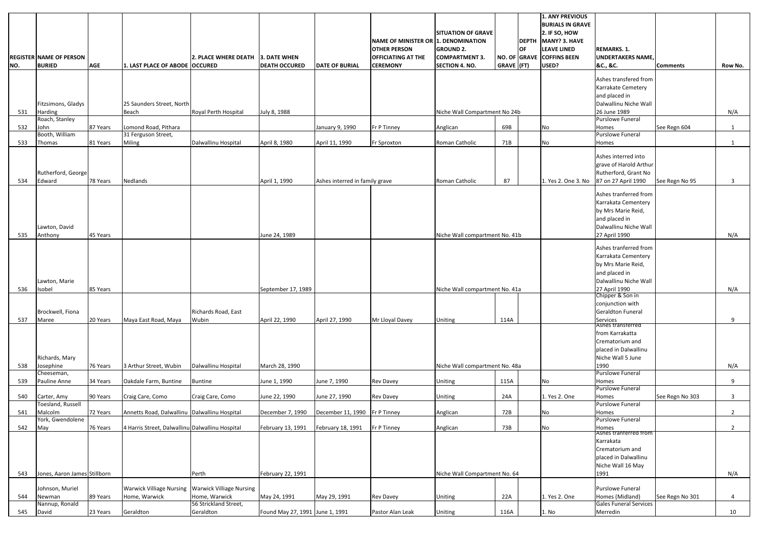|     |                                                 |            |                                                 |                                 |                                      |                                |                                              |                                |            |           | 1. ANY PREVIOUS<br><b>BURIALS IN GRAVE</b> |                                     |                 |                |
|-----|-------------------------------------------------|------------|-------------------------------------------------|---------------------------------|--------------------------------------|--------------------------------|----------------------------------------------|--------------------------------|------------|-----------|--------------------------------------------|-------------------------------------|-----------------|----------------|
|     |                                                 |            |                                                 |                                 |                                      |                                |                                              | <b>SITUATION OF GRAVE</b>      |            |           | $2.$ IF SO, HOW                            |                                     |                 |                |
|     |                                                 |            |                                                 |                                 |                                      |                                | NAME OF MINISTER OR 1. DENOMINATION          |                                |            |           | DEPTH MANY? 3. HAVE                        |                                     |                 |                |
|     |                                                 |            |                                                 |                                 |                                      |                                | <b>OTHER PERSON</b>                          | <b>GROUND 2.</b>               |            | <b>OF</b> | <b>LEAVE LINED</b>                         | <b>REMARKS. 1.</b>                  |                 |                |
|     | <b>REGISTER NAME OF PERSON</b><br><b>BURIED</b> | <b>AGE</b> | 1. LAST PLACE OF ABODE OCCURED                  | <b>2. PLACE WHERE DEATH</b>     | 3. DATE WHEN<br><b>DEATH OCCURED</b> | <b>DATE OF BURIAL</b>          | <b>OFFICIATING AT THE</b><br><b>CEREMONY</b> | <b>COMPARTMENT 3.</b>          | GRAVE (FT) |           | NO. OF GRAVE COFFINS BEEN<br>USED?         | <b>UNDERTAKERS NAME</b><br>&C., &C. | <b>Comments</b> |                |
| NO. |                                                 |            |                                                 |                                 |                                      |                                |                                              | <b>SECTION 4. NO.</b>          |            |           |                                            |                                     |                 | Row No.        |
|     |                                                 |            |                                                 |                                 |                                      |                                |                                              |                                |            |           |                                            | Ashes transfered from               |                 |                |
|     |                                                 |            |                                                 |                                 |                                      |                                |                                              |                                |            |           |                                            | Karrakate Cemetery                  |                 |                |
|     |                                                 |            |                                                 |                                 |                                      |                                |                                              |                                |            |           |                                            | and placed in                       |                 |                |
|     | Fitzsimons, Gladys                              |            | 25 Saunders Street, North                       |                                 |                                      |                                |                                              |                                |            |           |                                            | Dalwallinu Niche Wall               |                 |                |
| 531 | <b>Harding</b>                                  |            | Beach                                           | Royal Perth Hospital            | July 8, 1988                         |                                |                                              | Niche Wall Compartment No 24b  |            |           |                                            | 26 June 1989                        |                 | N/A            |
|     | Roach, Stanley                                  |            |                                                 |                                 |                                      |                                |                                              |                                |            |           |                                            | <b>Purslowe Funeral</b>             |                 |                |
| 532 | John<br>Booth, William                          | 87 Years   | Lomond Road, Pithara<br>31 Ferguson Street,     |                                 |                                      | January 9, 1990                | Fr P Tinney                                  | Anglican                       | 69B        |           | No                                         | Homes<br>Purslowe Funeral           | See Regn 604    | $\mathbf{1}$   |
| 533 | Thomas                                          | 81 Years   | Miling                                          | Dalwallinu Hospital             | April 8, 1980                        | April 11, 1990                 | Fr Sproxton                                  | Roman Catholic                 | 71B        |           | No                                         | Homes                               |                 | $\mathbf{1}$   |
|     |                                                 |            |                                                 |                                 |                                      |                                |                                              |                                |            |           |                                            |                                     |                 |                |
|     |                                                 |            |                                                 |                                 |                                      |                                |                                              |                                |            |           |                                            | Ashes interred into                 |                 |                |
|     |                                                 |            |                                                 |                                 |                                      |                                |                                              |                                |            |           |                                            | grave of Harold Arthur              |                 |                |
|     | Rutherford, George                              |            |                                                 |                                 |                                      |                                |                                              |                                |            |           |                                            | Rutherford, Grant No                |                 |                |
| 534 | Edward                                          | 78 Years   | Nedlands                                        |                                 | April 1, 1990                        | Ashes interred in family grave |                                              | Roman Catholic                 | 87         |           | 1. Yes 2. One 3. No 87 on 27 April 1990    |                                     | See Regn No 95  | $\mathbf{3}$   |
|     |                                                 |            |                                                 |                                 |                                      |                                |                                              |                                |            |           |                                            | Ashes tranferred from               |                 |                |
|     |                                                 |            |                                                 |                                 |                                      |                                |                                              |                                |            |           |                                            | Karrakata Cementery                 |                 |                |
|     |                                                 |            |                                                 |                                 |                                      |                                |                                              |                                |            |           |                                            | by Mrs Marie Reid,                  |                 |                |
|     |                                                 |            |                                                 |                                 |                                      |                                |                                              |                                |            |           |                                            | and placed in                       |                 |                |
|     | Lawton, David                                   |            |                                                 |                                 |                                      |                                |                                              |                                |            |           |                                            | Dalwallinu Niche Wall               |                 |                |
| 535 | Anthony                                         | 45 Years   |                                                 |                                 | June 24, 1989                        |                                |                                              | Niche Wall compartment No. 41b |            |           |                                            | 27 April 1990                       |                 | N/A            |
|     |                                                 |            |                                                 |                                 |                                      |                                |                                              |                                |            |           |                                            | Ashes tranferred from               |                 |                |
|     |                                                 |            |                                                 |                                 |                                      |                                |                                              |                                |            |           |                                            | Karrakata Cementery                 |                 |                |
|     |                                                 |            |                                                 |                                 |                                      |                                |                                              |                                |            |           |                                            | by Mrs Marie Reid,                  |                 |                |
|     |                                                 |            |                                                 |                                 |                                      |                                |                                              |                                |            |           |                                            | and placed in                       |                 |                |
|     | Lawton, Marie                                   |            |                                                 |                                 |                                      |                                |                                              |                                |            |           |                                            | Dalwallinu Niche Wall               |                 |                |
| 536 | Isobel                                          | 85 Years   |                                                 |                                 | September 17, 1989                   |                                |                                              | Niche Wall compartment No. 41a |            |           |                                            | 27 April 1990                       |                 | N/A            |
|     |                                                 |            |                                                 |                                 |                                      |                                |                                              |                                |            |           |                                            | Chipper & Son in                    |                 |                |
|     |                                                 |            |                                                 |                                 |                                      |                                |                                              |                                |            |           |                                            | conjunction with                    |                 |                |
|     | Brockwell, Fiona                                |            |                                                 | Richards Road, East             |                                      |                                |                                              |                                |            |           |                                            | <b>Geraldton Funeral</b>            |                 |                |
| 537 | Maree                                           | 20 Years   | Maya East Road, Maya                            | Wubin                           | April 22, 1990                       | April 27, 1990                 | Mr Lloyal Davey                              | Uniting                        | 114A       |           |                                            | Services<br>Ashes transferred       |                 | 9              |
|     |                                                 |            |                                                 |                                 |                                      |                                |                                              |                                |            |           |                                            | from Karrakatta                     |                 |                |
|     |                                                 |            |                                                 |                                 |                                      |                                |                                              |                                |            |           |                                            | Crematorium and                     |                 |                |
|     |                                                 |            |                                                 |                                 |                                      |                                |                                              |                                |            |           |                                            | placed in Dalwallinu                |                 |                |
|     | Richards, Mary                                  |            |                                                 |                                 |                                      |                                |                                              |                                |            |           |                                            | Niche Wall 5 June                   |                 |                |
| 538 | Josephine                                       | 76 Years   | 3 Arthur Street, Wubin                          | Dalwallinu Hospital             | March 28, 1990                       |                                |                                              | Niche Wall compartment No. 48a |            |           |                                            | 1990                                |                 | N/A            |
|     | Cheeseman,                                      |            |                                                 |                                 |                                      |                                |                                              |                                |            |           |                                            | <b>Purslowe Funeral</b>             |                 |                |
| 539 | Pauline Anne                                    | 34 Years   | Oakdale Farm, Buntine                           | <b>Buntine</b>                  | June 1, 1990                         | June 7, 1990                   | <b>Rev Davey</b>                             | Uniting                        | 115A       |           | No                                         | Homes                               |                 | 9              |
|     |                                                 |            |                                                 |                                 |                                      |                                |                                              |                                |            |           |                                            | Purslowe Funeral                    |                 |                |
| 540 | Carter, Amy<br>Toesland, Russell                | 90 Years   | Craig Care, Como                                | Craig Care, Como                | June 22, 1990                        | June 27, 1990                  | <b>Rev Davey</b>                             | Uniting                        | 24A        |           | 1. Yes 2. One                              | Homes<br>Purslowe Funeral           | See Regn No 303 | 3 <sup>1</sup> |
| 541 | Malcolm                                         | 72 Years   | Annetts Road, Dalwallinu Dalwallinu Hospital    |                                 | December 7, 1990                     | December 11, 1990              | Fr P Tinney                                  | Anglican                       | 72B        |           | No                                         | Homes                               |                 | $\overline{2}$ |
|     | York, Gwendolene                                |            |                                                 |                                 |                                      |                                |                                              |                                |            |           |                                            | Purslowe Funeral                    |                 |                |
| 542 | May                                             | 76 Years   | 4 Harris Street, Dalwallinu Dalwallinu Hospital |                                 | February 13, 1991                    | February 18, 1991              | Fr P Tinney                                  | Anglican                       | 73B        |           | No                                         | Homes                               |                 | $\overline{2}$ |
|     |                                                 |            |                                                 |                                 |                                      |                                |                                              |                                |            |           |                                            | Ashes tranterred from               |                 |                |
|     |                                                 |            |                                                 |                                 |                                      |                                |                                              |                                |            |           |                                            | Karrakata<br>Crematorium and        |                 |                |
|     |                                                 |            |                                                 |                                 |                                      |                                |                                              |                                |            |           |                                            | placed in Dalwallinu                |                 |                |
|     |                                                 |            |                                                 |                                 |                                      |                                |                                              |                                |            |           |                                            | Niche Wall 16 May                   |                 |                |
| 543 | Jones, Aaron James Stillborn                    |            |                                                 | Perth                           | February 22, 1991                    |                                |                                              | Niche Wall Compartment No. 64  |            |           |                                            | 1991                                |                 | N/A            |
|     |                                                 |            |                                                 |                                 |                                      |                                |                                              |                                |            |           |                                            |                                     |                 |                |
|     | Johnson, Muriel                                 |            | <b>Warwick Villiage Nursing</b>                 | <b>Warwick Villiage Nursing</b> |                                      |                                |                                              |                                |            |           |                                            | <b>Purslowe Funeral</b>             |                 |                |
| 544 | Newman                                          | 89 Years   | Home, Warwick                                   | Home, Warwick                   | May 24, 1991                         | May 29, 1991                   | <b>Rev Davey</b>                             | Uniting                        | 22A        |           | 1. Yes 2. One                              | Homes (Midland)                     | See Regn No 301 | 4              |
|     | Nannup, Ronald                                  |            |                                                 | 56 Strickland Street,           |                                      |                                |                                              |                                |            |           |                                            | <b>Gales Funeral Services</b>       |                 |                |
| 545 | David                                           | 23 Years   | Geraldton                                       | Geraldton                       | Found May 27, 1991 June 1, 1991      |                                | Pastor Alan Leak                             | Uniting                        | 116A       |           | 1. No                                      | Merredin                            |                 | 10             |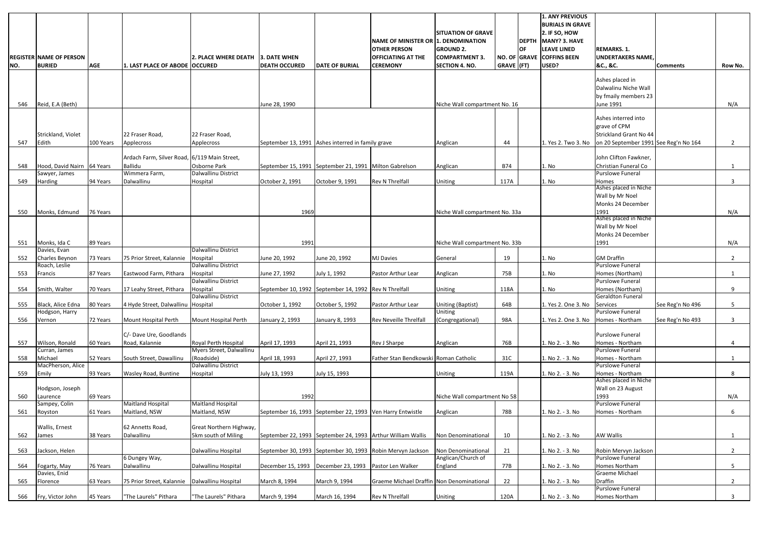|     |                                |            |                                              |                                    |                                                           |                       |                                                             |                                |            |           | <b>1. ANY PREVIOUS</b>    |                                       |                  |                |
|-----|--------------------------------|------------|----------------------------------------------|------------------------------------|-----------------------------------------------------------|-----------------------|-------------------------------------------------------------|--------------------------------|------------|-----------|---------------------------|---------------------------------------|------------------|----------------|
|     |                                |            |                                              |                                    |                                                           |                       |                                                             |                                |            |           | <b>BURIALS IN GRAVE</b>   |                                       |                  |                |
|     |                                |            |                                              |                                    |                                                           |                       |                                                             | <b>SITUATION OF GRAVE</b>      |            |           | $2.$ IF SO, HOW           |                                       |                  |                |
|     |                                |            |                                              |                                    |                                                           |                       | NAME OF MINISTER OR 1. DENOMINATION                         |                                |            |           | DEPTH MANY? 3. HAVE       |                                       |                  |                |
|     |                                |            |                                              |                                    |                                                           |                       | <b>OTHER PERSON</b>                                         | <b>GROUND 2.</b>               |            | <b>OF</b> | LEAVE LINED               | <b>REMARKS. 1.</b>                    |                  |                |
|     | <b>REGISTER NAME OF PERSON</b> |            |                                              | 2. PLACE WHERE DEATH 13. DATE WHEN |                                                           |                       | <b>OFFICIATING AT THE</b>                                   | <b>COMPARTMENT 3.</b>          |            |           | NO. OF GRAVE COFFINS BEEN | <b>UNDERTAKERS NAME</b>               |                  |                |
| NO. | <b>BURIED</b>                  | <b>AGE</b> | 1. LAST PLACE OF ABODE OCCURED               |                                    | <b>DEATH OCCURED</b>                                      | <b>DATE OF BURIAL</b> | <b>CEREMONY</b>                                             | <b>SECTION 4. NO.</b>          | GRAVE (FT) |           | USED?                     | &C., &C.                              | <b>Comments</b>  | Row No.        |
|     |                                |            |                                              |                                    |                                                           |                       |                                                             |                                |            |           |                           |                                       |                  |                |
|     |                                |            |                                              |                                    |                                                           |                       |                                                             |                                |            |           |                           | Ashes placed in                       |                  |                |
|     |                                |            |                                              |                                    |                                                           |                       |                                                             |                                |            |           |                           | Dalwalinu Niche Wall                  |                  |                |
|     |                                |            |                                              |                                    |                                                           |                       |                                                             |                                |            |           |                           | by fmaily members 23                  |                  |                |
| 546 | Reid, E.A (Beth)               |            |                                              |                                    | June 28, 1990                                             |                       |                                                             | Niche Wall compartment No. 16  |            |           |                           | June 1991                             |                  | N/A            |
|     |                                |            |                                              |                                    |                                                           |                       |                                                             |                                |            |           |                           | Ashes interred into                   |                  |                |
|     |                                |            |                                              |                                    |                                                           |                       |                                                             |                                |            |           |                           |                                       |                  |                |
|     |                                |            |                                              |                                    |                                                           |                       |                                                             |                                |            |           |                           | grave of CPM                          |                  |                |
|     | Strickland, Violet             |            | 22 Fraser Road,                              | 22 Fraser Road,                    |                                                           |                       |                                                             |                                |            |           |                           | Strickland Grant No 44                |                  |                |
| 547 | Edith                          | 100 Years  | Applecross                                   | Applecross                         | September 13, 1991 Ashes interred in family grave         |                       |                                                             | Anglican                       | 44         |           | 1. Yes 2. Two 3. No       | on 20 September 1991 See Reg'n No 164 |                  | $\overline{2}$ |
|     |                                |            | Ardach Farm, Silver Road, 6/119 Main Street, |                                    |                                                           |                       |                                                             |                                |            |           |                           | John Clifton Fawkner,                 |                  |                |
| 548 | Hood, David Nairn 64 Years     |            | <b>Ballidu</b>                               | Osborne Park                       | September 15, 1991 September 21, 1991 Milton Gabrelson    |                       |                                                             | Anglican                       | <b>B74</b> |           | 1. No                     | Christian Funeral Co                  |                  |                |
|     | Sawyer, James                  |            | Wimmera Farm,                                | Dalwallinu District                |                                                           |                       |                                                             |                                |            |           |                           | Purslowe Funeral                      |                  |                |
| 549 | Harding                        | 94 Years   | Dalwallinu                                   | Hospital                           | October 2, 1991                                           | October 9, 1991       | Rev N Threlfall                                             | Uniting                        | 117A       |           | 1. No                     | Homes                                 |                  | 3              |
|     |                                |            |                                              |                                    |                                                           |                       |                                                             |                                |            |           |                           | Ashes placed in Niche                 |                  |                |
|     |                                |            |                                              |                                    |                                                           |                       |                                                             |                                |            |           |                           | Wall by Mr Noel                       |                  |                |
|     |                                |            |                                              |                                    |                                                           |                       |                                                             |                                |            |           |                           | Monks 24 December                     |                  |                |
| 550 | Monks, Edmund                  | 76 Years   |                                              |                                    | 1969                                                      |                       |                                                             | Niche Wall compartment No. 33a |            |           |                           | 1991                                  |                  | N/A            |
|     |                                |            |                                              |                                    |                                                           |                       |                                                             |                                |            |           |                           | Ashes placed in Niche                 |                  |                |
|     |                                |            |                                              |                                    |                                                           |                       |                                                             |                                |            |           |                           | Wall by Mr Noel                       |                  |                |
|     |                                |            |                                              |                                    |                                                           |                       |                                                             |                                |            |           |                           | Monks 24 December                     |                  |                |
| 551 | Monks, Ida C                   | 89 Years   |                                              |                                    | 1991                                                      |                       |                                                             | Niche Wall compartment No. 33b |            |           |                           | 1991                                  |                  | N/A            |
|     | Davies, Evan                   |            |                                              | Dalwallinu District                |                                                           |                       |                                                             |                                |            |           |                           |                                       |                  |                |
| 552 | Charles Beynon                 | 73 Years   | 75 Prior Street, Kalannie                    | Hospital                           | June 20, 1992                                             | June 20, 1992         | <b>MJ Davies</b>                                            | General                        | 19         |           | 1. No                     | <b>GM Draffin</b>                     |                  | $\overline{2}$ |
|     | Roach, Leslie                  |            |                                              | Dalwallinu District                |                                                           |                       |                                                             |                                |            |           |                           | <b>Purslowe Funeral</b>               |                  |                |
| 553 | Francis                        | 87 Years   | Eastwood Farm, Pithara                       | Hospital                           | June 27, 1992                                             | July 1, 1992          | Pastor Arthur Lear                                          | Anglican                       | 75B        |           | 1. No                     | Homes (Northam)                       |                  |                |
|     |                                |            |                                              | Dalwallinu District                |                                                           |                       |                                                             |                                |            |           |                           | <b>Purslowe Funeral</b>               |                  |                |
| 554 | Smith, Walter                  | 70 Years   | 17 Leahy Street, Pithara                     | Hospital                           | September 10, 1992 September 14, 1992 Rev N Threlfall     |                       |                                                             | Uniting                        | 118A       |           | 1. No                     | Homes (Northam)                       |                  | 9              |
|     |                                |            |                                              | Dalwallinu District                |                                                           |                       |                                                             |                                |            |           |                           | <b>Geraldton Funeral</b>              |                  |                |
| 555 | Black, Alice Edna              | 80 Years   | 4 Hyde Street, Dalwallinu Hospital           |                                    | October 1, 1992                                           | October 5, 1992       | Pastor Arthur Lear                                          | Uniting (Baptist)              | 64B        |           | 1. Yes 2. One 3. No       | Services<br><b>Purslowe Funeral</b>   | See Reg'n No 496 | 5              |
|     | Hodgson, Harry                 | 72 Years   |                                              |                                    |                                                           |                       |                                                             | Uniting                        | 98A        |           | 1. Yes 2. One 3. No       | Homes - Northam                       |                  |                |
| 556 | Vernon                         |            | Mount Hospital Perth                         | Mount Hospital Perth               | January 2, 1993                                           | January 8, 1993       | <b>Rev Neveille Threlfall</b>                               | (Congregational)               |            |           |                           |                                       | See Reg'n No 493 | 3              |
|     |                                |            | C/- Dave Ure, Goodlands                      |                                    |                                                           |                       |                                                             |                                |            |           |                           | <b>Purslowe Funeral</b>               |                  |                |
| 557 | Wilson, Ronald                 | 60 Years   | Road, Kalannie                               | Royal Perth Hospital               | April 17, 1993                                            | April 21, 1993        | Rev J Sharpe                                                | Anglican                       | 76B        |           | 1. No 2. - 3. No          | Homes - Northam                       |                  | 4              |
|     | Curran, James                  |            |                                              | Myers Street, Dalwallinu           |                                                           |                       |                                                             |                                |            |           |                           | <b>Purslowe Funeral</b>               |                  |                |
| 558 | Michael                        | 52 Years   | South Street, Dawallinu                      | (Roadside)                         | April 18, 1993                                            | April 27, 1993        | Father Stan Bendkowski Roman Catholic                       |                                | 31C        |           | 1. No 2. - 3. No          | Homes - Northam                       |                  | $\mathbf{1}$   |
|     | MacPherson, Alice              |            |                                              | Dalwallinu District                |                                                           |                       |                                                             |                                |            |           |                           | <b>Purslowe Funeral</b>               |                  |                |
| 559 | Emily                          | 93 Years   | Wasley Road, Buntine                         | Hospital                           | July 13, 1993                                             | July 15, 1993         |                                                             | Uniting                        | 119A       |           | 1. No 2. - 3. No          | Homes - Northam                       |                  | 8              |
|     |                                |            |                                              |                                    |                                                           |                       |                                                             |                                |            |           |                           | Ashes placed in Niche                 |                  |                |
|     | Hodgson, Joseph                |            |                                              |                                    |                                                           |                       |                                                             |                                |            |           |                           | Wall on 23 August                     |                  |                |
| 560 | Laurence                       | 69 Years   |                                              |                                    | 1992                                                      |                       |                                                             | Niche Wall compartment No 58   |            |           |                           | 1993                                  |                  | N/A            |
|     | Sampey, Colin                  |            | <b>Maitland Hospital</b>                     | <b>Maitland Hospital</b>           |                                                           |                       |                                                             |                                |            |           |                           | <b>Purslowe Funeral</b>               |                  |                |
| 561 | Royston                        | 61 Years   | Maitland, NSW                                | Maitland, NSW                      | September 16, 1993 September 22, 1993 Ven Harry Entwistle |                       |                                                             | Anglican                       | 78B        |           | 1. No 2. - 3. No          | Homes - Northam                       |                  | 6              |
|     |                                |            |                                              |                                    |                                                           |                       |                                                             |                                |            |           |                           |                                       |                  |                |
|     | Wallis, Ernest                 |            | 62 Annetts Road,                             | Great Northern Highway,            |                                                           |                       |                                                             |                                |            |           |                           |                                       |                  |                |
| 562 | James                          | 38 Years   | Dalwallinu                                   | 5km south of Miling                |                                                           |                       | September 22, 1993 September 24, 1993 Arthur William Wallis | Non Denominational             | 10         |           | 1. No 2. - 3. No          | AW Wallis                             |                  | $\mathbf{1}$   |
|     |                                |            |                                              |                                    |                                                           |                       |                                                             |                                |            |           |                           |                                       |                  |                |
| 563 | Jackson, Helen                 |            |                                              | Dalwallinu Hospital                |                                                           |                       | September 30, 1993 September 30, 1993 Robin Mervyn Jackson  | Non Denominational             | 21         |           | 1. No 2. - 3. No          | Robin Mervyn Jackson                  |                  | $2^{\circ}$    |
|     |                                |            | 6 Dungey Way,                                |                                    |                                                           |                       |                                                             | Anglican/Church of             |            |           |                           | <b>Purslowe Funeral</b>               |                  |                |
| 564 | Fogarty, May<br>Davies, Enid   | 76 Years   | Dalwallinu                                   | Dalwallinu Hospital                | December 15, 1993                                         | December 23, 1993     | Pastor Len Walker                                           | England                        | 77B        |           | 1. No 2. - 3. No          | Homes Northam<br>Graeme Michael       |                  | 5              |
| 565 | Florence                       | 63 Years   | 75 Prior Street, Kalannie                    | Dalwallinu Hospital                | March 8, 1994                                             | March 9, 1994         | Graeme Michael Draffin Non Denominational                   |                                | 22         |           | 1. No 2. - 3. No          | Draffin                               |                  | $2^{\circ}$    |
|     |                                |            |                                              |                                    |                                                           |                       |                                                             |                                |            |           |                           | <b>Purslowe Funeral</b>               |                  |                |
| 566 | Fry, Victor John               | 45 Years   | "The Laurels" Pithara                        | "The Laurels" Pithara              | March 9, 1994                                             | March 16, 1994        | Rev N Threlfall                                             | Uniting                        | 120A       |           | 1. No 2. - 3. No          | Homes Northam                         |                  | $3^{\circ}$    |
|     |                                |            |                                              |                                    |                                                           |                       |                                                             |                                |            |           |                           |                                       |                  |                |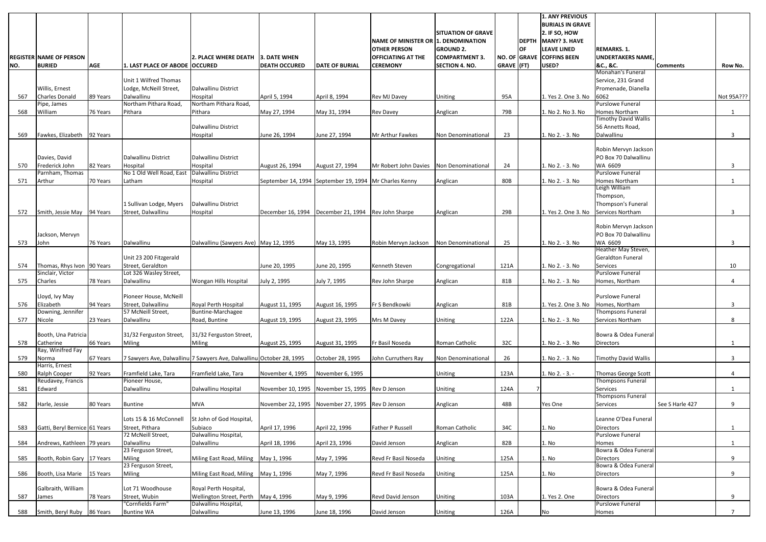|     |                                |            |                                             |                                                                      |                      |                                       |                                            |                           |            |    | <b>1. ANY PREVIOUS</b><br><b>BURIALS IN GRAVE</b> |                                      |                 |             |
|-----|--------------------------------|------------|---------------------------------------------|----------------------------------------------------------------------|----------------------|---------------------------------------|--------------------------------------------|---------------------------|------------|----|---------------------------------------------------|--------------------------------------|-----------------|-------------|
|     |                                |            |                                             |                                                                      |                      |                                       |                                            | <b>SITUATION OF GRAVE</b> |            |    | 2. IF SO, HOW                                     |                                      |                 |             |
|     |                                |            |                                             |                                                                      |                      |                                       | <b>NAME OF MINISTER OR 1. DENOMINATION</b> |                           |            |    | <b>DEPTH MANY? 3. HAVE</b>                        |                                      |                 |             |
|     |                                |            |                                             |                                                                      |                      |                                       | <b>OTHER PERSON</b>                        | <b>GROUND 2.</b>          |            | OF | <b>LEAVE LINED</b>                                | <b>REMARKS. 1.</b>                   |                 |             |
|     | <b>REGISTER NAME OF PERSON</b> |            |                                             | 2. PLACE WHERE DEATH 13. DATE WHEN                                   |                      |                                       | <b>OFFICIATING AT THE</b>                  | <b>COMPARTMENT 3.</b>     |            |    | NO. OF GRAVE COFFINS BEEN                         | <b>UNDERTAKERS NAME</b>              |                 |             |
| NO. | <b>BURIED</b>                  | <b>AGE</b> | 1. LAST PLACE OF ABODE OCCURED              |                                                                      | <b>DEATH OCCURED</b> | <b>DATE OF BURIAL</b>                 | <b>CEREMONY</b>                            | <b>SECTION 4. NO.</b>     | GRAVE (FT) |    | USED?                                             | &C., &C.                             | <b>Comments</b> | Row No.     |
|     |                                |            |                                             |                                                                      |                      |                                       |                                            |                           |            |    |                                                   | Monahan's Funeral                    |                 |             |
|     |                                |            | Unit 1 Wilfred Thomas                       |                                                                      |                      |                                       |                                            |                           |            |    |                                                   | Service, 231 Grand                   |                 |             |
|     | Willis, Ernest                 |            | Lodge, McNeill Street,                      | Dalwallinu District                                                  |                      |                                       |                                            |                           |            |    |                                                   | Promenade, Dianella                  |                 |             |
| 567 | <b>Charles Donald</b>          | 89 Years   | Dalwallinu<br>Northam Pithara Road,         | Hospital<br>Northam Pithara Road,                                    | April 5, 1994        | April 8, 1994                         | Rev MJ Davey                               | Uniting                   | 95A        |    | 1. Yes 2. One 3. No                               | 6062<br><b>Purslowe Funeral</b>      |                 | Not 95A???  |
| 568 | Pipe, James<br>William         | 76 Years   | Pithara                                     | Pithara                                                              | May 27, 1994         | May 31, 1994                          | <b>Rev Davey</b>                           | Anglican                  | 79B        |    | 1. No 2. No 3. No                                 | Homes Northam                        |                 | 1           |
|     |                                |            |                                             |                                                                      |                      |                                       |                                            |                           |            |    |                                                   | Timothy David Wallis                 |                 |             |
|     |                                |            |                                             | Dalwallinu District                                                  |                      |                                       |                                            |                           |            |    |                                                   | 56 Annetts Road,                     |                 |             |
| 569 | Fawkes, Elizabeth              | 92 Years   |                                             | Hospital                                                             | June 26, 1994        | June 27, 1994                         | Mr Arthur Fawkes                           | Non Denominational        | 23         |    | 1. No 2. - 3. No                                  | Dalwallinu                           |                 | 3           |
|     |                                |            |                                             |                                                                      |                      |                                       |                                            |                           |            |    |                                                   |                                      |                 |             |
|     |                                |            |                                             |                                                                      |                      |                                       |                                            |                           |            |    |                                                   | Robin Mervyn Jackson                 |                 |             |
|     | Davies, David                  |            | Dalwallinu District                         | Dalwallinu District                                                  |                      |                                       |                                            |                           |            |    |                                                   | PO Box 70 Dalwallinu                 |                 |             |
| 570 | Frederick John                 | 82 Years   | Hospital                                    | Hospital                                                             | August 26, 1994      | August 27, 1994                       | Mr Robert John Davies Non Denominational   |                           | 24         |    | 1. No 2. - 3. No                                  | WA 6609                              |                 | 3           |
|     | Parnham, Thomas                |            | No 1 Old Well Road, East                    | Dalwallinu District                                                  |                      |                                       |                                            |                           |            |    |                                                   | <b>Purslowe Funeral</b>              |                 |             |
| 571 | Arthur                         | 70 Years   | Latham                                      | Hospital                                                             | September 14, 1994   | September 19, 1994   Mr Charles Kenny |                                            | Anglican                  | 80B        |    | 1. No 2. - 3. No                                  | Homes Northam<br>Leigh William       |                 |             |
|     |                                |            |                                             |                                                                      |                      |                                       |                                            |                           |            |    |                                                   | Thompson,                            |                 |             |
|     |                                |            | 1 Sullivan Lodge, Myers                     | Dalwallinu District                                                  |                      |                                       |                                            |                           |            |    |                                                   | Thompson's Funeral                   |                 |             |
| 572 | Smith, Jessie May 94 Years     |            | Street, Dalwallinu                          | Hospital                                                             | December 16, 1994    | December 21, 1994 Rev John Sharpe     |                                            | Anglican                  | 29B        |    | 1. Yes 2. One 3. No                               | Services Northam                     |                 | 3           |
|     |                                |            |                                             |                                                                      |                      |                                       |                                            |                           |            |    |                                                   |                                      |                 |             |
|     |                                |            |                                             |                                                                      |                      |                                       |                                            |                           |            |    |                                                   | Robin Mervyn Jackson                 |                 |             |
|     | Jackson, Mervyn                |            |                                             |                                                                      |                      |                                       |                                            |                           |            |    |                                                   | PO Box 70 Dalwallinu                 |                 |             |
| 573 | John                           | 76 Years   | Dalwallinu                                  | Dalwallinu (Sawyers Ave) May 12, 1995                                |                      | May 13, 1995                          | Robin Mervyn Jackson                       | Non Denominational        | 25         |    | 1. No 2. - 3. No                                  | WA 6609                              |                 | 3           |
|     |                                |            |                                             |                                                                      |                      |                                       |                                            |                           |            |    |                                                   | Heather May Steven,                  |                 |             |
| 574 | Thomas, Rhys Ivon 90 Years     |            | Unit 23 200 Fitzgerald<br>Street, Geraldton |                                                                      |                      |                                       | Kenneth Steven                             |                           |            |    | 1. No 2. - 3. No                                  | <b>Geraldton Funeral</b><br>Services |                 |             |
|     | Sinclair, Victor               |            | Lot 326 Wasley Street,                      |                                                                      | June 20, 1995        | June 20, 1995                         |                                            | Congregational            | 121A       |    |                                                   | <b>Purslowe Funeral</b>              |                 | 10          |
| 575 | Charles                        | 78 Years   | Dalwallinu                                  | Wongan Hills Hospital                                                | July 2, 1995         | July 7, 1995                          | Rev John Sharpe                            | Anglican                  | 81B        |    | 1. No 2. - 3. No                                  | Homes, Northam                       |                 | 4           |
|     |                                |            |                                             |                                                                      |                      |                                       |                                            |                           |            |    |                                                   |                                      |                 |             |
|     | Lloyd, Ivy May                 |            | Pioneer House, McNeill                      |                                                                      |                      |                                       |                                            |                           |            |    |                                                   | <b>Purslowe Funeral</b>              |                 |             |
| 576 | Elizabeth                      | 94 Years   | Street, Dalwallinu                          | Royal Perth Hospital                                                 | August 11, 1995      | August 16, 1995                       | Fr S Bendkowki                             | Anglican                  | 81B        |    | 1. Yes 2. One 3. No                               | Homes, Northam                       |                 | 3           |
|     | Downing, Jennifer              |            | 57 McNeill Street,                          | <b>Buntine-Marchagee</b>                                             |                      |                                       |                                            |                           |            |    |                                                   | <b>Thompsons Funeral</b>             |                 |             |
| 577 | Nicole                         | 23 Years   | Dalwallinu                                  | Road, Buntine                                                        | August 19, 1995      | August 23, 1995                       | Mrs M Davey                                | Uniting                   | 122A       |    | 1. No 2. - 3. No                                  | Services Northam                     |                 | 8           |
|     | Booth, Una Patricia            |            | 31/32 Ferguston Street,                     | 31/32 Ferguston Street,                                              |                      |                                       |                                            |                           |            |    |                                                   | Bowra & Odea Funeral                 |                 |             |
| 578 | Catherine                      | 66 Years   | Miling                                      | Miling                                                               | August 25, 1995      | August 31, 1995                       | Fr Basil Noseda                            | Roman Catholic            | 32C        |    | 1. No 2. - 3. No                                  | <b>Directors</b>                     |                 |             |
|     | Ray, Winifred Fay              |            |                                             |                                                                      |                      |                                       |                                            |                           |            |    |                                                   |                                      |                 |             |
| 579 | Norma                          | 67 Years   |                                             | 7 Sawyers Ave, Dalwallinu 7 Sawyers Ave, Dalwallinu October 28, 1995 |                      | October 28, 1995                      | John Curruthers Ray                        | Non Denominational        | 26         |    | 1. No 2. - 3. No                                  | <b>Timothy David Wallis</b>          |                 | 3           |
|     | Harris, Ernest                 |            |                                             |                                                                      |                      |                                       |                                            |                           |            |    |                                                   |                                      |                 |             |
| 580 | Ralph Cooper                   | 92 Years   | Framfield Lake, Tara                        | Framfield Lake, Tara                                                 | November 4, 1995     | November 6, 1995                      |                                            | Uniting                   | 123A       |    | 1. No 2. - 3. -                                   | Thomas George Scott                  |                 | 4           |
|     | Reudavey, Francis              |            | Pioneer House,                              |                                                                      |                      |                                       |                                            |                           |            |    |                                                   | <b>Thompsons Funeral</b>             |                 |             |
| 581 | Edward                         |            | Dalwallinu                                  | Dalwallinu Hospital                                                  | November 10, 1995    | November 15, 1995 Rev D Jenson        |                                            | Uniting                   | 124A       |    |                                                   | Services<br><b>Thompsons Funeral</b> |                 |             |
| 582 | Harle, Jessie                  | 80 Years   | <b>Buntine</b>                              | <b>MVA</b>                                                           | November 22, 1995    | November 27, 1995 Rev D Jenson        |                                            | Anglican                  | 48B        |    | Yes One                                           | <b>Services</b>                      | See S Harle 427 | 9           |
|     |                                |            |                                             |                                                                      |                      |                                       |                                            |                           |            |    |                                                   |                                      |                 |             |
|     |                                |            | Lots 15 & 16 McConnell                      | St John of God Hospital,                                             |                      |                                       |                                            |                           |            |    |                                                   | Leanne O'Dea Funeral                 |                 |             |
| 583 | Gatti, Beryl Bernice 61 Years  |            | Street, Pithara                             | Subiaco                                                              | April 17, 1996       | April 22, 1996                        | <b>Father P Russell</b>                    | Roman Catholic            | 34C        |    | 1. No                                             | <b>Directors</b>                     |                 |             |
|     |                                |            | 72 McNeill Street,                          | Dalwallinu Hospital,                                                 |                      |                                       |                                            |                           |            |    |                                                   | <b>Purslowe Funeral</b>              |                 |             |
| 584 | Andrews, Kathleen 79 years     |            | Dalwallinu                                  | Dalwallinu                                                           | April 18, 1996       | April 23, 1996                        | David Jenson                               | Anglican                  | 82B        |    | 1. No                                             | Homes                                |                 |             |
|     |                                |            | 23 Ferguson Street,                         |                                                                      |                      |                                       |                                            |                           |            |    |                                                   | Bowra & Odea Funeral                 |                 |             |
| 585 | Booth, Robin Gary 17 Years     |            | Miling<br>23 Ferguson Street,               | Miling East Road, Miling May 1, 1996                                 |                      | May 7, 1996                           | Revd Fr Basil Noseda                       | Uniting                   | 125A       |    | 1. No                                             | Directors<br>Bowra & Odea Funeral    |                 | 9           |
| 586 | Booth, Lisa Marie 15 Years     |            | Miling                                      | Miling East Road, Miling May 1, 1996                                 |                      | May 7, 1996                           | Revd Fr Basil Noseda                       | Uniting                   | 125A       |    | 1. No                                             | <b>Directors</b>                     |                 | 9           |
|     |                                |            |                                             |                                                                      |                      |                                       |                                            |                           |            |    |                                                   |                                      |                 |             |
|     | Galbraith, William             |            | Lot 71 Woodhouse                            | Royal Perth Hospital,                                                |                      |                                       |                                            |                           |            |    |                                                   | Bowra & Odea Funeral                 |                 |             |
| 587 | James                          | 78 Years   | Street, Wubin                               | Wellington Street, Perth May 4, 1996                                 |                      | May 9, 1996                           | Revd David Jenson                          | Uniting                   | 103A       |    | 1. Yes 2. One                                     | <b>Directors</b>                     |                 | 9           |
|     |                                |            | "Cornfields Farm"                           | Dalwallinu Hospital,                                                 |                      |                                       |                                            |                           |            |    |                                                   | <b>Purslowe Funeral</b>              |                 |             |
| 588 | Smith, Beryl Ruby 86 Years     |            | <b>Buntine WA</b>                           | Dalwallinu                                                           | June 13, 1996        | June 18, 1996                         | David Jenson                               | Uniting                   | 126A       |    | No                                                | Homes                                |                 | $7^{\circ}$ |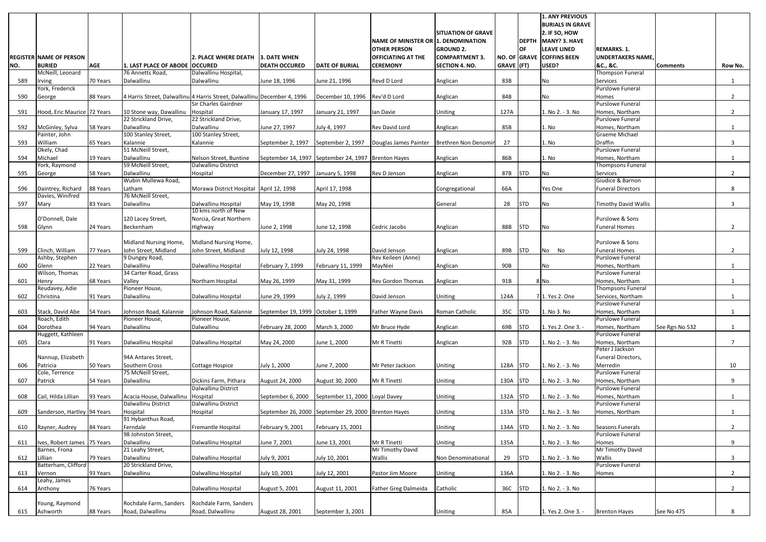|     |                                              |            |                                               |                                                                          |                                                     |                                |                                                            |                           |            |            | <b>1. ANY PREVIOUS</b><br><b>BURIALS IN GRAVE</b> |                                           |                 |                |
|-----|----------------------------------------------|------------|-----------------------------------------------|--------------------------------------------------------------------------|-----------------------------------------------------|--------------------------------|------------------------------------------------------------|---------------------------|------------|------------|---------------------------------------------------|-------------------------------------------|-----------------|----------------|
|     |                                              |            |                                               |                                                                          |                                                     |                                |                                                            | <b>SITUATION OF GRAVE</b> |            |            | 2. IF SO, HOW                                     |                                           |                 |                |
|     |                                              |            |                                               |                                                                          |                                                     |                                | NAME OF MINISTER OR 1. DENOMINATION<br><b>OTHER PERSON</b> | <b>GROUND 2.</b>          |            | OF         | DEPTH MANY? 3. HAVE<br><b>LEAVE LINED</b>         | <b>REMARKS. 1.</b>                        |                 |                |
|     | <b>REGISTER NAME OF PERSON</b>               |            |                                               | <b>2. PLACE WHERE DEATH</b>                                              | 3. DATE WHEN                                        |                                | <b>OFFICIATING AT THE</b>                                  | <b>COMPARTMENT 3.</b>     |            |            | NO. OF GRAVE COFFINS BEEN                         | <b>UNDERTAKERS NAME</b>                   |                 |                |
| NO. | <b>BURIED</b>                                | <b>AGE</b> | 1. LAST PLACE OF ABODE OCCURED                |                                                                          | <b>DEATH OCCURED</b>                                | <b>DATE OF BURIAL</b>          | <b>CEREMONY</b>                                            | <b>SECTION 4. NO.</b>     | GRAVE (FT) |            | USED?                                             | &C., &C.                                  | <b>Comments</b> | Row No.        |
| 589 | McNeill, Leonard<br>Irving                   | 70 Years   | 76 Annetts Road,<br>Dalwallinu                | Dalwallinu Hospital,<br>Dalwallinu                                       | June 18, 1996                                       | June 21, 1996                  | Revd D Lord                                                | Anglican                  | 83B        |            | No                                                | <b>Thompson Funeral</b><br>Services       |                 | 1              |
|     | York, Frederick                              |            |                                               |                                                                          |                                                     |                                |                                                            |                           |            |            |                                                   | <b>Purslowe Funeral</b>                   |                 |                |
| 590 | George                                       | 88 Years   |                                               | 4 Harris Street, Dalwallinu 4 Harris Street, Dalwallinu December 4, 1996 |                                                     | December 10, 1996 Rev'd D Lord |                                                            | Anglican                  | 84B        |            | No                                                | Homes                                     |                 | $\overline{2}$ |
| 591 | Hood, Eric Maurice 72 Years                  |            | 10 Stone way, Dawallinu   Hospital            | Sir Charles Gairdner                                                     | January 17, 1997                                    | January 21, 1997               | lan Davie                                                  | Uniting                   | 127A       |            | 1. No 2. - 3. No                                  | <b>Purslowe Funeral</b><br>Homes, Northam |                 | $2^{\circ}$    |
|     |                                              |            | 22 Strickland Drive,                          | 22 Strickland Drive,                                                     |                                                     |                                |                                                            |                           |            |            |                                                   | Purslowe Funeral                          |                 |                |
| 592 | McGinley, Sylva                              | 58 Years   | Dalwallinu                                    | Dalwallinu                                                               | June 27, 1997                                       | July 4, 1997                   | Rev David Lord                                             | Anglican                  | 85B        |            | 1. No                                             | Homes, Northam                            |                 |                |
|     | Painter, John                                |            | 100 Stanley Street,                           | 100 Stanley Street,                                                      |                                                     |                                |                                                            |                           |            |            |                                                   | Graeme Michael                            |                 |                |
| 593 | William<br>Okely, Chad                       | 65 Years   | Kalannie<br>51 McNeill Street,                | Kalannie                                                                 | September 2, 1997                                   |                                | September 2, 1997   Douglas James Painter                  | Brethren Non Denomin      | 27         |            | 1. No                                             | <b>Draffin</b><br><b>Purslowe Funeral</b> |                 | 3              |
| 594 | Michael                                      | 19 Years   | Dalwallinu                                    | Nelson Street, Buntine                                                   | September 14, 1997 September 24, 1997 Brenton Hayes |                                |                                                            | Anglican                  | 86B        |            | 1. No                                             | Homes, Northam                            |                 |                |
|     | York, Raymond                                |            | 59 McNeill Street,                            | Dalwallinu District                                                      |                                                     |                                |                                                            |                           |            |            |                                                   | Thompsons Funeral                         |                 |                |
| 595 | George                                       | 58 Years   | Dalwallinu<br>Wubin Mullewa Road,             | Hospital                                                                 | December 27, 1997                                   | January 5, 1998                | Rev D Jenson                                               | Anglican                  | 87B        | <b>STD</b> | No                                                | <b>Services</b><br>Giudice & Barnon       |                 | $\overline{2}$ |
| 596 | Daintrey, Richard                            | 88 Years   | Latham                                        | Morawa District Hospital April 12, 1998                                  |                                                     | April 17, 1998                 |                                                            | Congregational            | 66A        |            | Yes One                                           | <b>Funeral Directors</b>                  |                 | 8              |
|     | Davies, Winifred                             |            | 76 McNeill Street,                            |                                                                          |                                                     |                                |                                                            |                           |            |            |                                                   |                                           |                 |                |
| 597 | Mary                                         | 83 Years   | Dalwallinu                                    | Dalwallinu Hospital<br>10 kms north of New                               | May 19, 1998                                        | May 20, 1998                   |                                                            | General                   | 28         | <b>STD</b> | No                                                | <b>Timothy David Wallis</b>               |                 | 3              |
|     | O'Donnell, Dale                              |            | 120 Lacey Street,                             | Norcia, Great Northern                                                   |                                                     |                                |                                                            |                           |            |            |                                                   | Purslowe & Sons                           |                 |                |
| 598 | Glynn                                        | 24 Years   | Beckenham                                     | Highway                                                                  | June 2, 1998                                        | June 12, 1998                  | Cedric Jacobs                                              | Anglican                  | 88B        | <b>STD</b> | No.                                               | <b>Funeral Homes</b>                      |                 | 2              |
|     |                                              |            |                                               |                                                                          |                                                     |                                |                                                            |                           |            |            |                                                   |                                           |                 |                |
| 599 | Clinch, William                              | 77 Years   | Midland Nursing Home,<br>John Street, Midland | Midland Nursing Home,<br>John Street, Midland                            | July 12, 1998                                       | July 24, 1998                  | David Jenson                                               | Anglican                  | 89B        | <b>STD</b> | No No                                             | Purslowe & Sons<br><b>Funeral Homes</b>   |                 | 2              |
|     | Ashby, Stephen                               |            | 9 Dungey Road,                                |                                                                          |                                                     |                                | Rev Keileen (Anne)                                         |                           |            |            |                                                   | <b>Purslowe Funeral</b>                   |                 |                |
| 600 | Glenn                                        | 22 Years   | Dalwallinu                                    | Dalwallinu Hospital                                                      | February 7, 1999                                    | February 11, 1999              | MayNiei                                                    | Anglican                  | 90B        |            | No                                                | Homes, Northam                            |                 |                |
| 601 | Wilson, Thomas<br>Henry                      | 68 Years   | 34 Carter Road, Grass<br>Valley               | Northam Hospital                                                         | May 26, 1999                                        | May 31, 1999                   | <b>Rev Gordon Thomas</b>                                   | Anglican                  | 91B        |            | 8 No                                              | <b>Purslowe Funeral</b><br>Homes, Northam |                 |                |
|     | Reudavey, Adie                               |            | Pioneer House,                                |                                                                          |                                                     |                                |                                                            |                           |            |            |                                                   | Thompsons Funeral                         |                 |                |
| 602 | Christina                                    | 91 Years   | Dalwallinu                                    | Dalwallinu Hospital                                                      | June 29, 1999                                       | July 2, 1999                   | David Jenson                                               | Uniting                   | 124A       |            | 71. Yes 2. One                                    | Services, Northam                         |                 |                |
| 603 | Stack, David Abe                             | 54 Years   | Johnson Road, Kalannie                        | Johnson Road, Kalannie                                                   | September 19, 1999 October 1, 1999                  |                                | <b>Father Wayne Davis</b>                                  | Roman Catholic            | 35C        | <b>STD</b> | 1. No 3. No                                       | <b>Purslowe Funeral</b><br>Homes, Northam |                 | 1              |
|     | Roach, Edith                                 |            | Pioneer House,                                | Pioneer House,                                                           |                                                     |                                |                                                            |                           |            |            |                                                   | Purslowe Funeral                          |                 |                |
| 604 | Dorothea                                     | 94 Years   | Dalwallinu                                    | Dalwallinu                                                               | February 28, 2000                                   | March 3, 2000                  | Mr Bruce Hyde                                              | Anglican                  | 69B        | <b>STD</b> | 1. Yes 2. One 3. -                                | Homes, Northam                            | See Rgn No 532  |                |
|     | Huggett, Kathleen                            |            |                                               | Dalwallinu Hospital                                                      |                                                     |                                |                                                            |                           |            |            | 1. No 2. - 3. No                                  | Purslowe Funeral                          |                 | $\overline{7}$ |
| 605 | Clara                                        | 91 Years   | Dalwallinu Hospital                           |                                                                          | May 24, 2000                                        | June 1, 2000                   | Mr R Tinetti                                               | Anglican                  | 92B        | <b>STD</b> |                                                   | Homes, Northam<br>Peter J Jackson         |                 |                |
|     | Nannup, Elizabeth                            |            | 94A Antares Street,                           |                                                                          |                                                     |                                |                                                            |                           |            |            |                                                   | Funeral Directors,                        |                 |                |
| 606 | Patricia                                     | 50 Years   | Southern Cross<br>75 McNeill Street,          | <b>Cottage Hospice</b>                                                   | July 1, 2000                                        | June 7, 2000                   | Mr Peter Jackson                                           | Uniting                   | 128A       | <b>STD</b> | 1. No 2. - 3. No                                  | Merredin<br><b>Purslowe Funeral</b>       |                 | 10             |
| 607 | Cole, Terrence<br>Patrick                    | 54 Years   | Dalwallinu                                    | Dickins Farm, Pithara                                                    | August 24, 2000                                     | August 30, 2000                | Mr R Tinetti                                               | Uniting                   | 130A       | <b>STD</b> | 1. No 2. - 3. No                                  | Homes, Northam                            |                 | 9              |
|     |                                              |            |                                               | Dalwallinu District                                                      |                                                     |                                |                                                            |                           |            |            |                                                   | Purslowe Funeral                          |                 |                |
| 608 | Cail, Hilda Lillian                          | 93 Years   | Acacia House, Dalwallinu                      | Hospital                                                                 | September 6, 2000                                   | September 11, 2000 Loyal Davey |                                                            | Uniting                   | 132A       | <b>STD</b> | 1. No 2. - 3. No                                  | Homes, Northam                            |                 | -1             |
| 609 | Sanderson, Hartley 94 Years                  |            | Dalwallinu District<br>Hospital               | Dalwallinu District<br>Hospital                                          | September 26, 2000 September 29, 2000 Brenton Hayes |                                |                                                            | Uniting                   | 133A       | <b>STD</b> | 1. No 2. - 3. No                                  | <b>Purslowe Funeral</b><br>Homes, Northam |                 | -1             |
|     |                                              |            | 91 Hybanthus Road,                            |                                                                          |                                                     |                                |                                                            |                           |            |            |                                                   |                                           |                 |                |
| 610 | Rayner, Audrey                               | 84 Years   | Ferndale                                      | <b>Fremantle Hospital</b>                                                | February 9, 2001                                    | February 15, 2001              |                                                            | Uniting                   | 134A       | <b>STD</b> | 1. No 2. - 3. No                                  | Seasons Funerals                          |                 | $\overline{2}$ |
| 611 |                                              |            | 98 Johnston Street,<br>Dalwallinu             |                                                                          |                                                     |                                | Mr R Tinetti                                               |                           | 135A       |            | 1. No 2. - 3. No                                  | <b>Purslowe Funeral</b>                   |                 | 9              |
|     | Ives, Robert James 75 Years<br>Barnes, Frona |            | 21 Leahy Street,                              | Dalwallinu Hospital                                                      | June 7, 2001                                        | June 13, 2001                  | Mr Timothy David                                           | Uniting                   |            |            |                                                   | Homes<br>Mr Timothy David                 |                 |                |
| 612 | Lillian                                      | 79 Years   | Dalwallinu                                    | Dalwallinu Hospital                                                      | July 9, 2001                                        | July 10, 2001                  | Wallis                                                     | Non Denominational        | 29         | <b>STD</b> | 1. No 2. - 3. No                                  | Wallis                                    |                 | 3              |
|     | Batterham, Clifford                          |            | 20 Strickland Drive,                          |                                                                          |                                                     |                                |                                                            |                           |            |            |                                                   | <b>Purslowe Funeral</b>                   |                 |                |
| 613 | Vernon<br>Leahy, James                       | 93 Years   | Dalwallinu                                    | Dalwallinu Hospital                                                      | July 10, 2001                                       | July 12, 2001                  | Pastor Jim Moore                                           | Uniting                   | 136A       |            | 1. No 2. - 3. No                                  | Homes                                     |                 | $2^{\circ}$    |
| 614 | Anthony                                      | 76 Years   |                                               | Dalwallinu Hospital                                                      | August 5, 2001                                      | August 11, 2001                | <b>Father Greg Dalmeida</b>                                | Catholic                  | 36C        | <b>STD</b> | 1. No 2. - 3. No                                  |                                           |                 | $2^{\circ}$    |
|     |                                              |            |                                               |                                                                          |                                                     |                                |                                                            |                           |            |            |                                                   |                                           |                 |                |
| 615 | Young, Raymond<br>Ashworth                   | 88 Years   | Rochdale Farm, Sanders<br>Road, Dalwallinu    | Rochdale Farm, Sanders<br>Road, Dalwallinu                               | August 28, 2001                                     | September 3, 2001              |                                                            | Uniting                   | 85A        |            | 1. Yes 2. One 3. -                                | <b>Brenton Hayes</b>                      | See No 475      | 8              |
|     |                                              |            |                                               |                                                                          |                                                     |                                |                                                            |                           |            |            |                                                   |                                           |                 |                |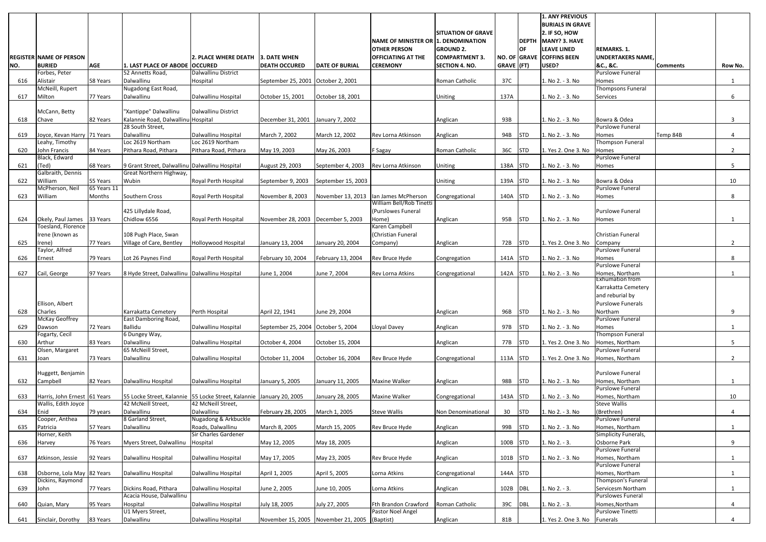|     |                                                     |             |                                                                                            |                                           |                                      |                                               |                                                                   |                           |            |            | <b>1. ANY PREVIOUS</b><br><b>BURIALS IN GRAVE</b> |                                            |                 |              |
|-----|-----------------------------------------------------|-------------|--------------------------------------------------------------------------------------------|-------------------------------------------|--------------------------------------|-----------------------------------------------|-------------------------------------------------------------------|---------------------------|------------|------------|---------------------------------------------------|--------------------------------------------|-----------------|--------------|
|     |                                                     |             |                                                                                            |                                           |                                      |                                               |                                                                   | <b>SITUATION OF GRAVE</b> |            |            | 2. IF SO, HOW                                     |                                            |                 |              |
|     |                                                     |             |                                                                                            |                                           |                                      |                                               | <b>NAME OF MINISTER OR 1. DENOMINATION</b><br><b>OTHER PERSON</b> | <b>GROUND 2.</b>          |            | OF         | DEPTH MANY? 3. HAVE<br><b>LEAVE LINED</b>         | <b>REMARKS. 1.</b>                         |                 |              |
|     | <b>REGISTER NAME OF PERSON</b>                      |             |                                                                                            | l2. PLACE WHERE DEATH                     | l3. DATE WHEN                        |                                               | <b>OFFICIATING AT THE</b>                                         | <b>COMPARTMENT 3.</b>     |            |            | NO. OF GRAVE COFFINS BEEN                         | <b>UNDERTAKERS NAME</b>                    |                 |              |
| NO. | <b>BURIED</b>                                       | <b>AGE</b>  | 1. LAST PLACE OF ABODE OCCURED                                                             |                                           | <b>DEATH OCCURED</b>                 | <b>DATE OF BURIAL</b>                         | <b>CEREMONY</b>                                                   | <b>SECTION 4. NO.</b>     | GRAVE (FT) |            | USED?                                             | &C., &C.                                   | <b>Comments</b> | Row No.      |
|     | Forbes, Peter                                       |             | 52 Annetts Road,                                                                           | Dalwallinu District                       |                                      |                                               |                                                                   |                           |            |            |                                                   | <b>Purslowe Funeral</b>                    |                 |              |
| 616 | Alistair                                            | 58 Years    | Dalwallinu                                                                                 | Hospital                                  | September 25, 2001 October 2, 2001   |                                               |                                                                   | Roman Catholic            | 37C        |            | 1. No 2. - 3. No                                  | Homes                                      |                 |              |
| 617 | McNeill, Rupert<br>Milton                           | 77 Years    | Nugadong East Road,<br>Dalwallinu                                                          | Dalwallinu Hospital                       | October 15, 2001                     | October 18, 2001                              |                                                                   | <b>Uniting</b>            | 137A       |            | 1. No 2. - 3. No                                  | Thompsons Funeral<br>Services              |                 | 6            |
|     |                                                     |             |                                                                                            |                                           |                                      |                                               |                                                                   |                           |            |            |                                                   |                                            |                 |              |
|     | McCann, Betty                                       |             | "Xantippe" Dalwallinu                                                                      | Dalwallinu District                       |                                      |                                               |                                                                   |                           |            |            |                                                   |                                            |                 |              |
| 618 | Chave                                               | 82 Years    | Kalannie Road, Dalwallinu Hospital                                                         |                                           | December 31, 2001                    | January 7, 2002                               |                                                                   | Anglican                  | 93B        |            | 1. No 2. - 3. No                                  | Bowra & Odea                               |                 | 3            |
| 619 | Joyce, Kevan Harry 71 Years                         |             | 28 South Street,<br>Dalwallinu                                                             | Dalwallinu Hospital                       | March 7, 2002                        | March 12, 2002                                | Rev Lorna Atkinson                                                | Anglican                  | 94B        | <b>STD</b> | 1. No 2. - 3. No                                  | <b>Purslowe Funeral</b><br>Homes           | Temp 84B        | 4            |
|     | Leahy, Timothy                                      |             | Loc 2619 Northam                                                                           | Loc 2619 Northam                          |                                      |                                               |                                                                   |                           |            |            |                                                   | Thompson Funeral                           |                 |              |
| 620 | John Francis                                        | 84 Years    | Pithara Road, Pithara                                                                      | Pithara Road, Pithara                     | May 19, 2003                         | May 26, 2003                                  | F Sagay                                                           | Roman Catholic            | 36C        | <b>STD</b> | 1. Yes 2. One 3. No                               | Homes                                      |                 | $2^{\circ}$  |
|     | Black, Edward                                       |             |                                                                                            |                                           |                                      |                                               |                                                                   |                           |            |            |                                                   | Purslowe Funeral                           |                 |              |
| 621 | (Ted)<br>Galbraith, Dennis                          | 68 Years    | 9 Grant Street, Dalwallinu Dalwallinu Hospital<br>Great Northern Highway,                  |                                           | August 29, 2003                      | September 4, 2003                             | Rev Lorna Atkinson                                                | Uniting                   | 138A       | <b>STD</b> | 1. No 2. - 3. No                                  | Homes                                      |                 | 5            |
| 622 | William                                             | 55 Years    | Wubin                                                                                      | Royal Perth Hospital                      | September 9, 2003                    | September 15, 2003                            |                                                                   | <b>Uniting</b>            | 139A       | <b>STD</b> | 1. No 2. - 3. No                                  | Bowra & Odea                               |                 | 10           |
|     | McPherson, Neil                                     | 65 Years 11 |                                                                                            |                                           |                                      |                                               |                                                                   |                           |            |            |                                                   | <b>Purslowe Funeral</b>                    |                 |              |
| 623 | William                                             | Months      | Southern Cross                                                                             | Royal Perth Hospital                      | November 8, 2003                     |                                               | November 13, 2013   Ian James McPherson                           | Congregational            | 140A       | <b>STD</b> | 1. No 2. - 3. No                                  | Homes                                      |                 | 8            |
|     |                                                     |             | 425 Lillydale Road,                                                                        |                                           |                                      |                                               | William Bell/Rob Tinetti<br>(Purslowes Funeral                    |                           |            |            |                                                   | <b>Purslowe Funeral</b>                    |                 |              |
| 624 | Okely, Paul James 33 Years                          |             | Chidlow 6556                                                                               | Royal Perth Hospital                      | November 28, 2003   December 5, 2003 |                                               | Home)                                                             | Anglican                  | 95B        | <b>STD</b> | 1. No 2. - 3. No                                  | Homes                                      |                 | $\mathbf{1}$ |
|     | Toesland, Florence                                  |             |                                                                                            |                                           |                                      |                                               | Karen Campbell                                                    |                           |            |            |                                                   |                                            |                 |              |
|     | Irene (known as                                     |             | 108 Pugh Place, Swan                                                                       |                                           |                                      |                                               | (Christian Funeral                                                |                           |            |            |                                                   | <b>Christian Funeral</b>                   |                 |              |
| 625 | Irene)                                              | 77 Years    | Village of Care, Bentley                                                                   | Holloywood Hospital                       | January 13, 2004                     | January 20, 2004                              | Company)                                                          | Anglican                  | 72B        | <b>STD</b> | 1. Yes 2. One 3. No                               | Company                                    |                 | $2^{\circ}$  |
| 626 | Taylor, Alfred<br>Ernest                            | 79 Years    | Lot 26 Paynes Find                                                                         | Royal Perth Hospital                      | February 10, 2004                    | February 13, 2004                             | Rev Bruce Hyde                                                    | Congregation              | 141A       | <b>STD</b> | 1. No 2. - 3. No                                  | Purslowe Funeral<br>Homes                  |                 | 8            |
|     |                                                     |             |                                                                                            |                                           |                                      |                                               |                                                                   |                           |            |            |                                                   | <b>Purslowe Funeral</b>                    |                 |              |
| 627 | Cail, George                                        | 97 Years    | 8 Hyde Street, Dalwallinu Dalwallinu Hospital                                              |                                           | June 1, 2004                         | June 7, 2004                                  | <b>Rev Lorna Atkins</b>                                           | Congregational            | 142A       | <b>STD</b> | 1. No 2. - 3. No                                  | Homes, Northam                             |                 | $\mathbf{1}$ |
|     |                                                     |             |                                                                                            |                                           |                                      |                                               |                                                                   |                           |            |            |                                                   | Exhumation from<br>Karrakatta Cemetery     |                 |              |
|     |                                                     |             |                                                                                            |                                           |                                      |                                               |                                                                   |                           |            |            |                                                   | and reburial by                            |                 |              |
|     | Ellison, Albert                                     |             |                                                                                            |                                           |                                      |                                               |                                                                   |                           |            |            |                                                   | <b>Purslowe Funerals</b>                   |                 |              |
| 628 | Charles                                             |             | Karrakatta Cemetery                                                                        | Perth Hospital                            | April 22, 1941                       | June 29, 2004                                 |                                                                   | Anglican                  | 96B        | <b>STD</b> | 1. No 2. - 3. No                                  | Northam                                    |                 | 9            |
|     | McKay Geoffrey                                      | 72 Years    | East Damboring Road,<br><b>Ballidu</b>                                                     |                                           |                                      |                                               | Lloyal Davey                                                      | Anglican                  | 97B        | <b>STD</b> | 1. No 2. - 3. No                                  | <b>Purslowe Funeral</b>                    |                 |              |
| 629 | Dawson<br>Fogarty, Cecil                            |             | 6 Dungey Way,                                                                              | Dalwallinu Hospital                       | September 25, 2004 October 5, 2004   |                                               |                                                                   |                           |            |            |                                                   | Homes<br>Thompson Funeral                  |                 | $\mathbf{1}$ |
| 630 | Arthur                                              | 83 Years    | Dalwallinu                                                                                 | Dalwallinu Hospital                       | October 4, 2004                      | October 15, 2004                              |                                                                   | Anglican                  | 77B        | <b>STD</b> | 1. Yes 2. One 3. No                               | Homes, Northam                             |                 | 5            |
|     | Olsen, Margaret                                     |             | 65 McNeill Street,                                                                         |                                           |                                      |                                               |                                                                   |                           |            |            |                                                   | <b>Purslowe Funeral</b>                    |                 |              |
| 631 | Joan                                                | 73 Years    | Dalwallinu                                                                                 | Dalwallinu Hospital                       | October 11, 2004                     | October 16, 2004                              | Rev Bruce Hyde                                                    | Congregational            | $113A$ STD |            | 1. Yes 2. One 3. No                               | Homes, Northam                             |                 | $2^{\circ}$  |
|     | Huggett, Benjamin                                   |             |                                                                                            |                                           |                                      |                                               |                                                                   |                           |            |            |                                                   | <b>Purslowe Funeral</b>                    |                 |              |
| 632 | Campbell                                            | 82 Years    | Dalwallinu Hospital                                                                        | Dalwallinu Hospital                       | January 5, 2005                      | January 11, 2005                              | <b>Maxine Walker</b>                                              | Anglican                  | 98B        | <b>STD</b> | 1. No 2. - 3. No                                  | Homes, Northam                             |                 |              |
|     |                                                     |             |                                                                                            |                                           |                                      | January 28, 2005                              | <b>Maxine Walker</b>                                              |                           |            | <b>STD</b> | 1. No 2. - 3. No                                  | <b>Purslowe Funeral</b><br>Homes, Northam  |                 |              |
| 633 | Harris, John Ernest 61 Years<br>Wallis, Edith Joyce |             | 55 Locke Street, Kalannie 55 Locke Street, Kalannie January 20, 2005<br>42 McNeill Street, | 42 McNeill Street,                        |                                      |                                               |                                                                   | Congregational            | 143A       |            |                                                   | <b>Steve Wallis</b>                        |                 | 10           |
| 634 | Enid                                                | 79 years    | Dalwallinu                                                                                 | Dalwallinu                                | February 28, 2005                    | March 1, 2005                                 | <b>Steve Wallis</b>                                               | Non Denominational        | 30         | <b>STD</b> | 1. No 2. - 3. No                                  | (Brethren)                                 |                 | 4            |
|     | Cooper, Anthea                                      |             | 8 Garland Street,                                                                          | Nugadong & Arkbuckle                      |                                      |                                               |                                                                   |                           |            |            |                                                   | <b>Purslowe Funeral</b>                    |                 |              |
| 635 | Patricia<br>Horner, Keith                           | 57 Years    | Dalwallinu                                                                                 | Roads, Dalwallinu<br>Sir Charles Gardener | March 8, 2005                        | March 15, 2005                                | Rev Bruce Hyde                                                    | Anglican                  | 99B        | <b>STD</b> | 1. No 2. - 3. No                                  | Homes, Northam<br>Simplicity Funerals,     |                 |              |
| 636 | Harvey                                              | 76 Years    | Myers Street, Dalwallinu                                                                   | Hospital                                  | May 12, 2005                         | May 18, 2005                                  |                                                                   | Anglican                  | 100B STD   |            | 1. No 2. - 3.                                     | Osborne Park                               |                 | 9            |
|     |                                                     |             |                                                                                            |                                           |                                      |                                               |                                                                   |                           |            |            |                                                   | <b>Purslowe Funeral</b>                    |                 |              |
| 637 | Atkinson, Jessie                                    | 92 Years    | Dalwallinu Hospital                                                                        | Dalwallinu Hospital                       | May 17, 2005                         | May 23, 2005                                  | Rev Bruce Hyde                                                    | Anglican                  | 101B       | <b>STD</b> | 1. No 2. - 3. No                                  | Homes, Northam                             |                 |              |
| 638 | Osborne, Lola May 82 Years                          |             | Dalwallinu Hospital                                                                        | Dalwallinu Hospital                       | April 1, 2005                        | April 5, 2005                                 | Lorna Atkins                                                      | Congregational            | 144A STD   |            |                                                   | Purslowe Funeral<br>Homes, Northam         |                 | $\mathbf{1}$ |
|     | Dickins, Raymond                                    |             |                                                                                            |                                           |                                      |                                               |                                                                   |                           |            |            |                                                   | Thompson's Funeral                         |                 |              |
| 639 | John                                                | 77 Years    | Dickins Road, Pithara                                                                      | Dalwallinu Hospital                       | June 2, 2005                         | June 10, 2005                                 | Lorna Atkins                                                      | Anglican                  | 102B       | DBL        | 1. No 2. - 3.                                     | Servicesm Northam                          |                 | $\mathbf{1}$ |
| 640 | Quian, Mary                                         | 95 Years    | Acacia House, Dalwallinu<br>Hospital                                                       | Dalwallinu Hospital                       | July 18, 2005                        | July 27, 2005                                 | Fth Brandon Crawford                                              | Roman Catholic            | 39C        | DBL        | 1. No 2. - 3.                                     | <b>Purslowes Funeral</b><br>Homes, Northam |                 | 4            |
|     |                                                     |             | U1 Myers Street,                                                                           |                                           |                                      |                                               | Pastor Noel Angel                                                 |                           |            |            |                                                   | <b>Purslowe Tinetti</b>                    |                 |              |
| 641 | Sinclair, Dorothy                                   | 83 Years    | Dalwallinu                                                                                 | Dalwallinu Hospital                       |                                      | November 15, 2005 November 21, 2005 (Baptist) |                                                                   | Anglican                  | 81B        |            | 1. Yes 2. One 3. No                               | Funerals                                   |                 | 4            |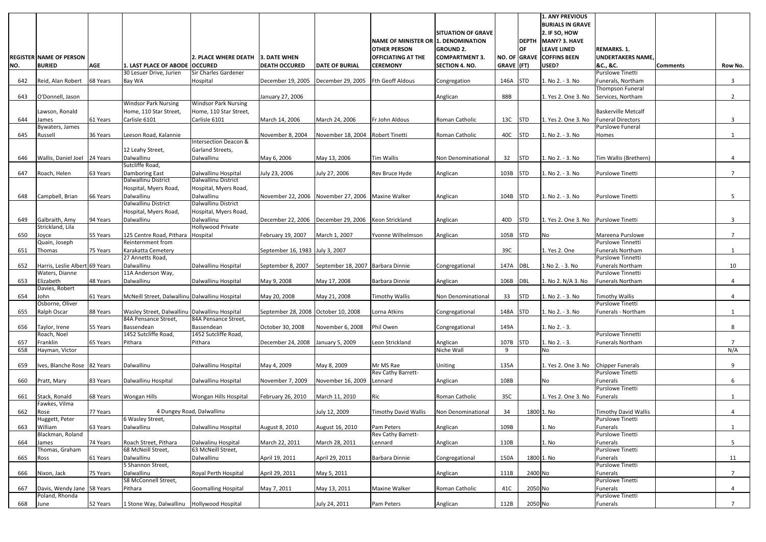|     |                                              |            |                                                |                                          |                                     |                                     |                                     |                           |              |            | <b>1. ANY PREVIOUS</b>                   |                                                     |                 |                |
|-----|----------------------------------------------|------------|------------------------------------------------|------------------------------------------|-------------------------------------|-------------------------------------|-------------------------------------|---------------------------|--------------|------------|------------------------------------------|-----------------------------------------------------|-----------------|----------------|
|     |                                              |            |                                                |                                          |                                     |                                     |                                     | <b>SITUATION OF GRAVE</b> |              |            | <b>BURIALS IN GRAVE</b><br>2. IF SO, HOW |                                                     |                 |                |
|     |                                              |            |                                                |                                          |                                     |                                     | NAME OF MINISTER OR 1. DENOMINATION |                           |              |            | DEPTH MANY? 3. HAVE                      |                                                     |                 |                |
|     |                                              |            |                                                |                                          |                                     |                                     | <b>OTHER PERSON</b>                 | <b>GROUND 2.</b>          |              | OF         | <b>LEAVE LINED</b>                       | <b>REMARKS. 1.</b>                                  |                 |                |
|     | <b>IREGISTER INAME OF PERSON</b>             |            |                                                | <b>2. PLACE WHERE DEATH</b>              | 3. DATE WHEN                        |                                     | <b>OFFICIATING AT THE</b>           | <b>COMPARTMENT 3.</b>     |              |            | NO. OF GRAVE COFFINS BEEN                | <b>UNDERTAKERS NAME,</b>                            |                 |                |
| NO. | <b>BURIED</b>                                | <b>AGE</b> | 1. LAST PLACE OF ABODE OCCURED                 |                                          | <b>DEATH OCCURED</b>                | <b>DATE OF BURIAL</b>               | <b>CEREMONY</b>                     | <b>SECTION 4. NO.</b>     | $GRAVE$ (FT) |            | USED?                                    | &C., &C.                                            | <b>Comments</b> | Row No.        |
|     |                                              |            | 30 Lesuer Drive, Jurien                        | Sir Charles Gardener                     |                                     |                                     |                                     |                           |              |            |                                          | <b>Purslowe Tinetti</b>                             |                 |                |
| 642 | Reid, Alan Robert   68 Years                 |            | Bay WA                                         | Hospital                                 | December 19, 2005                   | December 29, 2005                   | <b>Fth Geoff Aldous</b>             | Congregation              | 146A         | <b>STD</b> | 1. No 2. - 3. No                         | Funerals, Northam                                   |                 | 3              |
|     |                                              |            |                                                |                                          |                                     |                                     |                                     |                           |              |            |                                          | Thompson Funeral                                    |                 |                |
| 643 | O'Donnell, Jason                             |            | <b>Windsor Park Nursing</b>                    | <b>Windsor Park Nursing</b>              | January 27, 2006                    |                                     |                                     | Anglican                  | 88B          |            | 1. Yes 2. One 3. No                      | Services, Northam                                   |                 | $\mathbf{2}$   |
|     | Lawson, Ronald                               |            | Home, 110 Star Street,                         | Home, 110 Star Street,                   |                                     |                                     |                                     |                           |              |            |                                          | <b>Baskerville Metcalf</b>                          |                 |                |
| 644 | James                                        | 61 Years   | Carlisle 6101                                  | Carlisle 6101                            | March 14, 2006                      | March 24, 2006                      | Fr John Aldous                      | Roman Catholic            | 13C          | <b>STD</b> | 1. Yes 2. One 3. No                      | <b>Funeral Directors</b>                            |                 | 3              |
|     | Bywaters, James                              |            |                                                |                                          |                                     |                                     |                                     |                           |              |            |                                          | Purslowe Funeral                                    |                 |                |
| 645 | Russell                                      | 36 Years   | Leeson Road, Kalannie                          |                                          | November 8, 2004                    | November 18, 2004 Robert Tinetti    |                                     | Roman Catholic            | 40C STD      |            | 1. No 2. - 3. No                         | Homes                                               |                 | -1             |
|     |                                              |            |                                                | Intersection Deacon &                    |                                     |                                     |                                     |                           |              |            |                                          |                                                     |                 |                |
| 646 | Wallis, Daniel Joel 24 Years                 |            | 12 Leahy Street,<br>Dalwallinu                 | Garland Streets,<br>Dalwallinu           | May 6, 2006                         | May 13, 2006                        | Tim Wallis                          | Non Denominational        | 32           | <b>STD</b> | 1. No 2. - 3. No                         | Tim Wallis (Brethern)                               |                 | 4              |
|     |                                              |            | Sutcliffe Road,                                |                                          |                                     |                                     |                                     |                           |              |            |                                          |                                                     |                 |                |
| 647 | Roach, Helen                                 | 63 Years   | Damboring East                                 | Dalwallinu Hospital                      | July 23, 2006                       | July 27, 2006                       | Rev Bruce Hyde                      | Anglican                  | 103B         | STD        | 1. No 2. - 3. No                         | Purslowe Tinetti                                    |                 | $\overline{7}$ |
|     |                                              |            | Dalwallinu District                            | Dalwallinu District                      |                                     |                                     |                                     |                           |              |            |                                          |                                                     |                 |                |
|     |                                              |            | Hospital, Myers Road,                          | Hospital, Myers Road,                    |                                     |                                     |                                     |                           |              |            |                                          |                                                     |                 |                |
| 648 | Campbell, Brian                              | 66 Years   | Dalwallinu                                     | Dalwallinu                               | November 22, 2006                   | November 27, 2006 Maxine Walker     |                                     | Anglican                  | 104B         | <b>STD</b> | 1. No 2. - 3. No                         | Purslowe Tinetti                                    |                 | 5              |
|     |                                              |            | Dalwallinu District                            | Dalwallinu District                      |                                     |                                     |                                     |                           |              |            |                                          |                                                     |                 |                |
| 649 | Galbraith, Amy                               | 94 Years   | Hospital, Myers Road,<br>Dalwallinu            | Hospital, Myers Road,<br>Dalwallinu      | December 22, 2006                   | December 29, 2006   Keon Strickland |                                     | Anglican                  | 40D          | <b>STD</b> | 1. Yes 2. One 3. No                      | <b>Purslowe Tinetti</b>                             |                 | 3              |
|     | Strickland, Lila                             |            |                                                | Hollywood Private                        |                                     |                                     |                                     |                           |              |            |                                          |                                                     |                 |                |
| 650 | Joyce                                        | 55 Years   | 125 Centre Road, Pithara                       | Hospital                                 | February 19, 2007                   | March 1, 2007                       | Yvonne Wilhelmson                   | Anglican                  | 105B         | <b>STD</b> | No.                                      | Mareena Purslowe                                    |                 |                |
|     | Quain, Joseph                                |            | Reinternment from                              |                                          |                                     |                                     |                                     |                           |              |            |                                          | Purslowe Tinnetti                                   |                 |                |
| 651 | <b>Thomas</b>                                | 75 Years   | Karakatta Cemetery                             |                                          | September 16, 1983 July 3, 2007     |                                     |                                     |                           | 39C          |            | 1. Yes 2. One                            | <b>Funerals Northam</b>                             |                 |                |
|     |                                              |            | 27 Annetts Road,                               |                                          |                                     |                                     |                                     |                           |              |            |                                          | Purslowe Tinnetti                                   |                 |                |
| 652 | Harris, Leslie Albert 69 Years               |            | Dalwallinu<br>11A Anderson Way,                | Dalwallinu Hospital                      | September 8, 2007                   | September 18, 2007 Barbara Dinnie   |                                     | Congregational            | 147A DBL     |            | 1 No 2. - 3. No                          | <b>Funerals Northam</b><br><b>Purslowe Tinnetti</b> |                 | 10             |
| 653 | Waters, Dianne<br>Elizabeth                  | 48 Years   | Dalwallinu                                     | Dalwallinu Hospital                      | May 9, 2008                         | May 17, 2008                        | Barbara Dinnie                      | Anglican                  | 106B         | DBL        | 1. No 2. N/A 3. No                       | <b>Funerals Northam</b>                             |                 | 4              |
|     | Davies, Robert                               |            |                                                |                                          |                                     |                                     |                                     |                           |              |            |                                          |                                                     |                 |                |
| 654 | John                                         | 61 Years   | McNeill Street, Dalwallinu Dalwallinu Hospital |                                          | May 20, 2008                        | May 21, 2008                        | <b>Timothy Wallis</b>               | Non Denominational        | 33           | <b>STD</b> | 1. No 2. - 3. No                         | <b>Timothy Wallis</b>                               |                 | 4              |
|     | Osborne, Oliver                              |            |                                                |                                          |                                     |                                     |                                     |                           |              |            |                                          | Purslowe Tinetti                                    |                 |                |
| 655 | <b>Ralph Oscar</b>                           | 88 Years   | Wasley Street, Dalwallinu Dalwallinu Hospital  |                                          | September 28, 2008 October 10, 2008 |                                     | Lorna Atkins                        | Congregational            | 148A         | <b>STD</b> | 1. No 2. - 3. No                         | Funerals - Northam                                  |                 |                |
|     |                                              |            | 84A Pensance Street,                           | 84A Pensance Street,                     |                                     |                                     |                                     |                           |              |            |                                          |                                                     |                 |                |
| 656 | Taylor, Irene<br>Roach, Noel                 | 55 Years   | Bassendean<br>1452 Sutcliffe Road,             | Bassendean<br>1452 Sutcliffe Road,       | October 30, 2008                    | November 6, 2008                    | Phil Owen                           | Congregational            | 149A         |            | 1. No 2. - 3.                            | <b>Purslowe Tinnetti</b>                            |                 | 8              |
| 657 | Franklin                                     | 65 Years   | Pithara                                        | Pithara                                  | December 24, 2008                   | January 5, 2009                     | Leon Strickland                     | Anglican                  | 107B STD     |            | 1. No 2. - 3.                            | <b>Funerals Northam</b>                             |                 | $\overline{7}$ |
| 658 | Hayman, Victor                               |            |                                                |                                          |                                     |                                     |                                     | Niche Wall                | 9            |            | <b>No</b>                                |                                                     |                 | N/A            |
|     |                                              |            |                                                |                                          |                                     |                                     |                                     |                           |              |            |                                          |                                                     |                 |                |
| 659 | Ives, Blanche Rose 82 Years                  |            | Dalwallinu                                     | Dalwallinu Hospital                      | May 4, 2009                         | May 8, 2009                         | Mr MS Rae                           | Uniting                   | 135A         |            | 1. Yes 2. One 3. No                      | <b>Chipper Funerals</b>                             |                 | 9              |
|     |                                              |            |                                                |                                          |                                     |                                     | Rev Cathy Barrett-                  |                           |              |            |                                          | <b>Purslowe Tinetti</b>                             |                 |                |
| 660 | Pratt, Mary                                  | 83 Years   | Dalwallinu Hospital                            | Dalwallinu Hospital                      | November 7, 2009                    | November 16, 2009                   | Lennard                             | Anglican                  | 108B         |            | No                                       | Funerals<br>Purslowe Tinetti                        |                 | 6              |
| 661 | Stack, Ronald                                | 68 Years   | Wongan Hills                                   | Wongan Hills Hospital                    | February 26, 2010                   | March 11, 2010                      | Ric                                 | Roman Catholic            | 35C          |            | 1. Yes 2. One 3. No                      | Funerals                                            |                 |                |
|     | Fawkes, Vilma                                |            |                                                |                                          |                                     |                                     |                                     |                           |              |            |                                          |                                                     |                 |                |
| 662 | Rose                                         | 77 Years   |                                                | 4 Dungey Road, Dalwallinu                |                                     | July 12, 2009                       | <b>Timothy David Wallis</b>         | Non Denominational        | 34           | 1800 1. No |                                          | Timothy David Wallis                                |                 | 4              |
|     | Huggett, Peter                               |            | 6 Wasley Street,                               |                                          |                                     |                                     |                                     |                           |              |            |                                          | <b>Purslowe Tinetti</b>                             |                 |                |
| 663 | William                                      | 63 Years   | Dalwallinu                                     | Dalwallinu Hospital                      | August 8, 2010                      | August 16, 2010                     | Pam Peters                          | Anglican                  | 109B         |            | 1. No                                    | Funerals                                            |                 |                |
|     | Blackman, Roland                             |            |                                                |                                          |                                     |                                     | Rev Cathy Barrett-                  |                           |              |            |                                          | <b>Purslowe Tinetti</b>                             |                 |                |
| 664 | James<br>Thomas, Graham                      | 74 Years   | Roach Street, Pithara<br>68 McNeill Street,    | Dalwalinu Hospital<br>63 McNeill Street, | March 22, 2011                      | March 28, 2011                      | Lennard                             | Anglican                  | 110B         |            | 1. No                                    | Funerals<br><b>Purslowe Tinetti</b>                 |                 | 5              |
| 665 | Ross                                         | 61 Years   | Dalwallinu                                     | Dalwallinu                               | April 19, 2011                      | April 29, 2011                      | Barbara Dinnie                      | Congregational            | 150A         | 1800 1. No |                                          | Funerals                                            |                 | 11             |
|     |                                              |            | 5 Shannon Street,                              |                                          |                                     |                                     |                                     |                           |              |            |                                          | <b>Purslowe Tinetti</b>                             |                 |                |
| 666 | Nixon, Jack                                  | 75 Years   | Dalwallinu                                     | Royal Perth Hospital                     | April 29, 2011                      | May 5, 2011                         |                                     | Anglican                  | 111B         | 2400 No    |                                          | Funerals                                            |                 | $\overline{ }$ |
|     |                                              |            | 58 McConnell Street,                           |                                          |                                     |                                     |                                     |                           |              |            |                                          | <b>Purslowe Tinetti</b>                             |                 |                |
| 667 | Davis, Wendy Jane 58 Years<br>Poland, Rhonda |            | Pithara                                        | <b>Goomalling Hospital</b>               | May 7, 2011                         | May 13, 2011                        | <b>Maxine Walker</b>                | Roman Catholic            | 41C          | 2050 No    |                                          | Funerals<br><b>Purslowe Tinetti</b>                 |                 | 4              |
| 668 | June                                         | 52 Years   | 1 Stone Way, Dalwallinu Hollywood Hospital     |                                          |                                     | July 24, 2011                       | Pam Peters                          | Anglican                  | 112B         | 2050 No    |                                          | Funerals                                            |                 | $7^{\circ}$    |
|     |                                              |            |                                                |                                          |                                     |                                     |                                     |                           |              |            |                                          |                                                     |                 |                |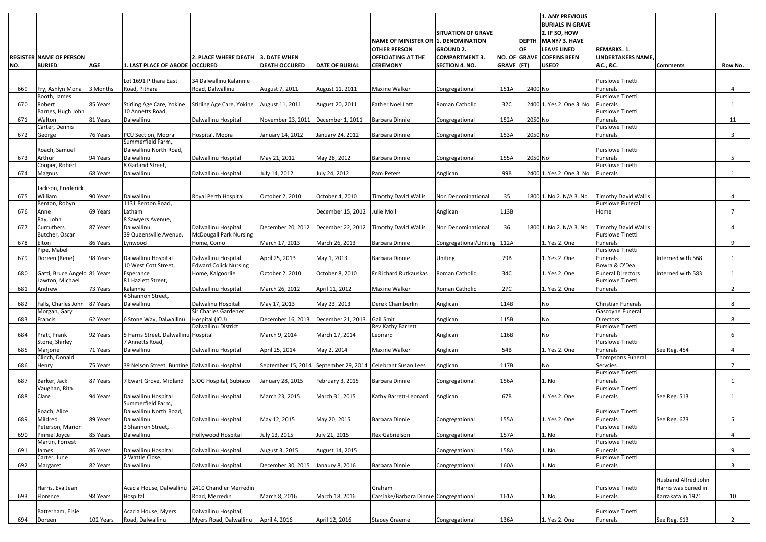|     |                                                 |            |                                                                         |                               |                      |                              |                                                            |                           |            |                           | <b>1. ANY PREVIOUS</b><br><b>BURIALS IN GRAVE</b> |                                                     |                      |                |
|-----|-------------------------------------------------|------------|-------------------------------------------------------------------------|-------------------------------|----------------------|------------------------------|------------------------------------------------------------|---------------------------|------------|---------------------------|---------------------------------------------------|-----------------------------------------------------|----------------------|----------------|
|     |                                                 |            |                                                                         |                               |                      |                              |                                                            | <b>SITUATION OF GRAVE</b> |            |                           | 2. IF SO, HOW                                     |                                                     |                      |                |
|     |                                                 |            |                                                                         |                               |                      |                              | NAME OF MINISTER OR 1. DENOMINATION<br><b>OTHER PERSON</b> | <b>GROUND 2.</b>          |            | <b>DEPTH</b><br><b>OF</b> | MANY? 3. HAVE<br><b>LEAVE LINED</b>               | <b>REMARKS. 1.</b>                                  |                      |                |
|     | <b>REGISTER NAME OF PERSON</b>                  |            |                                                                         | 2. PLACE WHERE DEATH          | <b>3. DATE WHEN</b>  |                              | <b>OFFICIATING AT THE</b>                                  | <b>ICOMPARTMENT 3</b>     |            |                           | NO. OF GRAVE COFFINS BEEN                         | <b>UNDERTAKERS NAME</b>                             |                      |                |
| NO. | <b>BURIED</b>                                   | <b>AGE</b> | 1. LAST PLACE OF ABODE OCCURED                                          |                               | <b>DEATH OCCURED</b> | <b>DATE OF BURIAL</b>        | <b>CEREMONY</b>                                            | <b>SECTION 4. NO.</b>     | GRAVE (FT) |                           | USED?                                             | &C., &C.                                            | <b>Comments</b>      | Row No.        |
|     |                                                 |            | Lot 1691 Pithara East                                                   | 34 Dalwallinu Kalannie        |                      |                              |                                                            |                           |            |                           |                                                   | <b>Purslowe Tinetti</b>                             |                      |                |
| 669 | Fry, Ashlyn Mona 3 Months                       |            | Road, Pithara                                                           | Road, Dalwallinu              | August 7, 2011       | August 11, 2011              | <b>Maxine Walker</b>                                       | Congregational            | 151A       | 2400 No                   |                                                   | Funerals                                            |                      |                |
|     | Booth, James                                    |            |                                                                         |                               |                      |                              |                                                            |                           |            |                           |                                                   | <b>Purslowe Tinetti</b>                             |                      |                |
| 670 | Robert<br>Barnes, Hugh John                     | 85 Years   | Stirling Age Care, Yokine Stirling Age Care, Yokine<br>10 Annetts Road, |                               | August 11, 2011      | August 20, 2011              | <b>Father Noel Latt</b>                                    | Roman Catholic            | 32C        |                           | 2400 1. Yes 2. One 3. No                          | Funerals<br>Purslowe Tinetti                        |                      |                |
| 671 | Walton                                          | 81 Years   | Dalwallinu                                                              | Dalwallinu Hospital           | November 23, 2011    | December 1, 2011             | Barbara Dinnie                                             | Congregational            | 152A       | 2050 No                   |                                                   | Funerals                                            |                      | 11             |
| 672 | Carter, Dennis<br>George                        | 76 Years   | <b>PCU Section, Moora</b>                                               | Hospital, Moora               | January 14, 2012     | January 24, 2012             | Barbara Dinnie                                             |                           | 153A       | 2050 No                   |                                                   | <b>Purslowe Tinetti</b><br>Funerals                 |                      | $\mathbf{3}$   |
|     |                                                 |            | Summerfield Farm,                                                       |                               |                      |                              |                                                            | Congregational            |            |                           |                                                   |                                                     |                      |                |
|     | Roach, Samuel                                   |            | Dalwallinu North Road,                                                  |                               |                      |                              |                                                            |                           |            |                           |                                                   | <b>Purslowe Tinetti</b>                             |                      |                |
| 673 | Arthur<br>Cooper, Robert                        | 94 Years   | Dalwallinu<br>8 Garland Street,                                         | Dalwallinu Hospital           | May 21, 2012         | May 28, 2012                 | Barbara Dinnie                                             | Congregational            | 155A       | 2050 No                   |                                                   | Funerals<br><b>Purslowe Tinetti</b>                 |                      | 5              |
| 674 | Magnus                                          | 68 Years   | Dalwallinu                                                              | Dalwallinu Hospital           | July 14, 2012        | July 24, 2012                | Pam Peters                                                 | Anglican                  | 99B        |                           | 2400 1. Yes 2. One 3. No                          | Funerals                                            |                      |                |
|     |                                                 |            |                                                                         |                               |                      |                              |                                                            |                           |            |                           |                                                   |                                                     |                      |                |
| 675 | Jackson, Frederick<br>William                   | 90 Years   | Dalwallinu                                                              | Royal Perth Hospital          | October 2, 2010      | October 4, 2010              | <b>Timothy David Wallis</b>                                | Non Denominational        | 35         |                           | 1800 1. No 2. N/A 3. No                           | <b>Timothy David Wallis</b>                         |                      | 4              |
|     | Benton, Robyn                                   |            | 1131 Benton Road,                                                       |                               |                      |                              |                                                            |                           |            |                           |                                                   | <b>Purslowe Funeral</b>                             |                      |                |
| 676 | Anne<br>Ray, John                               | 69 Years   | Latham<br>8 Sawyers Avenue,                                             |                               |                      | December 15, 2012 Julie Moll |                                                            | Anglican                  | 113B       |                           |                                                   | Home                                                |                      | $\overline{7}$ |
| 677 | Curruthers                                      | 87 Years   | Dalwallinu                                                              | Dalwallinu Hospital           | December 20, 2012    |                              | December 22, 2012 Timothy David Wallis                     | Non Denominational        | 36         |                           | 1800 1. No 2. N/A 3. No                           | <b>Timothy David Wallis</b>                         |                      | 4              |
|     | Butcher, Oscar                                  |            | 39 Queensville Avenue,                                                  | <b>McDougall Park Nursing</b> |                      |                              |                                                            |                           |            |                           |                                                   | <b>Purslowe Tinetti</b>                             |                      |                |
| 678 | Elton<br>Pipe, Mabel                            | 86 Years   | Lynwood                                                                 | Home, Como                    | March 17, 2013       | March 26, 2013               | Barbara Dinnie                                             | Congregational/Uniting    | 112A       |                           | 1. Yes 2. One                                     | Funerals<br><b>Purslowe Tinetti</b>                 |                      | 9              |
| 679 | Doreen (Rene)                                   | 98 Years   | Dalwallinu Hospital                                                     | Dalwallinu Hospital           | April 25, 2013       | May 1, 2013                  | Barbara Dinnie                                             | <b>Uniting</b>            | 79B        |                           | 1. Yes 2. One                                     | Funerals                                            | Interned with 568    | 1              |
|     |                                                 |            | 10 West Cott Street,                                                    | <b>Edward Colick Nursing</b>  |                      |                              |                                                            |                           |            |                           |                                                   | Bowra & O'Dea                                       |                      |                |
| 680 | Gatti, Bruce Angelo 81 Years<br>Lawton, Michael |            | Esperance<br>81 Hazlett Street,                                         | Home, Kalgoorlie              | October 2, 2010      | October 8, 2010              | Fr Richard Rutkauskas                                      | Roman Catholic            | 34C        |                           | 1. Yes 2. One                                     | <b>Funeral Directors</b><br><b>Purslowe Tinetti</b> | Interned with 583    |                |
| 681 | Andrew                                          | 73 Years   | Kalannie                                                                | Dalwallinu Hospital           | March 26, 2012       | April 11, 2012               | <b>Maxine Walker</b>                                       | Roman Catholic            | 27C        |                           | 1. Yes 2. One                                     | Funerals                                            |                      | $\overline{2}$ |
| 682 | Falls, Charles John 87 Years                    |            | 4 Shannon Street,<br>Dalwallinu                                         | Dalwalinu Hospital            | May 17, 2013         | May 23, 2013                 | Derek Chamberlin                                           | Anglican                  | 114B       |                           | <b>No</b>                                         | <b>Christian Funerals</b>                           |                      | 8              |
|     | Morgan, Gary                                    |            |                                                                         | Sir Charles Gardener          |                      |                              |                                                            |                           |            |                           |                                                   | Gascoyne Funeral                                    |                      |                |
| 683 | Francis                                         | 62 Years   | 6 Stone Way, Dalwallinu                                                 | Hospital (ICU)                | December 16, 2013    | December 21, 2013            | <b>Gail Smit</b>                                           | Anglican                  | 115B       |                           | No                                                | <b>Directors</b>                                    |                      | 8              |
| 684 | Pratt, Frank                                    | 92 Years   | 5 Harris Street, Dalwallinu Hospital                                    | Dalwallinu District           | March 9, 2014        | March 17, 2014               | Rev Kathy Barrett<br>Leonard                               | Anglican                  | 116B       |                           | No                                                | Purslowe Tinetti<br>Funerals                        |                      | 6              |
|     | Stone, Shirley                                  |            | 7 Annetts Road,                                                         |                               |                      |                              |                                                            |                           |            |                           |                                                   | <b>Purslowe Tinetti</b>                             |                      |                |
| 685 | Marjorie                                        | 71 Years   | Dalwallinu                                                              | Dalwallinu Hospital           | April 25, 2014       | May 2, 2014                  | Maxine Walker                                              | Anglican                  | 54B        |                           | 1. Yes 2. One                                     | Funerals                                            | See Reg. 454         | 4              |
| 686 | Clinch, Donald<br>Henry                         | 75 Years   | 39 Nelson Street, Buntine Dalwallinu Hospital                           |                               |                      |                              | September 15, 2014 September 29, 2014 Celebrant Susan Lees | Anglican                  | 117B       |                           | No                                                | Thompsons Funeral<br>Servcies                       |                      | $\overline{7}$ |
|     |                                                 |            |                                                                         |                               |                      |                              |                                                            |                           |            |                           |                                                   | <b>Purslowe Tinetti</b>                             |                      |                |
| 687 | Barker, Jack<br>Vaughan, Rita                   | 87 Years   | 7 Ewart Grove, Midland                                                  | SJOG Hospital, Subiaco        | January 28, 2015     | February 3, 2015             | Barbara Dinnie                                             | Congregational            | 156A       |                           | 1. No                                             | Funerals<br><b>Purslowe Tinetti</b>                 |                      |                |
| 688 | Clare                                           | 94 Years   | Dalwallinu Hospital                                                     | Dalwallinu Hospital           | March 23, 2015       | March 31, 2015               | Kathy Barrett-Leonard                                      | Anglican                  | 67B        |                           | 1. Yes 2. One                                     | Funerals                                            | See Reg. 513         |                |
|     |                                                 |            | Summerfield Farm,                                                       |                               |                      |                              |                                                            |                           |            |                           |                                                   |                                                     |                      |                |
| 689 | Roach, Alice<br>Mildred                         | 89 Years   | Dalwallinu North Road,<br>Dalwallinu                                    | Dalwallinu Hospital           | May 12, 2015         | May 20, 2015                 | Barbara Dinnie                                             | Congregational            | 155A       |                           | 1. Yes 2. One                                     | <b>Purslowe Tinetti</b><br>Funerals                 | See Reg. 673         | 5              |
|     | Peterson, Marion                                |            | 3 Shannon Street,                                                       |                               |                      |                              |                                                            |                           |            |                           |                                                   | <b>Purslowe Tinetti</b>                             |                      |                |
| 690 | Pinniel Joyce                                   | 85 Years   | Dalwallinu                                                              | Hollywood Hospital            | July 13, 2015        | July 21, 2015                | Rex Gabrielson                                             | Congregational            | 157A       |                           | 1. No                                             | Funerals<br><b>Purslowe Tinetti</b>                 |                      | 4              |
| 691 | Martin, Forrest<br>James                        | 86 Years   | Dalwallinu Hospital                                                     | Dalwallinu Hospital           | August 3, 2015       | August 14, 2015              |                                                            | Congregational            | 158A       |                           | 1. No                                             | Funerals                                            |                      | 9              |
|     | Carter, June                                    |            | 2 Wattle Close,                                                         |                               |                      |                              |                                                            |                           |            |                           |                                                   | <b>Purslowe Tinetti</b>                             |                      |                |
| 692 | Margaret                                        | 82 Years   | Dalwallinu                                                              | Dalwallinu Hospital           | December 30, 2015    | Janaury 8, 2016              | Barbara Dinnie                                             | Congregational            | 160A       |                           | 1. No                                             | Funerals                                            |                      | 3              |
|     |                                                 |            |                                                                         |                               |                      |                              |                                                            |                           |            |                           |                                                   |                                                     | Husband Alfred John  |                |
|     | Harris, Eva Jean                                |            | Acacia House, Dalwallinu 2410 Chandler Merredin                         |                               |                      |                              | Graham                                                     |                           |            |                           |                                                   | <b>Purslowe Tinetti</b>                             | Harris was buried in |                |
| 693 | Florence                                        | 98 Years   | Hospital                                                                | Road, Merredin                | March 8, 2016        | March 18, 2016               | Carslake/Barbara Dinnie Congregational                     |                           | 161A       |                           | 1. No                                             | Funerals                                            | Karrakata in 1971    | 10             |
|     | Batterham, Elsie                                |            | Acacia House, Myers                                                     | Dalwallinu Hospital,          |                      |                              |                                                            |                           |            |                           |                                                   | <b>Purslowe Tinetti</b>                             |                      |                |
| 694 | Doreen                                          | 102 Years  | Road, Dalwallinu                                                        | Myers Road, Dalwallinu        | April 4, 2016        | April 12, 2016               | <b>Stacey Graeme</b>                                       | Congregational            | 136A       |                           | 1. Yes 2. One                                     | Funerals                                            | See Reg. 613         | $2^{\circ}$    |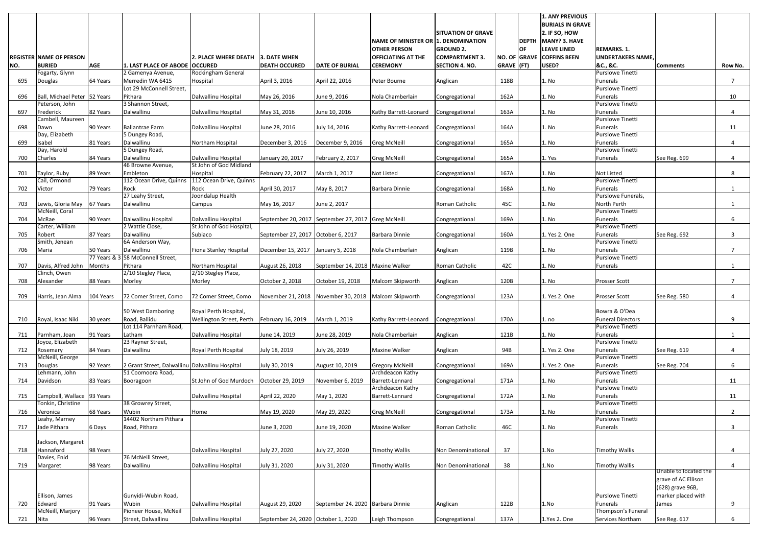|     |                                              |            |                                                                                                                              |                                               |                                    |                                                    |                                     |                           |              |              | <b>1. ANY PREVIOUS</b><br><b>BURIALS IN GRAVE</b> |                                            |                       |                |
|-----|----------------------------------------------|------------|------------------------------------------------------------------------------------------------------------------------------|-----------------------------------------------|------------------------------------|----------------------------------------------------|-------------------------------------|---------------------------|--------------|--------------|---------------------------------------------------|--------------------------------------------|-----------------------|----------------|
|     |                                              |            |                                                                                                                              |                                               |                                    |                                                    |                                     | <b>SITUATION OF GRAVE</b> |              |              | 2. IF SO, HOW                                     |                                            |                       |                |
|     |                                              |            |                                                                                                                              |                                               |                                    |                                                    | NAME OF MINISTER OR 1. DENOMINATION |                           |              | <b>DEPTH</b> | MANY? 3. HAVE                                     |                                            |                       |                |
|     |                                              |            |                                                                                                                              |                                               |                                    |                                                    | <b>OTHER PERSON</b>                 | <b>GROUND 2.</b>          |              | <b>OF</b>    | <b>LEAVE LINED</b>                                | <b>REMARKS. 1.</b>                         |                       |                |
|     | <b>REGISTER NAME OF PERSON</b>               |            |                                                                                                                              | 2. PLACE WHERE DEATH                          | <b>3. DATE WHEN</b>                |                                                    | <b>OFFICIATING AT THE</b>           | <b>ICOMPARTMENT 3</b>     | NO. OF GRAVE |              | <b>COFFINS BEEN</b>                               | <b>UNDERTAKERS NAME</b>                    |                       |                |
| NO. | <b>BURIED</b><br>Fogarty, Glynn              | <b>AGE</b> | 1. LAST PLACE OF ABODE   OCCURED<br>2 Gamenya Avenue,                                                                        | Rockingham General                            | <b>DEATH OCCURED</b>               | <b>DATE OF BURIAL</b>                              | <b>CEREMONY</b>                     | <b>SECTION 4. NO.</b>     | GRAVE (FT)   |              | USED?                                             | &C., &C.<br><b>Purslowe Tinetti</b>        | <b>Comments</b>       | Row No.        |
| 695 | Douglas                                      | 64 Years   | Merredin WA 6415                                                                                                             | Hospital                                      | April 3, 2016                      | April 22, 2016                                     | Peter Bourne                        | Anglican                  | 118B         |              | 1. No                                             | Funerals                                   |                       | $\overline{7}$ |
|     |                                              |            | Lot 29 McConnell Street,                                                                                                     |                                               |                                    |                                                    |                                     |                           |              |              |                                                   | Purslowe Tinetti                           |                       |                |
| 696 | Ball, Michael Peter 52 Years                 |            | Pithara                                                                                                                      | Dalwallinu Hospital                           | May 26, 2016                       | June 9, 2016                                       | Nola Chamberlain                    | Congregational            | 162A         |              | 1. No                                             | Funerals                                   |                       | 10             |
|     | Peterson, John                               |            | 3 Shannon Street,                                                                                                            |                                               |                                    |                                                    |                                     |                           |              |              |                                                   | Purslowe Tinetti                           |                       |                |
| 697 | Frederick<br>Cambell, Maureen                | 82 Years   | Dalwallinu                                                                                                                   | Dalwallinu Hospital                           | May 31, 2016                       | June 10, 2016                                      | Kathy Barrett-Leonard               | Congregational            | 163A         |              | 1. No                                             | <b>Funerals</b><br><b>Purslowe Tinetti</b> |                       |                |
| 698 | Dawn                                         | 90 Years   | Ballantrae Farm                                                                                                              | Dalwallinu Hospital                           | June 28, 2016                      | July 14, 2016                                      | Kathy Barrett-Leonard               | Congregational            | 164A         |              | 1. No                                             | <b>Funerals</b>                            |                       | 11             |
|     | Day, Elizabeth                               |            | 5 Dungey Road,                                                                                                               |                                               |                                    |                                                    |                                     |                           |              |              |                                                   | <b>Purslowe Tinetti</b>                    |                       |                |
| 699 | Isabel                                       | 81 Years   | Dalwallinu                                                                                                                   | Northam Hospital                              | December 3, 2016                   | December 9, 2016                                   | <b>Greg McNeill</b>                 | Congregational            | 165A         |              | 1. No                                             | Funerals                                   |                       |                |
|     | Day, Harold                                  |            | 5 Dungey Road,                                                                                                               |                                               |                                    |                                                    |                                     |                           |              |              |                                                   | <b>Purslowe Tinetti</b>                    |                       |                |
| 700 | Charles                                      | 84 Years   | Dalwallinu<br>46 Browne Avenue,                                                                                              | Dalwallinu Hospital<br>St John of God Midland | January 20, 2017                   | February 2, 2017                                   | <b>Greg McNeill</b>                 | Congregational            | 165A         |              | 1. Yes                                            | Funerals                                   | See Reg. 699          | 4              |
| 701 | Taylor, Ruby                                 | 89 Years   | Embleton                                                                                                                     | Hospital                                      | February 22, 2017                  | March 1, 2017                                      | Not Listed                          | Congregational            | 167A         |              | 1. No                                             | <b>Not Listed</b>                          |                       | 8              |
|     | Cail, Ormond                                 |            | 112 Ocean Drive, Quinns                                                                                                      | 112 Ocean Drive, Quinns                       |                                    |                                                    |                                     |                           |              |              |                                                   | Purslowe Tinetti                           |                       |                |
| 702 | Victor                                       | 79 Years   | Rock                                                                                                                         | Rock                                          | April 30, 2017                     | May 8, 2017                                        | Barbara Dinnie                      | Congregational            | 168A         |              | 1. No                                             | <b>Funerals</b>                            |                       |                |
|     |                                              |            | 27 Leahy Street,                                                                                                             | Joondalup Health                              |                                    |                                                    |                                     |                           |              |              |                                                   | Purslowe Funerals,                         |                       |                |
| 703 | Lewis, Gloria May 67 Years<br>McNeill, Coral |            | Dalwallinu                                                                                                                   | Campus                                        | May 16, 2017                       | June 2, 2017                                       |                                     | <b>Roman Catholic</b>     | 45C          |              | 1. No                                             | North Perth<br>Purslowe Tinetti            |                       |                |
| 704 | McRae                                        | 90 Years   | Dalwallinu Hospital                                                                                                          | Dalwallinu Hospital                           |                                    | September 20, 2017 September 27, 2017 Greg McNeill |                                     | Congregational            | 169A         |              | 1. No                                             | Funerals                                   |                       | 6              |
|     | Carter, William                              |            | 2 Wattle Close,                                                                                                              | St John of God Hospital,                      |                                    |                                                    |                                     |                           |              |              |                                                   | <b>Purslowe Tinetti</b>                    |                       |                |
| 705 | Robert                                       | 87 Years   | Dalwallinu                                                                                                                   | Subiaco                                       | September 27, 2017 October 6, 2017 |                                                    | Barbara Dinnie                      | Congregational            | 160A         |              | 1. Yes 2. One                                     | Funerals                                   | See Reg. 692          | 3              |
|     | Smith, Jenean                                |            | 6A Anderson Way,                                                                                                             |                                               |                                    |                                                    |                                     |                           |              |              |                                                   | <b>Purslowe Tinetti</b>                    |                       |                |
| 706 | Maria                                        | 50 Years   | Dalwallinu<br>77 Years & 3 58 McConnell Street,                                                                              | Fiona Stanley Hospital                        | December 15, 2017                  | January 5, 2018                                    | Nola Chamberlain                    | Anglican                  | 119B         |              | 1. No                                             | Funerals<br><b>Purslowe Tinetti</b>        |                       | $\overline{7}$ |
| 707 | Davis, Alfred John Months                    |            | Pithara                                                                                                                      | Northam Hospital                              | August 26, 2018                    | September 14, 2018   Maxine Walker                 |                                     | Roman Catholic            | 42C          |              | 1. No                                             | <b>Funerals</b>                            |                       |                |
|     | Clinch, Owen                                 |            | 2/10 Stegley Place,                                                                                                          | 2/10 Stegley Place,                           |                                    |                                                    |                                     |                           |              |              |                                                   |                                            |                       |                |
| 708 | Alexander                                    | 88 Years   | Morley                                                                                                                       | Morley                                        | October 2, 2018                    | October 19, 2018                                   | Malcom Skipworth                    | Anglican                  | 120B         |              | 1. No                                             | <b>Prosser Scott</b>                       |                       | $\overline{ }$ |
|     |                                              |            |                                                                                                                              |                                               |                                    |                                                    |                                     |                           |              |              |                                                   |                                            |                       |                |
| 709 |                                              |            | Harris, Jean Alma 104 Years 72 Comer Street, Como 72 Comer Street, Como November 21, 2018 November 30, 2018 Malcom Skipworth |                                               |                                    |                                                    |                                     | Congregational            | 123A         |              | 1. Yes 2. One                                     | <b>Prosser Scott</b>                       | See Reg. 580          |                |
|     |                                              |            | 50 West Damboring                                                                                                            | Royal Perth Hospital,                         |                                    |                                                    |                                     |                           |              |              |                                                   | Bowra & O'Dea                              |                       |                |
| 710 | Royal, Isaac Niki                            | 30 years   | Road, Ballidu                                                                                                                | Wellington Street, Perth                      | February 16, 2019                  | March 1, 2019                                      | Kathy Barrett-Leonard               | Congregational            | 170A         |              | 1. no                                             | <b>Funeral Directors</b>                   |                       | 9              |
|     |                                              |            | Lot 114 Parnham Road,                                                                                                        |                                               |                                    |                                                    |                                     |                           |              |              |                                                   | <b>Purslowe Tinetti</b>                    |                       |                |
| 711 | Parnham, Joan<br>Joyce, Elizabeth            | 91 Years   | Latham<br>23 Rayner Street,                                                                                                  | Dalwallinu Hospital                           | June 14, 2019                      | June 28, 2019                                      | Nola Chamberlain                    | Anglican                  | 121B         |              | 1. No                                             | Funerals<br><b>Purslowe Tinetti</b>        |                       | $\mathbf{1}$   |
| 712 | Rosemary                                     | 84 Years   | Dalwallinu                                                                                                                   | Royal Perth Hospital                          | July 18, 2019                      | July 26, 2019                                      | <b>Maxine Walker</b>                | Anglican                  | 94B          |              | 1. Yes 2. One                                     | Funerals                                   | See Reg. 619          | 4              |
|     | McNeill, George                              |            |                                                                                                                              |                                               |                                    |                                                    |                                     |                           |              |              |                                                   | <b>Purslowe Tinetti</b>                    |                       |                |
| 713 | Douglas                                      | 92 Years   | 2 Grant Street, Dalwallinu Dalwallinu Hospital                                                                               |                                               | July 30, 2019                      | August 10, 2019                                    | <b>Gregory McNeill</b>              | Congregational            | 169A         |              | 1. Yes 2. One                                     | Funerals                                   | See Reg. 704          | 6              |
|     | Lehmann, John                                |            | 51 Coomoora Road,                                                                                                            |                                               |                                    |                                                    | Archdeacon Kathy                    |                           |              |              |                                                   | <b>Purslowe Tinetti</b>                    |                       |                |
| 714 | Davidson                                     | 83 Years   | Booragoon                                                                                                                    | St John of God Murdoch                        | October 29, 2019                   | November 6, 2019                                   | Barrett-Lennard<br>Archdeacon Kathy | Congregational            | 171A         |              | 1. No                                             | Funerals<br><b>Purslowe Tinetti</b>        |                       | 11             |
| 715 | Campbell, Wallace 93 Years                   |            |                                                                                                                              | Dalwallinu Hospital                           | April 22, 2020                     | May 1, 2020                                        | Barrett-Lennard                     | Congregational            | 172A         |              | 1. No                                             | Funerals                                   |                       | 11             |
|     | Tonkin, Christine                            |            | 38 Growrey Street,                                                                                                           |                                               |                                    |                                                    |                                     |                           |              |              |                                                   | <b>Purslowe Tinetti</b>                    |                       |                |
| 716 | Veronica                                     | 68 Years   | Wubin                                                                                                                        | Home                                          | May 19, 2020                       | May 29, 2020                                       | <b>Greg McNeill</b>                 | Congregational            | 173A         |              | 1. No                                             | Funerals                                   |                       | $2^{\circ}$    |
|     | Leahy, Marney                                |            | 14402 Northam Pithara                                                                                                        |                                               |                                    |                                                    |                                     |                           |              |              |                                                   | <b>Purslowe Tinetti</b>                    |                       |                |
| 717 | Jade Pithara                                 | 6 Days     | Road, Pithara                                                                                                                |                                               | June 3, 2020                       | June 19, 2020                                      | <b>Maxine Walker</b>                | Roman Catholic            | 46C          |              | 1. No                                             | Funerals                                   |                       | 3              |
|     | Jackson, Margaret                            |            |                                                                                                                              |                                               |                                    |                                                    |                                     |                           |              |              |                                                   |                                            |                       |                |
| 718 | Hannaford                                    | 98 Years   |                                                                                                                              | Dalwallinu Hospital                           | July 27, 2020                      | July 27, 2020                                      | <b>Timothy Wallis</b>               | Non Denominational        | 37           |              | 1.No                                              | <b>Timothy Wallis</b>                      |                       | 4              |
|     | Davies, Enid                                 |            | 76 McNeill Street,                                                                                                           |                                               |                                    |                                                    |                                     |                           |              |              |                                                   |                                            |                       |                |
| 719 | Margaret                                     | 98 Years   | Dalwallinu                                                                                                                   | Dalwallinu Hospital                           | July 31, 2020                      | July 31, 2020                                      | <b>Timothy Wallis</b>               | Non Denominational        | 38           |              | 1.No                                              | <b>Timothy Wallis</b>                      | Unable to located the | 4              |
|     |                                              |            |                                                                                                                              |                                               |                                    |                                                    |                                     |                           |              |              |                                                   |                                            | grave of AC Ellison   |                |
|     |                                              |            |                                                                                                                              |                                               |                                    |                                                    |                                     |                           |              |              |                                                   |                                            | (628) grave 96B,      |                |
|     | Ellison, James                               |            | Gunyidi-Wubin Road,                                                                                                          |                                               |                                    |                                                    |                                     |                           |              |              |                                                   | <b>Purslowe Tinetti</b>                    | marker placed with    |                |
| 720 | Edward                                       | 91 Years   | Wubin                                                                                                                        | Dalwallinu Hospital                           | August 29, 2020                    | September 24. 2020 Barbara Dinnie                  |                                     | Anglican                  | 122B         |              | 1.No                                              | Funerals                                   | James                 | 9              |
| 721 | McNeill, Marjory<br>Nita                     | 96 Years   | Pioneer House, McNeil<br>Street, Dalwallinu                                                                                  | Dalwallinu Hospital                           | September 24, 2020 October 1, 2020 |                                                    | Leigh Thompson                      | Congregational            | 137A         |              | 1.Yes 2. One                                      | Thompson's Funeral<br>Services Northam     | See Reg. 617          | 6              |
|     |                                              |            |                                                                                                                              |                                               |                                    |                                                    |                                     |                           |              |              |                                                   |                                            |                       |                |